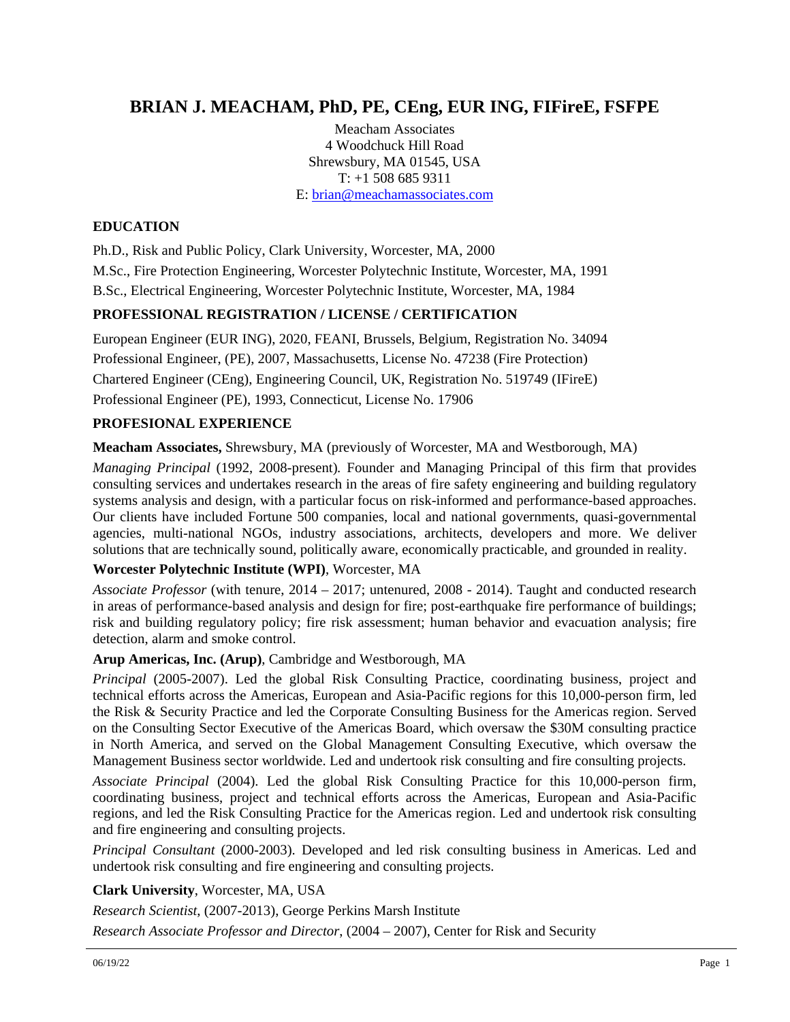# **BRIAN J. MEACHAM, PhD, PE, CEng, EUR ING, FIFireE, FSFPE**

Meacham Associates 4 Woodchuck Hill Road Shrewsbury, MA 01545, USA T: +1 508 685 9311 E: [brian@meachamassociates.com](mailto:brian@meachamassociates.com)

## **EDUCATION**

Ph.D., Risk and Public Policy, Clark University, Worcester, MA, 2000 M.Sc., Fire Protection Engineering, Worcester Polytechnic Institute, Worcester, MA, 1991 B.Sc., Electrical Engineering, Worcester Polytechnic Institute, Worcester, MA, 1984

### **PROFESSIONAL REGISTRATION / LICENSE / CERTIFICATION**

European Engineer (EUR ING), 2020, FEANI, Brussels, Belgium, Registration No. 34094 Professional Engineer, (PE), 2007, Massachusetts, License No. 47238 (Fire Protection) Chartered Engineer (CEng), Engineering Council, UK, Registration No. 519749 (IFireE) Professional Engineer (PE), 1993, Connecticut, License No. 17906

### **PROFESIONAL EXPERIENCE**

**Meacham Associates,** Shrewsbury, MA (previously of Worcester, MA and Westborough, MA)

*Managing Principal* (1992, 2008-present)*.* Founder and Managing Principal of this firm that provides consulting services and undertakes research in the areas of fire safety engineering and building regulatory systems analysis and design, with a particular focus on risk-informed and performance-based approaches. Our clients have included Fortune 500 companies, local and national governments, quasi-governmental agencies, multi-national NGOs, industry associations, architects, developers and more. We deliver solutions that are technically sound, politically aware, economically practicable, and grounded in reality.

### **Worcester Polytechnic Institute (WPI)**, Worcester, MA

*Associate Professor* (with tenure, 2014 – 2017; untenured, 2008 - 2014). Taught and conducted research in areas of performance-based analysis and design for fire; post-earthquake fire performance of buildings; risk and building regulatory policy; fire risk assessment; human behavior and evacuation analysis; fire detection, alarm and smoke control.

### **Arup Americas, Inc. (Arup)**, Cambridge and Westborough, MA

*Principal* (2005-2007). Led the global Risk Consulting Practice, coordinating business, project and technical efforts across the Americas, European and Asia-Pacific regions for this 10,000-person firm, led the Risk & Security Practice and led the Corporate Consulting Business for the Americas region. Served on the Consulting Sector Executive of the Americas Board, which oversaw the \$30M consulting practice in North America, and served on the Global Management Consulting Executive, which oversaw the Management Business sector worldwide. Led and undertook risk consulting and fire consulting projects.

*Associate Principal* (2004). Led the global Risk Consulting Practice for this 10,000-person firm, coordinating business, project and technical efforts across the Americas, European and Asia-Pacific regions, and led the Risk Consulting Practice for the Americas region. Led and undertook risk consulting and fire engineering and consulting projects.

*Principal Consultant* (2000-2003). Developed and led risk consulting business in Americas. Led and undertook risk consulting and fire engineering and consulting projects.

### **Clark University**, Worcester, MA, USA

*Research Scientist*, (2007-2013), George Perkins Marsh Institute

*Research Associate Professor and Director*, (2004 – 2007), Center for Risk and Security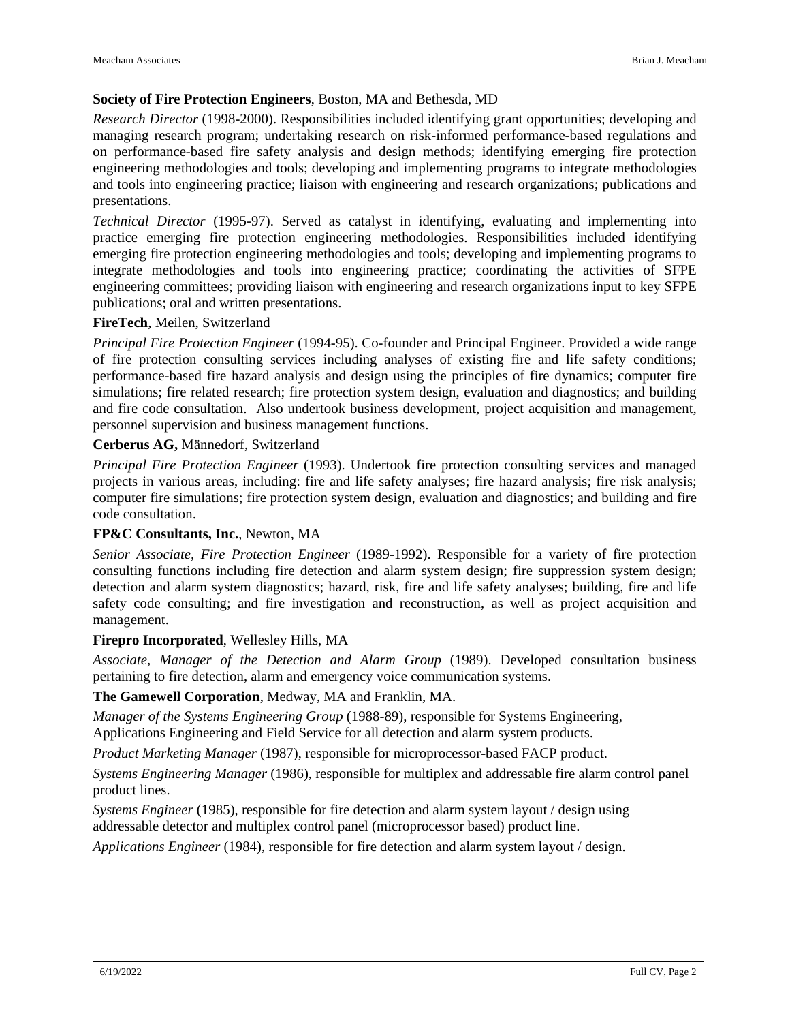#### **Society of Fire Protection Engineers**, Boston, MA and Bethesda, MD

*Research Director* (1998-2000). Responsibilities included identifying grant opportunities; developing and managing research program; undertaking research on risk-informed performance-based regulations and on performance-based fire safety analysis and design methods; identifying emerging fire protection engineering methodologies and tools; developing and implementing programs to integrate methodologies and tools into engineering practice; liaison with engineering and research organizations; publications and presentations.

*Technical Director* (1995-97). Served as catalyst in identifying, evaluating and implementing into practice emerging fire protection engineering methodologies. Responsibilities included identifying emerging fire protection engineering methodologies and tools; developing and implementing programs to integrate methodologies and tools into engineering practice; coordinating the activities of SFPE engineering committees; providing liaison with engineering and research organizations input to key SFPE publications; oral and written presentations.

#### **FireTech**, Meilen, Switzerland

*Principal Fire Protection Engineer* (1994-95). Co-founder and Principal Engineer. Provided a wide range of fire protection consulting services including analyses of existing fire and life safety conditions; performance-based fire hazard analysis and design using the principles of fire dynamics; computer fire simulations; fire related research; fire protection system design, evaluation and diagnostics; and building and fire code consultation. Also undertook business development, project acquisition and management, personnel supervision and business management functions.

### **Cerberus AG,** Männedorf, Switzerland

*Principal Fire Protection Engineer* (1993). Undertook fire protection consulting services and managed projects in various areas, including: fire and life safety analyses; fire hazard analysis; fire risk analysis; computer fire simulations; fire protection system design, evaluation and diagnostics; and building and fire code consultation.

#### **FP&C Consultants, Inc.**, Newton, MA

*Senior Associate, Fire Protection Engineer* (1989-1992). Responsible for a variety of fire protection consulting functions including fire detection and alarm system design; fire suppression system design; detection and alarm system diagnostics; hazard, risk, fire and life safety analyses; building, fire and life safety code consulting; and fire investigation and reconstruction, as well as project acquisition and management.

#### **Firepro Incorporated**, Wellesley Hills, MA

*Associate, Manager of the Detection and Alarm Group* (1989). Developed consultation business pertaining to fire detection, alarm and emergency voice communication systems.

**The Gamewell Corporation**, Medway, MA and Franklin, MA.

*Manager of the Systems Engineering Group* (1988-89), responsible for Systems Engineering,

Applications Engineering and Field Service for all detection and alarm system products.

*Product Marketing Manager* (1987), responsible for microprocessor-based FACP product.

*Systems Engineering Manager* (1986), responsible for multiplex and addressable fire alarm control panel product lines.

*Systems Engineer* (1985), responsible for fire detection and alarm system layout / design using addressable detector and multiplex control panel (microprocessor based) product line.

*Applications Engineer* (1984), responsible for fire detection and alarm system layout / design.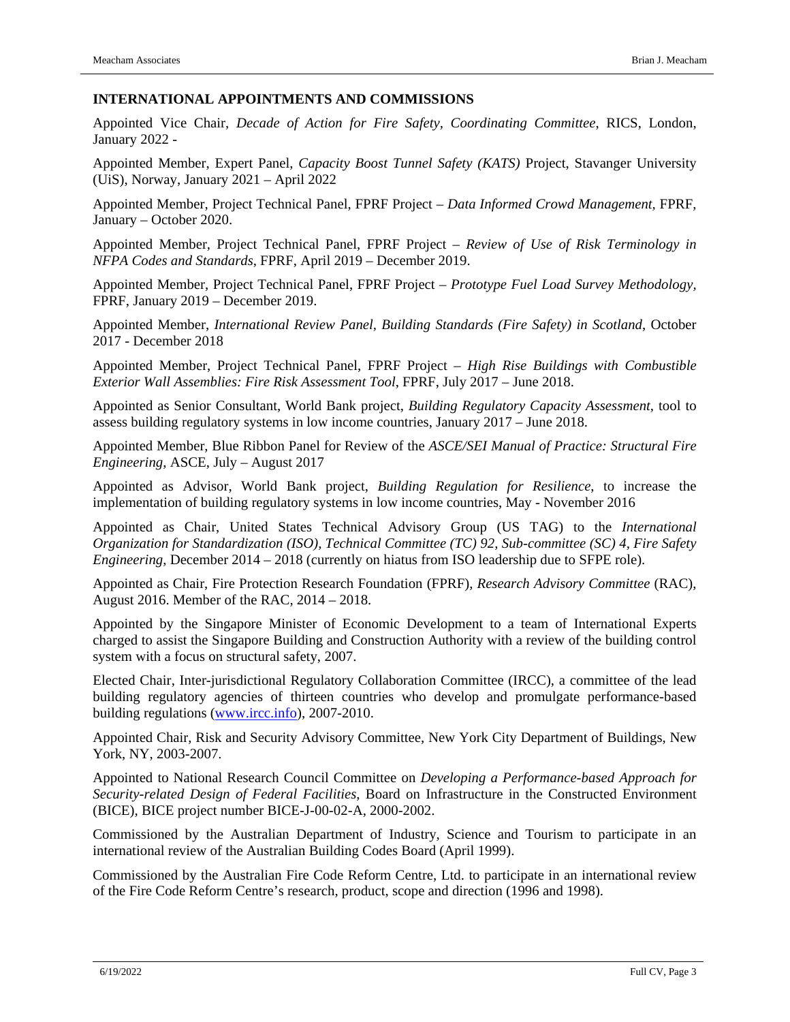#### **INTERNATIONAL APPOINTMENTS AND COMMISSIONS**

Appointed Vice Chair, *Decade of Action for Fire Safety, Coordinating Committee*, RICS, London, January 2022 -

Appointed Member, Expert Panel, *Capacity Boost Tunnel Safety (KATS)* Project, Stavanger University (UiS), Norway, January 2021 – April 2022

Appointed Member, Project Technical Panel, FPRF Project – *Data Informed Crowd Management,* FPRF, January – October 2020.

Appointed Member, Project Technical Panel, FPRF Project – *Review of Use of Risk Terminology in NFPA Codes and Standards,* FPRF, April 2019 – December 2019.

Appointed Member, Project Technical Panel, FPRF Project – *Prototype Fuel Load Survey Methodology,* FPRF, January 2019 – December 2019.

Appointed Member, *International Review Panel, Building Standards (Fire Safety) in Scotland*, October 2017 - December 2018

Appointed Member, Project Technical Panel, FPRF Project – *High Rise Buildings with Combustible Exterior Wall Assemblies: Fire Risk Assessment Tool*, FPRF, July 2017 – June 2018.

Appointed as Senior Consultant, World Bank project, *Building Regulatory Capacity Assessment,* tool to assess building regulatory systems in low income countries, January 2017 – June 2018.

Appointed Member, Blue Ribbon Panel for Review of the *ASCE/SEI Manual of Practice: Structural Fire Engineering*, ASCE, July – August 2017

Appointed as Advisor, World Bank project, *Building Regulation for Resilience*, to increase the implementation of building regulatory systems in low income countries, May - November 2016

Appointed as Chair, United States Technical Advisory Group (US TAG) to the *International Organization for Standardization (ISO), Technical Committee (TC) 92, Sub-committee (SC) 4, Fire Safety Engineering*, December 2014 – 2018 (currently on hiatus from ISO leadership due to SFPE role).

Appointed as Chair, Fire Protection Research Foundation (FPRF), *Research Advisory Committee* (RAC), August 2016. Member of the RAC, 2014 – 2018.

Appointed by the Singapore Minister of Economic Development to a team of International Experts charged to assist the Singapore Building and Construction Authority with a review of the building control system with a focus on structural safety, 2007.

Elected Chair, Inter-jurisdictional Regulatory Collaboration Committee (IRCC), a committee of the lead building regulatory agencies of thirteen countries who develop and promulgate performance-based building regulations [\(www.ircc.info\)](http://www.ircc.info/), 2007-2010.

Appointed Chair, Risk and Security Advisory Committee, New York City Department of Buildings, New York, NY, 2003-2007.

Appointed to National Research Council Committee on *Developing a Performance-based Approach for Security-related Design of Federal Facilities*, Board on Infrastructure in the Constructed Environment (BICE), BICE project number BICE-J-00-02-A, 2000-2002.

Commissioned by the Australian Department of Industry, Science and Tourism to participate in an international review of the Australian Building Codes Board (April 1999).

Commissioned by the Australian Fire Code Reform Centre, Ltd. to participate in an international review of the Fire Code Reform Centre's research, product, scope and direction (1996 and 1998).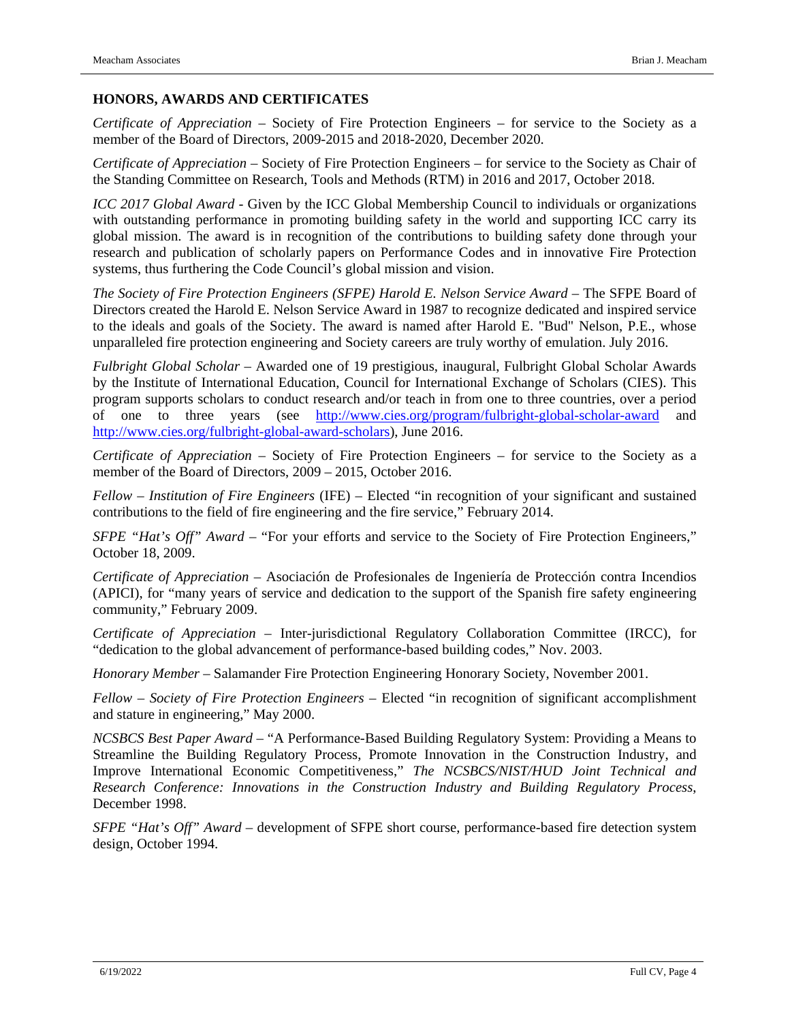### **HONORS, AWARDS AND CERTIFICATES**

*Certificate of Appreciation* – Society of Fire Protection Engineers – for service to the Society as a member of the Board of Directors, 2009-2015 and 2018-2020, December 2020.

*Certificate of Appreciation* – Society of Fire Protection Engineers – for service to the Society as Chair of the Standing Committee on Research, Tools and Methods (RTM) in 2016 and 2017, October 2018.

*ICC 2017 Global Award* - Given by the ICC Global Membership Council to individuals or organizations with outstanding performance in promoting building safety in the world and supporting ICC carry its global mission. The award is in recognition of the contributions to building safety done through your research and publication of scholarly papers on Performance Codes and in innovative Fire Protection systems, thus furthering the Code Council's global mission and vision.

*The Society of Fire Protection Engineers (SFPE) Harold E. Nelson Service Award* – The SFPE Board of Directors created the Harold E. Nelson Service Award in 1987 to recognize dedicated and inspired service to the ideals and goals of the Society. The award is named after Harold E. "Bud" Nelson, P.E., whose unparalleled fire protection engineering and Society careers are truly worthy of emulation. July 2016.

*Fulbright Global Scholar* – Awarded one of 19 prestigious, inaugural, Fulbright Global Scholar Awards by the Institute of International Education, Council for International Exchange of Scholars (CIES). This program supports scholars to conduct research and/or teach in from one to three countries, over a period of one to three years (see <http://www.cies.org/program/fulbright-global-scholar-award> and [http://www.cies.org/fulbright-global-award-scholars\)](http://www.cies.org/fulbright-global-award-scholars), June 2016.

*Certificate of Appreciation* – Society of Fire Protection Engineers – for service to the Society as a member of the Board of Directors, 2009 – 2015, October 2016.

*Fellow – Institution of Fire Engineers* (IFE) – Elected "in recognition of your significant and sustained contributions to the field of fire engineering and the fire service," February 2014.

*SFPE "Hat's Off" Award* – "For your efforts and service to the Society of Fire Protection Engineers," October 18, 2009.

*Certificate of Appreciation* – Asociación de Profesionales de Ingeniería de Protección contra Incendios (APICI), for "many years of service and dedication to the support of the Spanish fire safety engineering community," February 2009.

*Certificate of Appreciation* – Inter-jurisdictional Regulatory Collaboration Committee (IRCC), for "dedication to the global advancement of performance-based building codes," Nov. 2003.

*Honorary Member* – Salamander Fire Protection Engineering Honorary Society, November 2001.

*Fellow – Society of Fire Protection Engineers* – Elected "in recognition of significant accomplishment and stature in engineering," May 2000.

*NCSBCS Best Paper Award* – "A Performance-Based Building Regulatory System: Providing a Means to Streamline the Building Regulatory Process, Promote Innovation in the Construction Industry, and Improve International Economic Competitiveness," *The NCSBCS/NIST/HUD Joint Technical and Research Conference: Innovations in the Construction Industry and Building Regulatory Process*, December 1998.

*SFPE "Hat's Off" Award* – development of SFPE short course, performance-based fire detection system design, October 1994.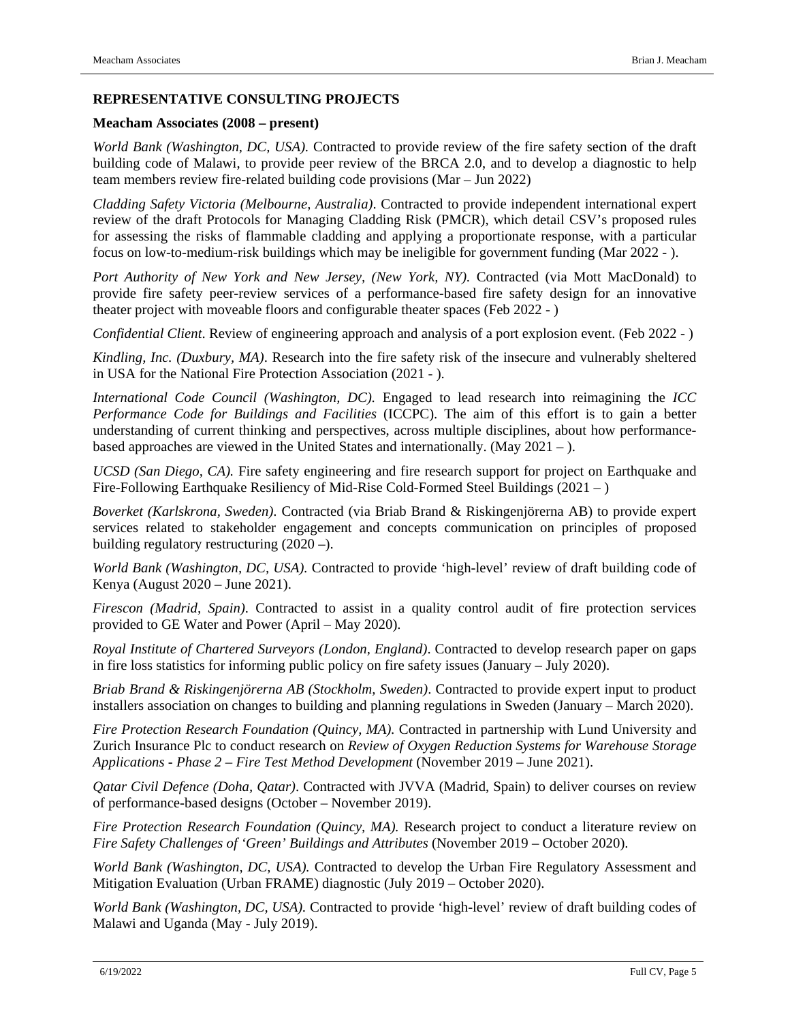### **REPRESENTATIVE CONSULTING PROJECTS**

#### **Meacham Associates (2008 – present)**

*World Bank (Washington, DC, USA).* Contracted to provide review of the fire safety section of the draft building code of Malawi, to provide peer review of the BRCA 2.0, and to develop a diagnostic to help team members review fire-related building code provisions (Mar – Jun 2022)

*Cladding Safety Victoria (Melbourne, Australia)*. Contracted to provide independent international expert review of the draft Protocols for Managing Cladding Risk (PMCR), which detail CSV's proposed rules for assessing the risks of flammable cladding and applying a proportionate response, with a particular focus on low-to-medium-risk buildings which may be ineligible for government funding (Mar 2022 - ).

*Port Authority of New York and New Jersey, (New York, NY).* Contracted (via Mott MacDonald) to provide fire safety peer-review services of a performance-based fire safety design for an innovative theater project with moveable floors and configurable theater spaces (Feb 2022 - )

*Confidential Client*. Review of engineering approach and analysis of a port explosion event. (Feb 2022 - )

*Kindling, Inc. (Duxbury, MA)*. Research into the fire safety risk of the insecure and vulnerably sheltered in USA for the National Fire Protection Association (2021 - ).

*International Code Council (Washington, DC).* Engaged to lead research into reimagining the *ICC Performance Code for Buildings and Facilities* (ICCPC). The aim of this effort is to gain a better understanding of current thinking and perspectives, across multiple disciplines, about how performancebased approaches are viewed in the United States and internationally. (May 2021 – ).

*UCSD (San Diego, CA).* Fire safety engineering and fire research support for project on Earthquake and Fire-Following Earthquake Resiliency of Mid-Rise Cold-Formed Steel Buildings (2021 – )

*Boverket (Karlskrona, Sweden)*. Contracted (via Briab Brand & Riskingenjörerna AB) to provide expert services related to stakeholder engagement and concepts communication on principles of proposed building regulatory restructuring (2020 –).

*World Bank (Washington, DC, USA).* Contracted to provide 'high-level' review of draft building code of Kenya (August 2020 – June 2021).

*Firescon (Madrid, Spain)*. Contracted to assist in a quality control audit of fire protection services provided to GE Water and Power (April – May 2020).

*Royal Institute of Chartered Surveyors (London, England)*. Contracted to develop research paper on gaps in fire loss statistics for informing public policy on fire safety issues (January – July 2020).

*Briab Brand & Riskingenjörerna AB (Stockholm, Sweden)*. Contracted to provide expert input to product installers association on changes to building and planning regulations in Sweden (January – March 2020).

*Fire Protection Research Foundation (Quincy, MA).* Contracted in partnership with Lund University and Zurich Insurance Plc to conduct research on *Review of Oxygen Reduction Systems for Warehouse Storage Applications - Phase 2 – Fire Test Method Development* (November 2019 – June 2021).

*Qatar Civil Defence (Doha, Qatar)*. Contracted with JVVA (Madrid, Spain) to deliver courses on review of performance-based designs (October – November 2019).

*Fire Protection Research Foundation (Quincy, MA).* Research project to conduct a literature review on *Fire Safety Challenges of 'Green' Buildings and Attributes* (November 2019 – October 2020).

*World Bank (Washington, DC, USA).* Contracted to develop the Urban Fire Regulatory Assessment and Mitigation Evaluation (Urban FRAME) diagnostic (July 2019 – October 2020).

*World Bank (Washington, DC, USA).* Contracted to provide 'high-level' review of draft building codes of Malawi and Uganda (May - July 2019).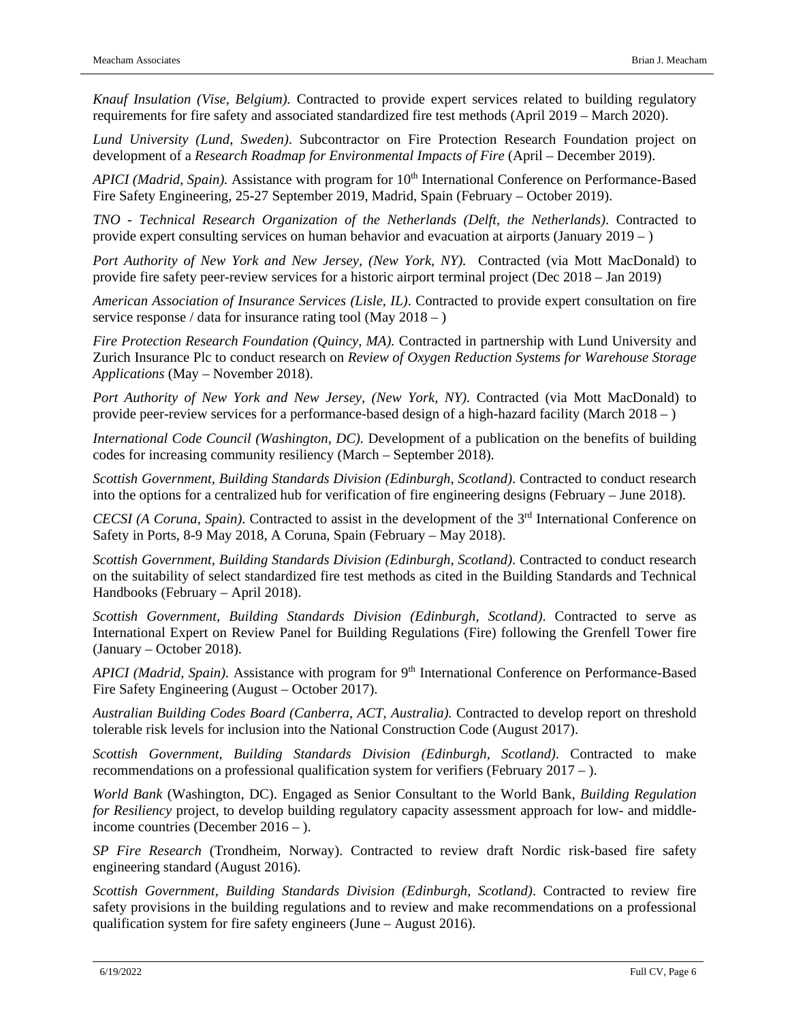*Knauf Insulation (Vise, Belgium).* Contracted to provide expert services related to building regulatory requirements for fire safety and associated standardized fire test methods (April 2019 – March 2020).

*Lund University (Lund, Sweden)*. Subcontractor on Fire Protection Research Foundation project on development of a *Research Roadmap for Environmental Impacts of Fire* (April – December 2019).

*APICI (Madrid, Spain).* Assistance with program for 10<sup>th</sup> International Conference on Performance-Based Fire Safety Engineering, 25-27 September 2019, Madrid, Spain (February – October 2019).

*TNO - Technical Research Organization of the Netherlands (Delft, the Netherlands)*. Contracted to provide expert consulting services on human behavior and evacuation at airports (January 2019 – )

*Port Authority of New York and New Jersey, (New York, NY).* Contracted (via Mott MacDonald) to provide fire safety peer-review services for a historic airport terminal project (Dec 2018 – Jan 2019)

*American Association of Insurance Services (Lisle, IL)*. Contracted to provide expert consultation on fire service response / data for insurance rating tool (May  $2018 -$ )

*Fire Protection Research Foundation (Quincy, MA).* Contracted in partnership with Lund University and Zurich Insurance Plc to conduct research on *Review of Oxygen Reduction Systems for Warehouse Storage Applications* (May – November 2018).

Port Authority of New York and New Jersey, (New York, NY). Contracted (via Mott MacDonald) to provide peer-review services for a performance-based design of a high-hazard facility (March 2018 – )

*International Code Council (Washington, DC).* Development of a publication on the benefits of building codes for increasing community resiliency (March – September 2018).

*Scottish Government, Building Standards Division (Edinburgh, Scotland)*. Contracted to conduct research into the options for a centralized hub for verification of fire engineering designs (February – June 2018).

*CECSI (A Coruna, Spain).* Contracted to assist in the development of the 3<sup>rd</sup> International Conference on Safety in Ports, 8-9 May 2018, A Coruna, Spain (February – May 2018).

*Scottish Government, Building Standards Division (Edinburgh, Scotland)*. Contracted to conduct research on the suitability of select standardized fire test methods as cited in the Building Standards and Technical Handbooks (February – April 2018).

*Scottish Government, Building Standards Division (Edinburgh, Scotland)*. Contracted to serve as International Expert on Review Panel for Building Regulations (Fire) following the Grenfell Tower fire (January – October 2018).

*APICI (Madrid, Spain).* Assistance with program for 9<sup>th</sup> International Conference on Performance-Based Fire Safety Engineering (August – October 2017).

*Australian Building Codes Board (Canberra, ACT, Australia).* Contracted to develop report on threshold tolerable risk levels for inclusion into the National Construction Code (August 2017).

*Scottish Government, Building Standards Division (Edinburgh, Scotland)*. Contracted to make recommendations on a professional qualification system for verifiers (February  $2017 -$ ).

*World Bank* (Washington, DC). Engaged as Senior Consultant to the World Bank, *Building Regulation for Resiliency* project, to develop building regulatory capacity assessment approach for low- and middleincome countries (December 2016 – ).

*SP Fire Research* (Trondheim, Norway). Contracted to review draft Nordic risk-based fire safety engineering standard (August 2016).

*Scottish Government, Building Standards Division (Edinburgh, Scotland)*. Contracted to review fire safety provisions in the building regulations and to review and make recommendations on a professional qualification system for fire safety engineers (June – August 2016).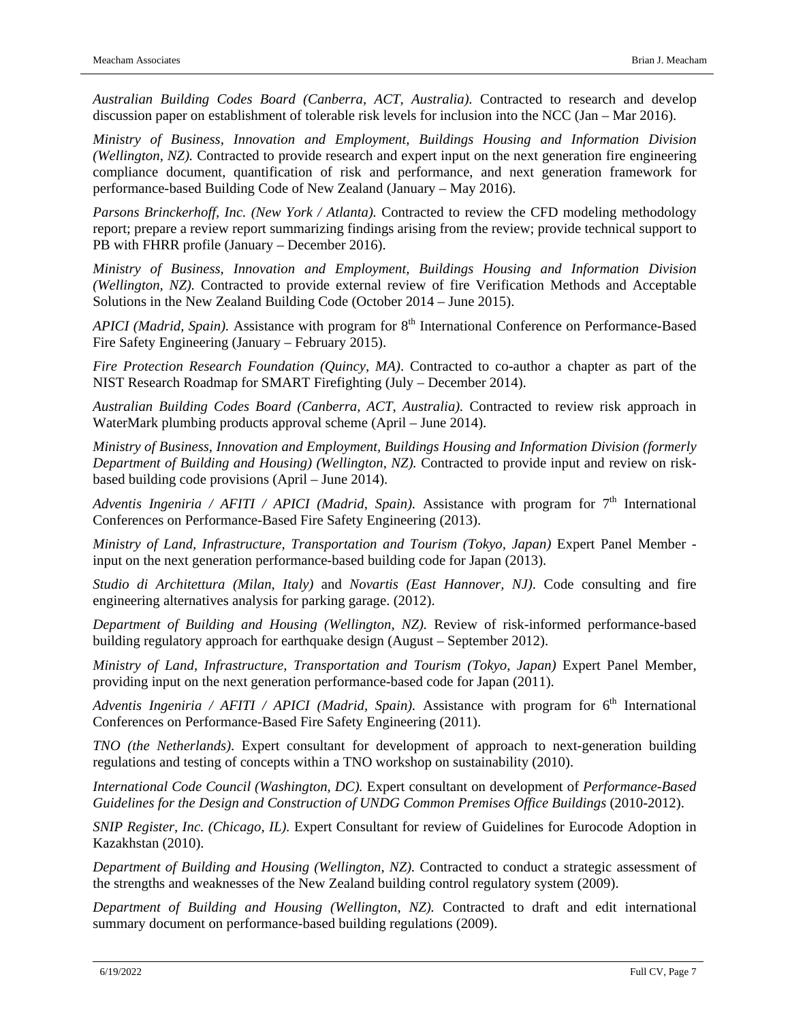*Australian Building Codes Board (Canberra, ACT, Australia).* Contracted to research and develop discussion paper on establishment of tolerable risk levels for inclusion into the NCC (Jan – Mar 2016).

*Ministry of Business, Innovation and Employment, Buildings Housing and Information Division (Wellington, NZ).* Contracted to provide research and expert input on the next generation fire engineering compliance document, quantification of risk and performance, and next generation framework for performance-based Building Code of New Zealand (January – May 2016).

*Parsons Brinckerhoff, Inc. (New York / Atlanta).* Contracted to review the CFD modeling methodology report; prepare a review report summarizing findings arising from the review; provide technical support to PB with FHRR profile (January – December 2016).

*Ministry of Business, Innovation and Employment, Buildings Housing and Information Division (Wellington, NZ).* Contracted to provide external review of fire Verification Methods and Acceptable Solutions in the New Zealand Building Code (October 2014 – June 2015).

*APICI* (*Madrid, Spain*). Assistance with program for 8<sup>th</sup> International Conference on Performance-Based Fire Safety Engineering (January – February 2015).

*Fire Protection Research Foundation (Quincy, MA)*. Contracted to co-author a chapter as part of the NIST Research Roadmap for SMART Firefighting (July – December 2014).

*Australian Building Codes Board (Canberra, ACT, Australia).* Contracted to review risk approach in WaterMark plumbing products approval scheme (April – June 2014).

*Ministry of Business, Innovation and Employment, Buildings Housing and Information Division (formerly Department of Building and Housing) (Wellington, NZ).* Contracted to provide input and review on riskbased building code provisions (April – June 2014).

*Adventis Ingeniria / AFITI / APICI (Madrid, Spain).* Assistance with program for  $7<sup>th</sup>$  International Conferences on Performance-Based Fire Safety Engineering (2013).

*Ministry of Land, Infrastructure, Transportation and Tourism (Tokyo, Japan)* Expert Panel Member input on the next generation performance-based building code for Japan (2013).

*Studio di Architettura (Milan, Italy)* and *Novartis (East Hannover, NJ)*. Code consulting and fire engineering alternatives analysis for parking garage. (2012).

*Department of Building and Housing (Wellington, NZ).* Review of risk-informed performance-based building regulatory approach for earthquake design (August – September 2012).

*Ministry of Land, Infrastructure, Transportation and Tourism (Tokyo, Japan)* Expert Panel Member, providing input on the next generation performance-based code for Japan (2011).

*Adventis Ingeniria / AFITI / APICI (Madrid, Spain).* Assistance with program for 6<sup>th</sup> International Conferences on Performance-Based Fire Safety Engineering (2011).

*TNO (the Netherlands)*. Expert consultant for development of approach to next-generation building regulations and testing of concepts within a TNO workshop on sustainability (2010).

*International Code Council (Washington, DC).* Expert consultant on development of *Performance-Based Guidelines for the Design and Construction of UNDG Common Premises Office Buildings* (2010-2012).

*SNIP Register, Inc. (Chicago, IL).* Expert Consultant for review of Guidelines for Eurocode Adoption in Kazakhstan (2010).

*Department of Building and Housing (Wellington, NZ).* Contracted to conduct a strategic assessment of the strengths and weaknesses of the New Zealand building control regulatory system (2009).

*Department of Building and Housing (Wellington, NZ).* Contracted to draft and edit international summary document on performance-based building regulations (2009).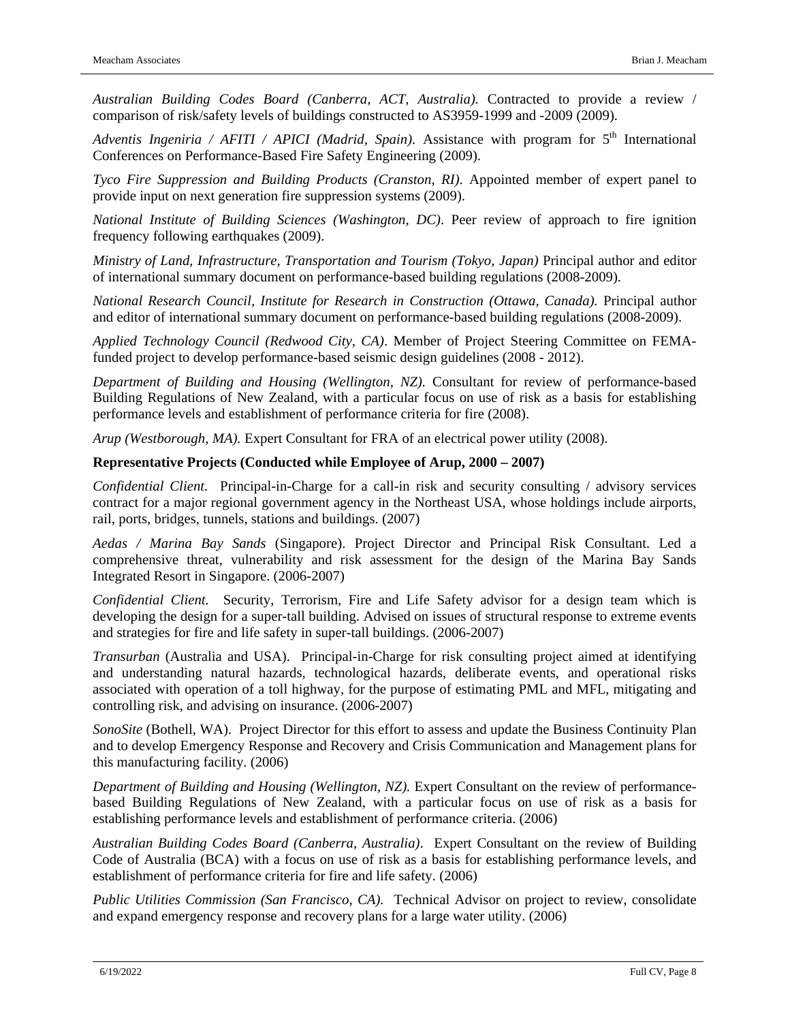*Australian Building Codes Board (Canberra, ACT, Australia).* Contracted to provide a review / comparison of risk/safety levels of buildings constructed to AS3959-1999 and -2009 (2009).

*Adventis Ingeniria / AFITI / APICI (Madrid, Spain).* Assistance with program for 5<sup>th</sup> International Conferences on Performance-Based Fire Safety Engineering (2009).

*Tyco Fire Suppression and Building Products (Cranston, RI)*. Appointed member of expert panel to provide input on next generation fire suppression systems (2009).

*National Institute of Building Sciences (Washington, DC)*. Peer review of approach to fire ignition frequency following earthquakes (2009).

*Ministry of Land, Infrastructure, Transportation and Tourism (Tokyo, Japan)* Principal author and editor of international summary document on performance-based building regulations (2008-2009).

*National Research Council, Institute for Research in Construction (Ottawa, Canada).* Principal author and editor of international summary document on performance-based building regulations (2008-2009).

*Applied Technology Council (Redwood City, CA)*. Member of Project Steering Committee on FEMAfunded project to develop performance-based seismic design guidelines (2008 - 2012).

*Department of Building and Housing (Wellington, NZ).* Consultant for review of performance-based Building Regulations of New Zealand, with a particular focus on use of risk as a basis for establishing performance levels and establishment of performance criteria for fire (2008).

*Arup (Westborough, MA).* Expert Consultant for FRA of an electrical power utility (2008).

#### **Representative Projects (Conducted while Employee of Arup, 2000 – 2007)**

*Confidential Client.* Principal-in-Charge for a call-in risk and security consulting / advisory services contract for a major regional government agency in the Northeast USA, whose holdings include airports, rail, ports, bridges, tunnels, stations and buildings. (2007)

*Aedas / Marina Bay Sands* (Singapore). Project Director and Principal Risk Consultant. Led a comprehensive threat, vulnerability and risk assessment for the design of the Marina Bay Sands Integrated Resort in Singapore. (2006-2007)

*Confidential Client.* Security, Terrorism, Fire and Life Safety advisor for a design team which is developing the design for a super-tall building. Advised on issues of structural response to extreme events and strategies for fire and life safety in super-tall buildings. (2006-2007)

*Transurban* (Australia and USA). Principal-in-Charge for risk consulting project aimed at identifying and understanding natural hazards, technological hazards, deliberate events, and operational risks associated with operation of a toll highway, for the purpose of estimating PML and MFL, mitigating and controlling risk, and advising on insurance. (2006-2007)

*SonoSite* (Bothell, WA). Project Director for this effort to assess and update the Business Continuity Plan and to develop Emergency Response and Recovery and Crisis Communication and Management plans for this manufacturing facility. (2006)

*Department of Building and Housing (Wellington, NZ).* Expert Consultant on the review of performancebased Building Regulations of New Zealand, with a particular focus on use of risk as a basis for establishing performance levels and establishment of performance criteria. (2006)

*Australian Building Codes Board (Canberra, Australia)*. Expert Consultant on the review of Building Code of Australia (BCA) with a focus on use of risk as a basis for establishing performance levels, and establishment of performance criteria for fire and life safety. (2006)

*Public Utilities Commission (San Francisco, CA).* Technical Advisor on project to review, consolidate and expand emergency response and recovery plans for a large water utility. (2006)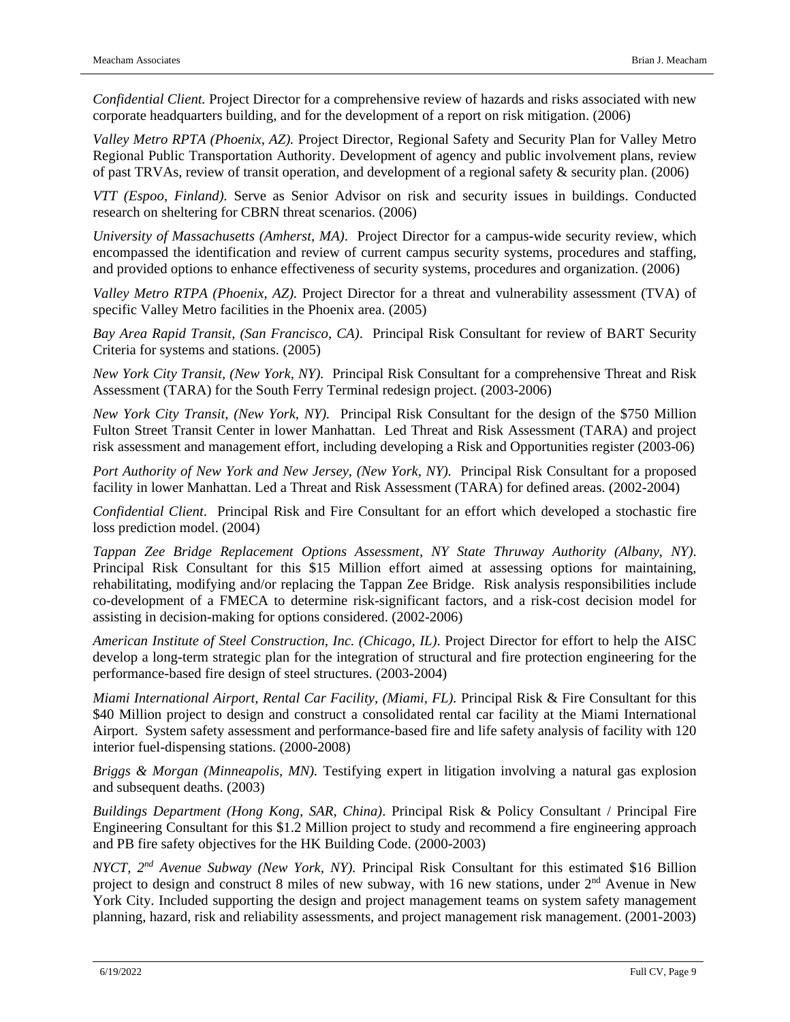*Confidential Client.* Project Director for a comprehensive review of hazards and risks associated with new corporate headquarters building, and for the development of a report on risk mitigation. (2006)

*Valley Metro RPTA (Phoenix, AZ).* Project Director, Regional Safety and Security Plan for Valley Metro Regional Public Transportation Authority. Development of agency and public involvement plans, review of past TRVAs, review of transit operation, and development of a regional safety & security plan. (2006)

*VTT (Espoo, Finland).* Serve as Senior Advisor on risk and security issues in buildings. Conducted research on sheltering for CBRN threat scenarios. (2006)

*University of Massachusetts (Amherst, MA)*. Project Director for a campus-wide security review, which encompassed the identification and review of current campus security systems, procedures and staffing, and provided options to enhance effectiveness of security systems, procedures and organization. (2006)

*Valley Metro RTPA (Phoenix, AZ).* Project Director for a threat and vulnerability assessment (TVA) of specific Valley Metro facilities in the Phoenix area. (2005)

*Bay Area Rapid Transit, (San Francisco, CA)*. Principal Risk Consultant for review of BART Security Criteria for systems and stations. (2005)

*New York City Transit, (New York, NY).* Principal Risk Consultant for a comprehensive Threat and Risk Assessment (TARA) for the South Ferry Terminal redesign project. (2003-2006)

*New York City Transit, (New York, NY).* Principal Risk Consultant for the design of the \$750 Million Fulton Street Transit Center in lower Manhattan. Led Threat and Risk Assessment (TARA) and project risk assessment and management effort, including developing a Risk and Opportunities register (2003-06)

*Port Authority of New York and New Jersey, (New York, NY).* Principal Risk Consultant for a proposed facility in lower Manhattan. Led a Threat and Risk Assessment (TARA) for defined areas. (2002-2004)

*Confidential Client*. Principal Risk and Fire Consultant for an effort which developed a stochastic fire loss prediction model. (2004)

*Tappan Zee Bridge Replacement Options Assessment, NY State Thruway Authority (Albany, NY)*. Principal Risk Consultant for this \$15 Million effort aimed at assessing options for maintaining, rehabilitating, modifying and/or replacing the Tappan Zee Bridge. Risk analysis responsibilities include co-development of a FMECA to determine risk-significant factors, and a risk-cost decision model for assisting in decision-making for options considered. (2002-2006)

*American Institute of Steel Construction, Inc. (Chicago, IL)*. Project Director for effort to help the AISC develop a long-term strategic plan for the integration of structural and fire protection engineering for the performance-based fire design of steel structures. (2003-2004)

*Miami International Airport, Rental Car Facility, (Miami, FL).* Principal Risk & Fire Consultant for this \$40 Million project to design and construct a consolidated rental car facility at the Miami International Airport. System safety assessment and performance-based fire and life safety analysis of facility with 120 interior fuel-dispensing stations. (2000-2008)

*Briggs & Morgan (Minneapolis, MN).* Testifying expert in litigation involving a natural gas explosion and subsequent deaths. (2003)

*Buildings Department (Hong Kong, SAR, China)*. Principal Risk & Policy Consultant / Principal Fire Engineering Consultant for this \$1.2 Million project to study and recommend a fire engineering approach and PB fire safety objectives for the HK Building Code. (2000-2003)

*NYCT, 2nd Avenue Subway (New York, NY).* Principal Risk Consultant for this estimated \$16 Billion project to design and construct 8 miles of new subway, with 16 new stations, under 2<sup>nd</sup> Avenue in New York City. Included supporting the design and project management teams on system safety management planning, hazard, risk and reliability assessments, and project management risk management. (2001-2003)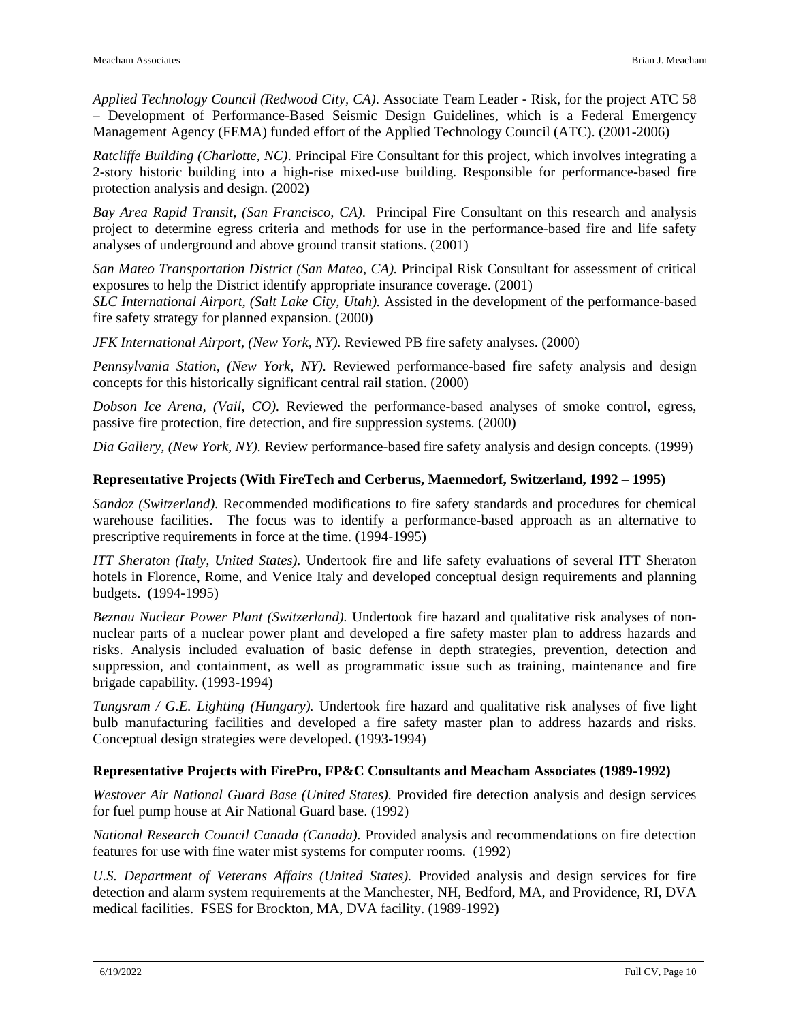*Applied Technology Council (Redwood City, CA)*. Associate Team Leader - Risk, for the project ATC 58 – Development of Performance-Based Seismic Design Guidelines, which is a Federal Emergency Management Agency (FEMA) funded effort of the Applied Technology Council (ATC). (2001-2006)

*Ratcliffe Building (Charlotte, NC)*. Principal Fire Consultant for this project, which involves integrating a 2-story historic building into a high-rise mixed-use building. Responsible for performance-based fire protection analysis and design. (2002)

*Bay Area Rapid Transit, (San Francisco, CA)*. Principal Fire Consultant on this research and analysis project to determine egress criteria and methods for use in the performance-based fire and life safety analyses of underground and above ground transit stations. (2001)

*San Mateo Transportation District (San Mateo, CA).* Principal Risk Consultant for assessment of critical exposures to help the District identify appropriate insurance coverage. (2001)

*SLC International Airport, (Salt Lake City, Utah).* Assisted in the development of the performance-based fire safety strategy for planned expansion. (2000)

*JFK International Airport, (New York, NY).* Reviewed PB fire safety analyses. (2000)

*Pennsylvania Station, (New York, NY).* Reviewed performance-based fire safety analysis and design concepts for this historically significant central rail station. (2000)

*Dobson Ice Arena, (Vail, CO).* Reviewed the performance-based analyses of smoke control, egress, passive fire protection, fire detection, and fire suppression systems. (2000)

*Dia Gallery, (New York, NY).* Review performance-based fire safety analysis and design concepts. (1999)

### **Representative Projects (With FireTech and Cerberus, Maennedorf, Switzerland, 1992 – 1995)**

*Sandoz (Switzerland).* Recommended modifications to fire safety standards and procedures for chemical warehouse facilities. The focus was to identify a performance-based approach as an alternative to prescriptive requirements in force at the time. (1994-1995)

*ITT Sheraton (Italy, United States).* Undertook fire and life safety evaluations of several ITT Sheraton hotels in Florence, Rome, and Venice Italy and developed conceptual design requirements and planning budgets. (1994-1995)

*Beznau Nuclear Power Plant (Switzerland).* Undertook fire hazard and qualitative risk analyses of nonnuclear parts of a nuclear power plant and developed a fire safety master plan to address hazards and risks. Analysis included evaluation of basic defense in depth strategies, prevention, detection and suppression, and containment, as well as programmatic issue such as training, maintenance and fire brigade capability. (1993-1994)

*Tungsram / G.E. Lighting (Hungary).* Undertook fire hazard and qualitative risk analyses of five light bulb manufacturing facilities and developed a fire safety master plan to address hazards and risks. Conceptual design strategies were developed. (1993-1994)

#### **Representative Projects with FirePro, FP&C Consultants and Meacham Associates (1989-1992)**

*Westover Air National Guard Base (United States).* Provided fire detection analysis and design services for fuel pump house at Air National Guard base. (1992)

*National Research Council Canada (Canada).* Provided analysis and recommendations on fire detection features for use with fine water mist systems for computer rooms. (1992)

*U.S. Department of Veterans Affairs (United States).* Provided analysis and design services for fire detection and alarm system requirements at the Manchester, NH, Bedford, MA, and Providence, RI, DVA medical facilities. FSES for Brockton, MA, DVA facility. (1989-1992)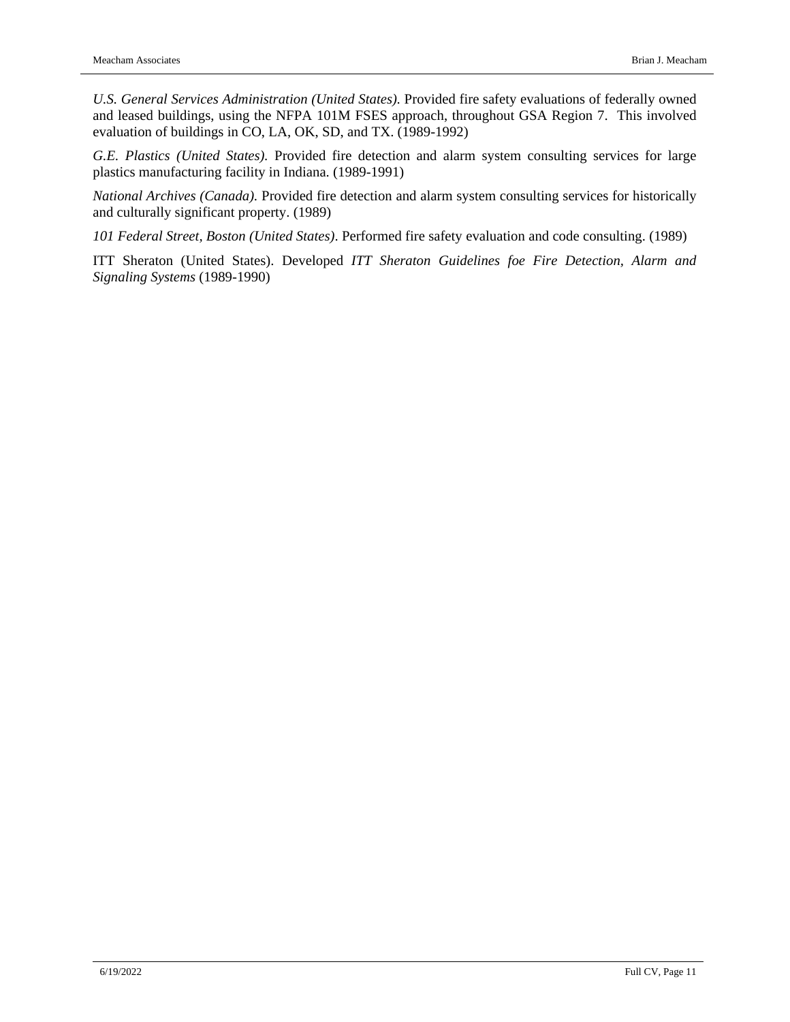*U.S. General Services Administration (United States).* Provided fire safety evaluations of federally owned and leased buildings, using the NFPA 101M FSES approach, throughout GSA Region 7. This involved evaluation of buildings in CO, LA, OK, SD, and TX. (1989-1992)

*G.E. Plastics (United States).* Provided fire detection and alarm system consulting services for large plastics manufacturing facility in Indiana. (1989-1991)

*National Archives (Canada).* Provided fire detection and alarm system consulting services for historically and culturally significant property. (1989)

*101 Federal Street, Boston (United States)*. Performed fire safety evaluation and code consulting. (1989)

ITT Sheraton (United States). Developed *ITT Sheraton Guidelines foe Fire Detection, Alarm and Signaling Systems* (1989-1990)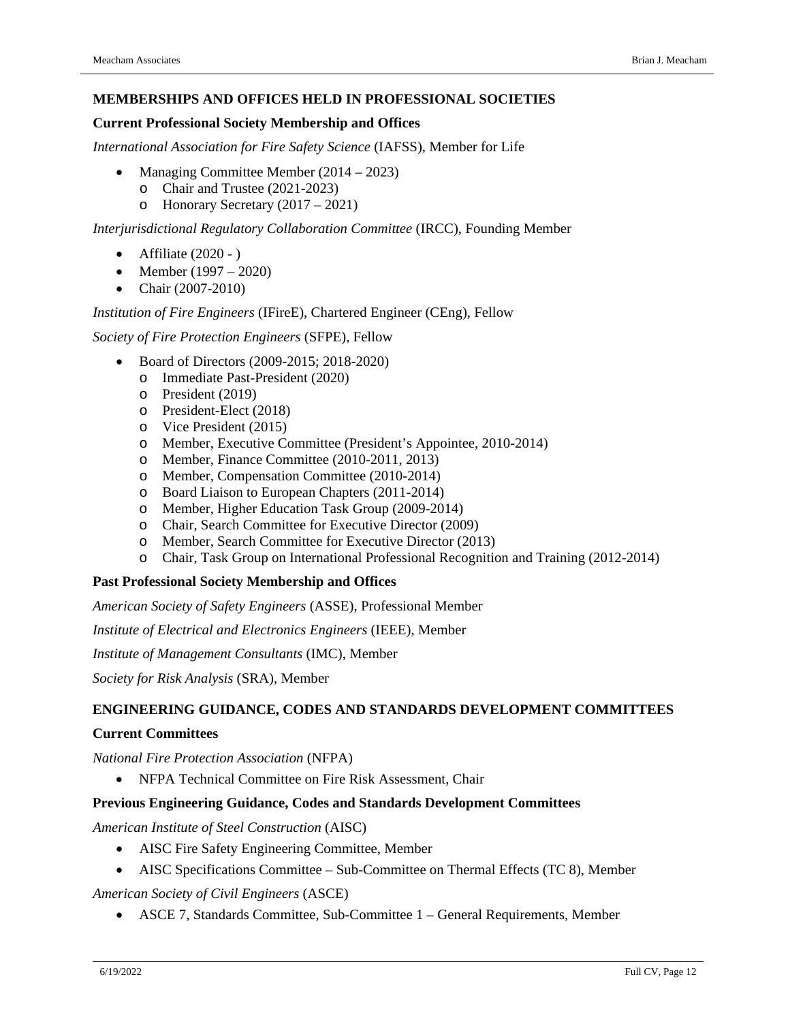#### **MEMBERSHIPS AND OFFICES HELD IN PROFESSIONAL SOCIETIES**

#### **Current Professional Society Membership and Offices**

*International Association for Fire Safety Science* (IAFSS), Member for Life

- Managing Committee Member (2014 2023)
	- o Chair and Trustee (2021-2023)
	- o Honorary Secretary (2017 2021)

*Interjurisdictional Regulatory Collaboration Committee* (IRCC), Founding Member

- Affiliate  $(2020 )$
- Member  $(1997 2020)$
- Chair (2007-2010)

#### *Institution of Fire Engineers* (IFireE), Chartered Engineer (CEng), Fellow

*Society of Fire Protection Engineers* (SFPE), Fellow

- Board of Directors (2009-2015; 2018-2020)
	- o Immediate Past-President (2020)
	- o President (2019)
	- o President-Elect (2018)
	- o Vice President (2015)
	- o Member, Executive Committee (President's Appointee, 2010-2014)
	- o Member, Finance Committee (2010-2011, 2013)
	- o Member, Compensation Committee (2010-2014)
	- o Board Liaison to European Chapters (2011-2014)
	- o Member, Higher Education Task Group (2009-2014)
	- o Chair, Search Committee for Executive Director (2009)
	- o Member, Search Committee for Executive Director (2013)
	- o Chair, Task Group on International Professional Recognition and Training (2012-2014)

#### **Past Professional Society Membership and Offices**

*American Society of Safety Engineers* (ASSE), Professional Member

*Institute of Electrical and Electronics Engineers* (IEEE), Member

*Institute of Management Consultants* (IMC), Member

*Society for Risk Analysis* (SRA), Member

#### **ENGINEERING GUIDANCE, CODES AND STANDARDS DEVELOPMENT COMMITTEES**

#### **Current Committees**

*National Fire Protection Association* (NFPA)

• NFPA Technical Committee on Fire Risk Assessment, Chair

#### **Previous Engineering Guidance, Codes and Standards Development Committees**

*American Institute of Steel Construction* (AISC)

- AISC Fire Safety Engineering Committee, Member
- AISC Specifications Committee Sub-Committee on Thermal Effects (TC 8), Member

*American Society of Civil Engineers* (ASCE)

• ASCE 7, Standards Committee, Sub-Committee 1 – General Requirements, Member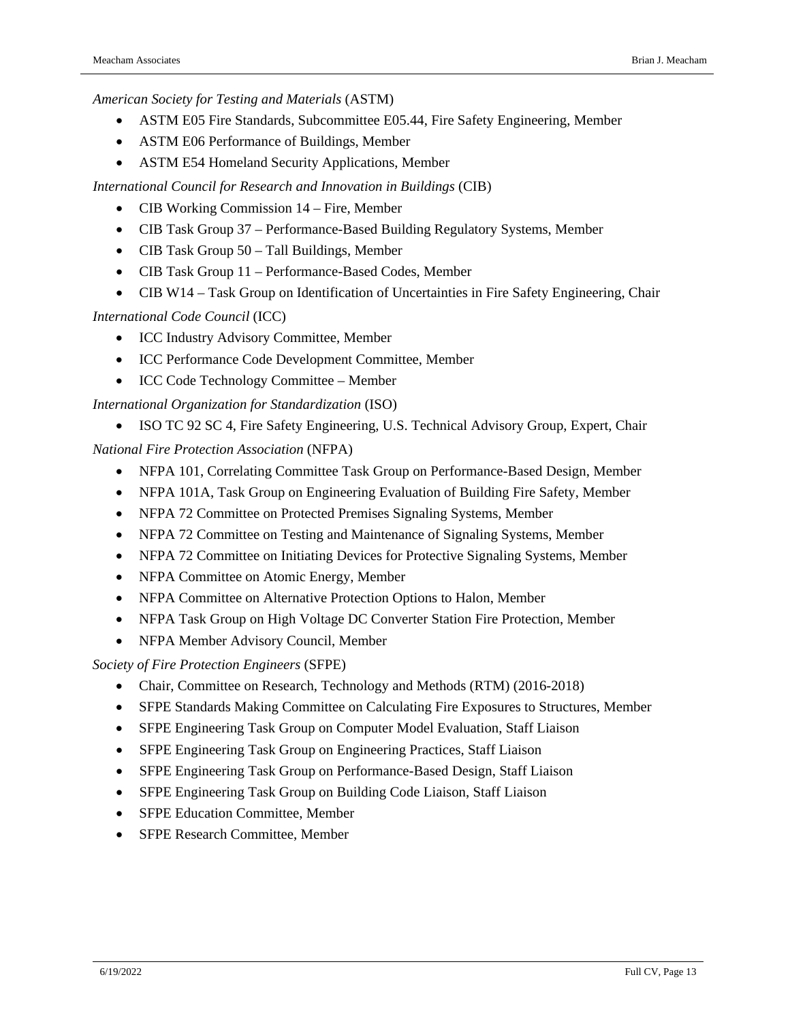*American Society for Testing and Materials* (ASTM)

- ASTM E05 Fire Standards, Subcommittee E05.44, Fire Safety Engineering, Member
- ASTM E06 Performance of Buildings, Member
- ASTM E54 Homeland Security Applications, Member

*International Council for Research and Innovation in Buildings* (CIB)

- CIB Working Commission 14 Fire, Member
- CIB Task Group 37 Performance-Based Building Regulatory Systems, Member
- CIB Task Group 50 Tall Buildings, Member
- CIB Task Group 11 Performance-Based Codes, Member
- CIB W14 Task Group on Identification of Uncertainties in Fire Safety Engineering, Chair

*International Code Council* (ICC)

- ICC Industry Advisory Committee, Member
- ICC Performance Code Development Committee, Member
- ICC Code Technology Committee Member

*International Organization for Standardization* (ISO)

• ISO TC 92 SC 4, Fire Safety Engineering, U.S. Technical Advisory Group, Expert, Chair

*National Fire Protection Association* (NFPA)

- NFPA 101, Correlating Committee Task Group on Performance-Based Design, Member
- NFPA 101A, Task Group on Engineering Evaluation of Building Fire Safety, Member
- NFPA 72 Committee on Protected Premises Signaling Systems, Member
- NFPA 72 Committee on Testing and Maintenance of Signaling Systems, Member
- NFPA 72 Committee on Initiating Devices for Protective Signaling Systems, Member
- NFPA Committee on Atomic Energy, Member
- NFPA Committee on Alternative Protection Options to Halon, Member
- NFPA Task Group on High Voltage DC Converter Station Fire Protection, Member
- NFPA Member Advisory Council, Member

*Society of Fire Protection Engineers* (SFPE)

- Chair, Committee on Research, Technology and Methods (RTM) (2016-2018)
- SFPE Standards Making Committee on Calculating Fire Exposures to Structures, Member
- SFPE Engineering Task Group on Computer Model Evaluation, Staff Liaison
- SFPE Engineering Task Group on Engineering Practices, Staff Liaison
- SFPE Engineering Task Group on Performance-Based Design, Staff Liaison
- SFPE Engineering Task Group on Building Code Liaison, Staff Liaison
- SFPE Education Committee, Member
- SFPE Research Committee, Member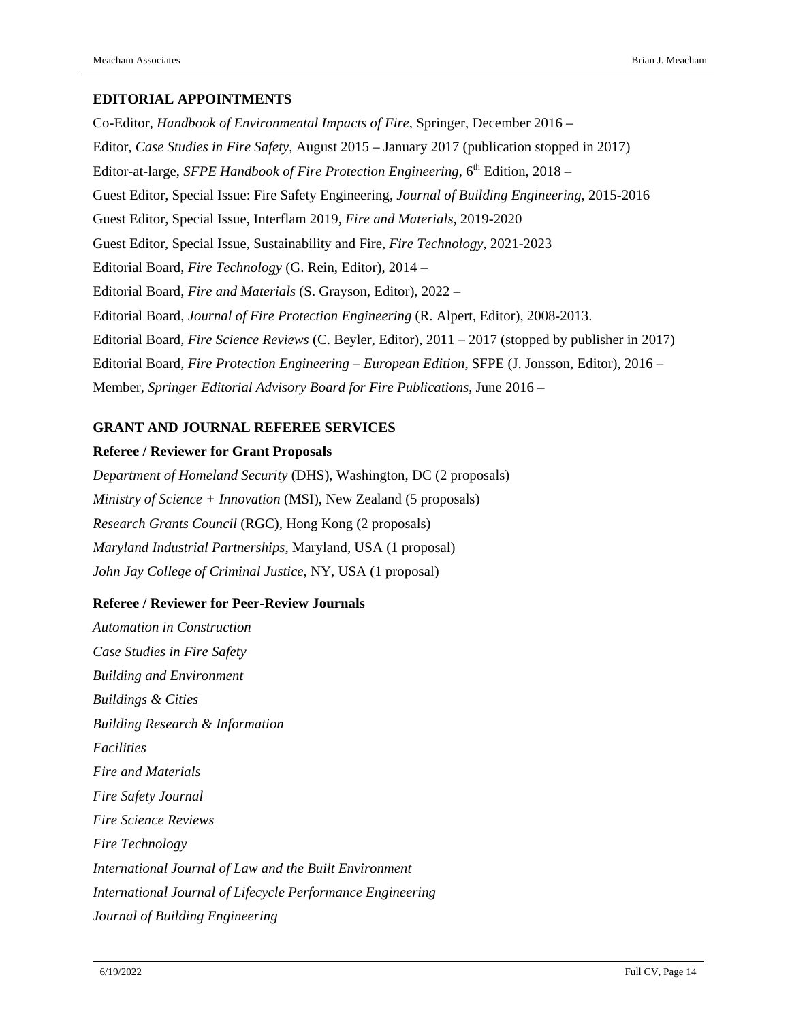#### **EDITORIAL APPOINTMENTS**

Co-Editor, *Handbook of Environmental Impacts of Fire*, Springer, December 2016 – Editor, *Case Studies in Fire Safety*, August 2015 – January 2017 (publication stopped in 2017) Editor-at-large, *SFPE Handbook of Fire Protection Engineering*, 6th Edition, 2018 – Guest Editor, Special Issue: Fire Safety Engineering, *Journal of Building Engineering*, 2015-2016 Guest Editor, Special Issue, Interflam 2019, *Fire and Materials*, 2019-2020 Guest Editor, Special Issue, Sustainability and Fire, *Fire Technology*, 2021-2023 Editorial Board, *Fire Technology* (G. Rein, Editor), 2014 – Editorial Board, *Fire and Materials* (S. Grayson, Editor), 2022 – Editorial Board, *Journal of Fire Protection Engineering* (R. Alpert, Editor), 2008-2013. Editorial Board, *Fire Science Reviews* (C. Beyler, Editor), 2011 – 2017 (stopped by publisher in 2017) Editorial Board, *Fire Protection Engineering – European Edition*, SFPE (J. Jonsson, Editor), 2016 – Member, *Springer Editorial Advisory Board for Fire Publications*, June 2016 –

### **GRANT AND JOURNAL REFEREE SERVICES**

#### **Referee / Reviewer for Grant Proposals**

*Department of Homeland Security* (DHS), Washington, DC (2 proposals) *Ministry of Science + Innovation* (MSI), New Zealand (5 proposals) *Research Grants Council* (RGC), Hong Kong (2 proposals) *Maryland Industrial Partnerships*, Maryland, USA (1 proposal) *John Jay College of Criminal Justice*, NY, USA (1 proposal)

### **Referee / Reviewer for Peer-Review Journals**

*Automation in Construction Case Studies in Fire Safety Building and Environment Buildings & Cities Building Research & Information Facilities Fire and Materials Fire Safety Journal Fire Science Reviews Fire Technology International Journal of Law and the Built Environment International Journal of Lifecycle Performance Engineering Journal of Building Engineering*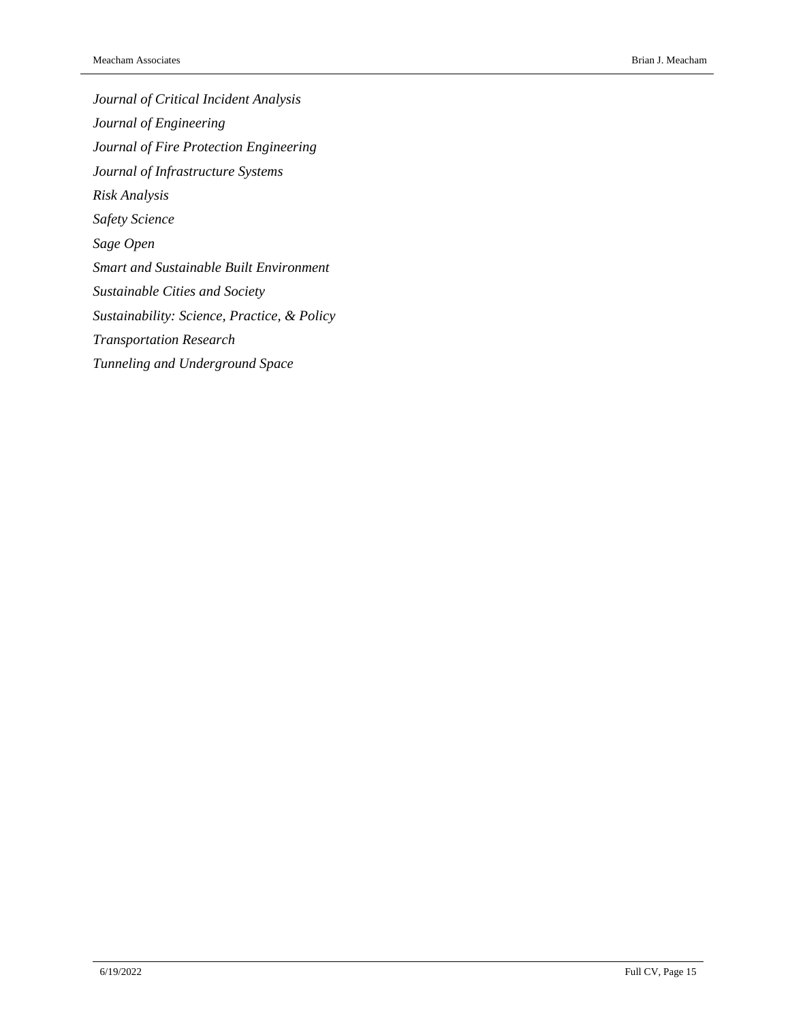*Journal of Critical Incident Analysis Journal of Engineering Journal of Fire Protection Engineering Journal of Infrastructure Systems Risk Analysis Safety Science Sage Open Smart and Sustainable Built Environment Sustainable Cities and Society Sustainability: Science, Practice, & Policy Transportation Research Tunneling and Underground Space*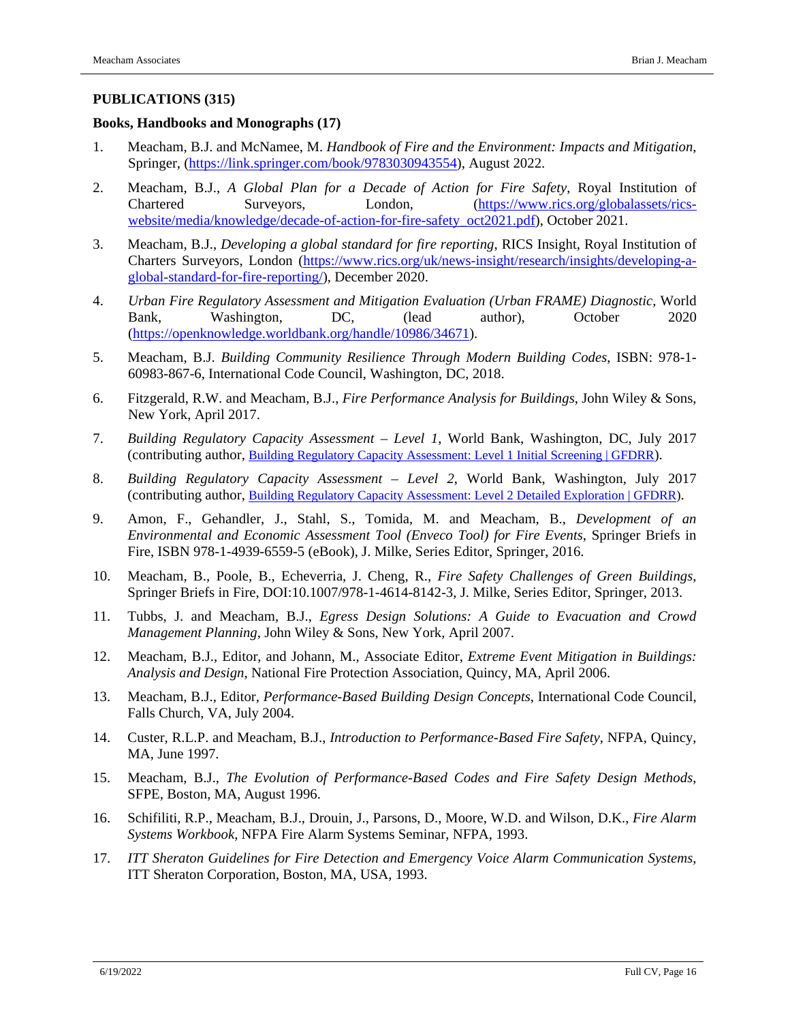#### **PUBLICATIONS (315)**

#### **Books, Handbooks and Monographs (17)**

- 1. Meacham, B.J. and McNamee, M. *Handbook of Fire and the Environment: Impacts and Mitigation*, Springer, [\(https://link.springer.com/book/9783030943554\)](https://link.springer.com/book/9783030943554), August 2022.
- 2. Meacham, B.J., *A Global Plan for a Decade of Action for Fire Safety*, Royal Institution of Chartered Surveyors, London, [\(https://www.rics.org/globalassets/rics](https://www.rics.org/globalassets/rics-website/media/knowledge/decade-of-action-for-fire-safety_oct2021.pdf)[website/media/knowledge/decade-of-action-for-fire-safety\\_oct2021.pdf\)](https://www.rics.org/globalassets/rics-website/media/knowledge/decade-of-action-for-fire-safety_oct2021.pdf), October 2021.
- 3. Meacham, B.J., *Developing a global standard for fire reporting*, RICS Insight, Royal Institution of Charters Surveyors, London [\(https://www.rics.org/uk/news-insight/research/insights/developing-a](https://www.rics.org/uk/news-insight/research/insights/developing-a-global-standard-for-fire-reporting/)[global-standard-for-fire-reporting/\)](https://www.rics.org/uk/news-insight/research/insights/developing-a-global-standard-for-fire-reporting/), December 2020.
- 4. *Urban Fire Regulatory Assessment and Mitigation Evaluation (Urban FRAME) Diagnostic*, World Bank, Washington, DC, (lead author), October 2020 [\(https://openknowledge.worldbank.org/handle/10986/34671\)](https://openknowledge.worldbank.org/handle/10986/34671).
- 5. Meacham, B.J. *Building Community Resilience Through Modern Building Codes*, ISBN: 978-1- 60983-867-6, International Code Council, Washington, DC, 2018.
- 6. Fitzgerald, R.W. and Meacham, B.J., *Fire Performance Analysis for Buildings*, John Wiley & Sons, New York, April 2017.
- 7. *Building Regulatory Capacity Assessment – Level 1*, World Bank, Washington, DC, July 2017 (contributing author, [Building Regulatory Capacity Assessment: Level 1 Initial Screening |](https://www.gfdrr.org/en/publication/building-regulatory-capacity-assessment-level-1-initial-screening) GFDRR).
- 8. *Building Regulatory Capacity Assessment – Level 2*, World Bank, Washington, July 2017 (contributing author, [Building Regulatory Capacity Assessment: Level 2 Detailed Exploration | GFDRR\)](https://www.gfdrr.org/en/publication/building-regulatory-capacity-assessment-level-2-detailed-exploration).
- 9. Amon, F., Gehandler, J., Stahl, S., Tomida, M. and Meacham, B., *Development of an Environmental and Economic Assessment Tool (Enveco Tool) for Fire Events*, Springer Briefs in Fire, ISBN 978-1-4939-6559-5 (eBook), J. Milke, Series Editor, Springer, 2016.
- 10. Meacham, B., Poole, B., Echeverria, J. Cheng, R., *Fire Safety Challenges of Green Buildings*, Springer Briefs in Fire, DOI:10.1007/978-1-4614-8142-3, J. Milke, Series Editor, Springer, 2013.
- 11. Tubbs, J. and Meacham, B.J., *Egress Design Solutions: A Guide to Evacuation and Crowd Management Planning*, John Wiley & Sons, New York, April 2007.
- 12. Meacham, B.J., Editor, and Johann, M., Associate Editor, *Extreme Event Mitigation in Buildings: Analysis and Design*, National Fire Protection Association, Quincy, MA, April 2006.
- 13. Meacham, B.J., Editor, *Performance-Based Building Design Concepts*, International Code Council, Falls Church, VA, July 2004.
- 14. Custer, R.L.P. and Meacham, B.J., *Introduction to Performance-Based Fire Safety*, NFPA, Quincy, MA, June 1997.
- 15. Meacham, B.J., *The Evolution of Performance-Based Codes and Fire Safety Design Methods*, SFPE, Boston, MA, August 1996.
- 16. Schifiliti, R.P., Meacham, B.J., Drouin, J., Parsons, D., Moore, W.D. and Wilson, D.K., *Fire Alarm Systems Workbook*, NFPA Fire Alarm Systems Seminar, NFPA, 1993.
- 17. *ITT Sheraton Guidelines for Fire Detection and Emergency Voice Alarm Communication Systems*, ITT Sheraton Corporation, Boston, MA, USA, 1993.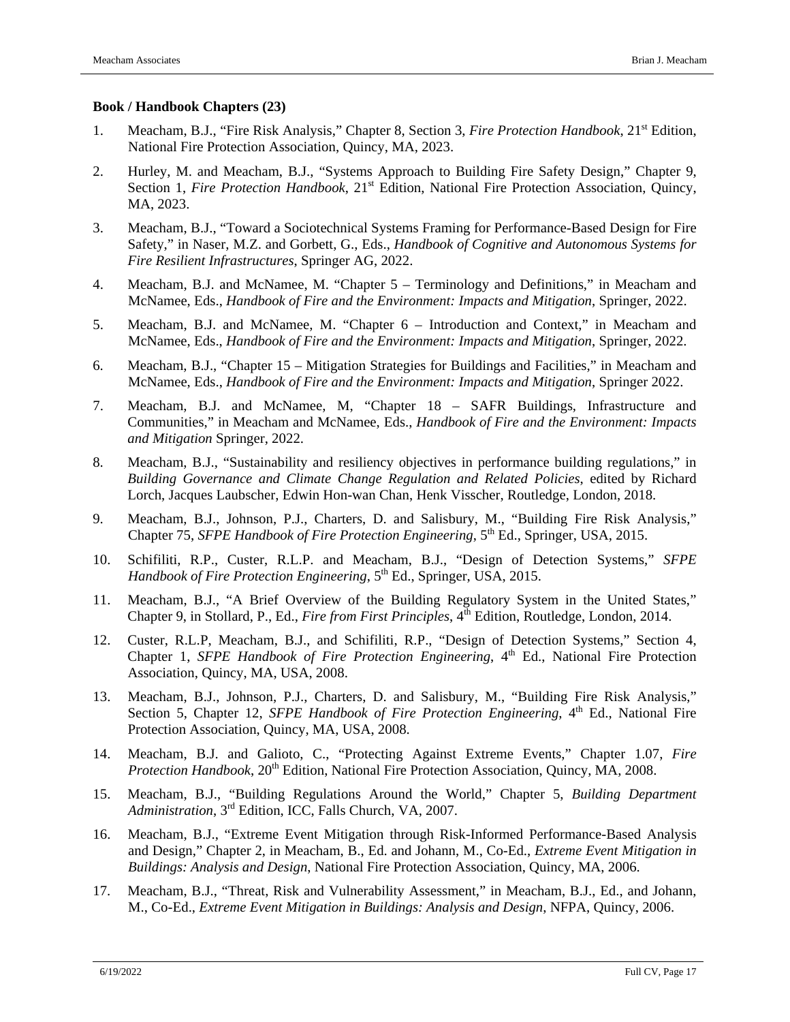#### **Book / Handbook Chapters (23)**

- 1. Meacham, B.J., "Fire Risk Analysis," Chapter 8, Section 3, *Fire Protection Handbook*, 21st Edition, National Fire Protection Association, Quincy, MA, 2023.
- 2. Hurley, M. and Meacham, B.J., "Systems Approach to Building Fire Safety Design," Chapter 9, Section 1, *Fire Protection Handbook*, 21<sup>st</sup> Edition, National Fire Protection Association, Quincy, MA, 2023.
- 3. Meacham, B.J., "Toward a Sociotechnical Systems Framing for Performance-Based Design for Fire Safety," in Naser, M.Z. and Gorbett, G., Eds., *Handbook of Cognitive and Autonomous Systems for Fire Resilient Infrastructures*, Springer AG, 2022.
- 4. Meacham, B.J. and McNamee, M. "Chapter 5 Terminology and Definitions," in Meacham and McNamee, Eds., *Handbook of Fire and the Environment: Impacts and Mitigation*, Springer, 2022.
- 5. Meacham, B.J. and McNamee, M. "Chapter 6 Introduction and Context," in Meacham and McNamee, Eds., *Handbook of Fire and the Environment: Impacts and Mitigation*, Springer, 2022.
- 6. Meacham, B.J., "Chapter 15 Mitigation Strategies for Buildings and Facilities," in Meacham and McNamee, Eds., *Handbook of Fire and the Environment: Impacts and Mitigation*, Springer 2022.
- 7. Meacham, B.J. and McNamee, M, "Chapter 18 SAFR Buildings, Infrastructure and Communities," in Meacham and McNamee, Eds., *Handbook of Fire and the Environment: Impacts and Mitigation* Springer, 2022.
- 8. Meacham, B.J., "Sustainability and resiliency objectives in performance building regulations," in *Building Governance and Climate Change Regulation and Related Policies*, edited by Richard Lorch, Jacques Laubscher, Edwin Hon-wan Chan, Henk Visscher, Routledge, London, 2018.
- 9. Meacham, B.J., Johnson, P.J., Charters, D. and Salisbury, M., "Building Fire Risk Analysis," Chapter 75, *SFPE Handbook of Fire Protection Engineering*, 5<sup>th</sup> Ed., Springer, USA, 2015.
- 10. Schifiliti, R.P., Custer, R.L.P. and Meacham, B.J., "Design of Detection Systems," *SFPE Handbook of Fire Protection Engineering*, 5<sup>th</sup> Ed., Springer, USA, 2015.
- 11. Meacham, B.J., "A Brief Overview of the Building Regulatory System in the United States," Chapter 9, in Stollard, P., Ed., *Fire from First Principles*, 4th Edition, Routledge, London, 2014.
- 12. Custer, R.L.P, Meacham, B.J., and Schifiliti, R.P., "Design of Detection Systems," Section 4, Chapter 1, *SFPE Handbook of Fire Protection Engineering*, 4<sup>th</sup> Ed., National Fire Protection Association, Quincy, MA, USA, 2008.
- 13. Meacham, B.J., Johnson, P.J., Charters, D. and Salisbury, M., "Building Fire Risk Analysis," Section 5, Chapter 12, *SFPE Handbook of Fire Protection Engineering*, 4<sup>th</sup> Ed., National Fire Protection Association, Quincy, MA, USA, 2008.
- 14. Meacham, B.J. and Galioto, C., "Protecting Against Extreme Events," Chapter 1.07, *Fire Protection Handbook*, 20<sup>th</sup> Edition, National Fire Protection Association, Quincy, MA, 2008.
- 15. Meacham, B.J., "Building Regulations Around the World," Chapter 5, *Building Department Administration*, 3rd Edition, ICC, Falls Church, VA, 2007.
- 16. Meacham, B.J., "Extreme Event Mitigation through Risk-Informed Performance-Based Analysis and Design," Chapter 2, in Meacham, B., Ed. and Johann, M., Co-Ed., *Extreme Event Mitigation in Buildings: Analysis and Design*, National Fire Protection Association, Quincy, MA, 2006.
- 17. Meacham, B.J., "Threat, Risk and Vulnerability Assessment," in Meacham, B.J., Ed., and Johann, M., Co-Ed., *Extreme Event Mitigation in Buildings: Analysis and Design*, NFPA, Quincy, 2006.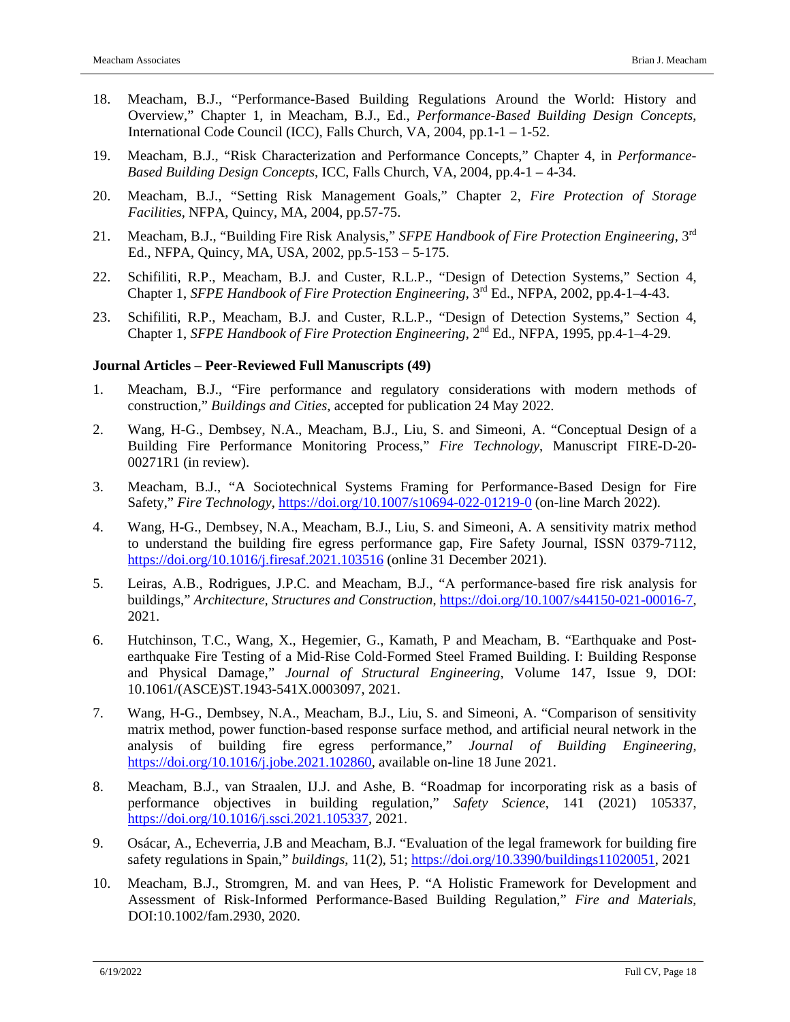- 18. Meacham, B.J., "Performance-Based Building Regulations Around the World: History and Overview," Chapter 1, in Meacham, B.J., Ed., *Performance-Based Building Design Concepts*, International Code Council (ICC), Falls Church, VA, 2004, pp.1-1 – 1-52.
- 19. Meacham, B.J., "Risk Characterization and Performance Concepts," Chapter 4, in *Performance-Based Building Design Concepts*, ICC, Falls Church, VA, 2004, pp.4-1 – 4-34.
- 20. Meacham, B.J., "Setting Risk Management Goals," Chapter 2, *Fire Protection of Storage Facilities*, NFPA, Quincy, MA, 2004, pp.57-75.
- 21. Meacham, B.J., "Building Fire Risk Analysis," *SFPE Handbook of Fire Protection Engineering*, 3rd Ed., NFPA, Quincy, MA, USA, 2002, pp.5-153 – 5-175.
- 22. Schifiliti, R.P., Meacham, B.J. and Custer, R.L.P., "Design of Detection Systems," Section 4, Chapter 1, *SFPE Handbook of Fire Protection Engineering*, 3rd Ed., NFPA, 2002, pp.4-1–4-43.
- 23. Schifiliti, R.P., Meacham, B.J. and Custer, R.L.P., "Design of Detection Systems," Section 4, Chapter 1, *SFPE Handbook of Fire Protection Engineering*, 2nd Ed., NFPA, 1995, pp.4-1–4-29.

### **Journal Articles – Peer-Reviewed Full Manuscripts (49)**

- 1. Meacham, B.J., "Fire performance and regulatory considerations with modern methods of construction," *Buildings and Cities*, accepted for publication 24 May 2022.
- 2. Wang, H-G., Dembsey, N.A., Meacham, B.J., Liu, S. and Simeoni, A. "Conceptual Design of a Building Fire Performance Monitoring Process," *Fire Technology*, Manuscript FIRE-D-20- 00271R1 (in review).
- 3. Meacham, B.J., "A Sociotechnical Systems Framing for Performance-Based Design for Fire Safety," *Fire Technology*,<https://doi.org/10.1007/s10694-022-01219-0> (on-line March 2022).
- 4. Wang, H-G., Dembsey, N.A., Meacham, B.J., Liu, S. and Simeoni, A. A sensitivity matrix method to understand the building fire egress performance gap, Fire Safety Journal, ISSN 0379-7112, <https://doi.org/10.1016/j.firesaf.2021.103516> (online 31 December 2021).
- 5. Leiras, A.B., Rodrigues, J.P.C. and Meacham, B.J., "A performance‑based fire risk analysis for buildings," *Architecture, Structures and Construction*, [https://doi.org/10.1007/s44150-021-00016-7,](https://doi.org/10.1007/s44150-021-00016-7) 2021.
- 6. Hutchinson, T.C., Wang, X., Hegemier, G., Kamath, P and Meacham, B. "Earthquake and Postearthquake Fire Testing of a Mid-Rise Cold-Formed Steel Framed Building. I: Building Response and Physical Damage," *Journal of Structural Engineering*, Volume 147, Issue 9, DOI: 10.1061/(ASCE)ST.1943-541X.0003097, 2021.
- 7. Wang, H-G., Dembsey, N.A., Meacham, B.J., Liu, S. and Simeoni, A. "Comparison of sensitivity matrix method, power function-based response surface method, and artificial neural network in the analysis of building fire egress performance," *Journal of Building Engineering*, [https://doi.org/10.1016/j.jobe.2021.102860,](https://doi.org/10.1016/j.jobe.2021.102860) available on-line 18 June 2021.
- 8. Meacham, B.J., van Straalen, IJ.J. and Ashe, B. "Roadmap for incorporating risk as a basis of performance objectives in building regulation," *Safety Science*, 141 (2021) 105337, [https://doi.org/10.1016/j.ssci.2021.105337,](https://doi.org/10.1016/j.ssci.2021.105337) 2021.
- 9. Osácar, A., Echeverria, J.B and Meacham, B.J. "Evaluation of the legal framework for building fire safety regulations in Spain," *buildings*, 11(2), 51; [https://doi.org/10.3390/buildings11020051,](https://doi.org/10.3390/buildings11020051) 2021
- 10. Meacham, B.J., Stromgren, M. and van Hees, P. "A Holistic Framework for Development and Assessment of Risk-Informed Performance-Based Building Regulation," *Fire and Materials*, DOI:10.1002/fam.2930, 2020.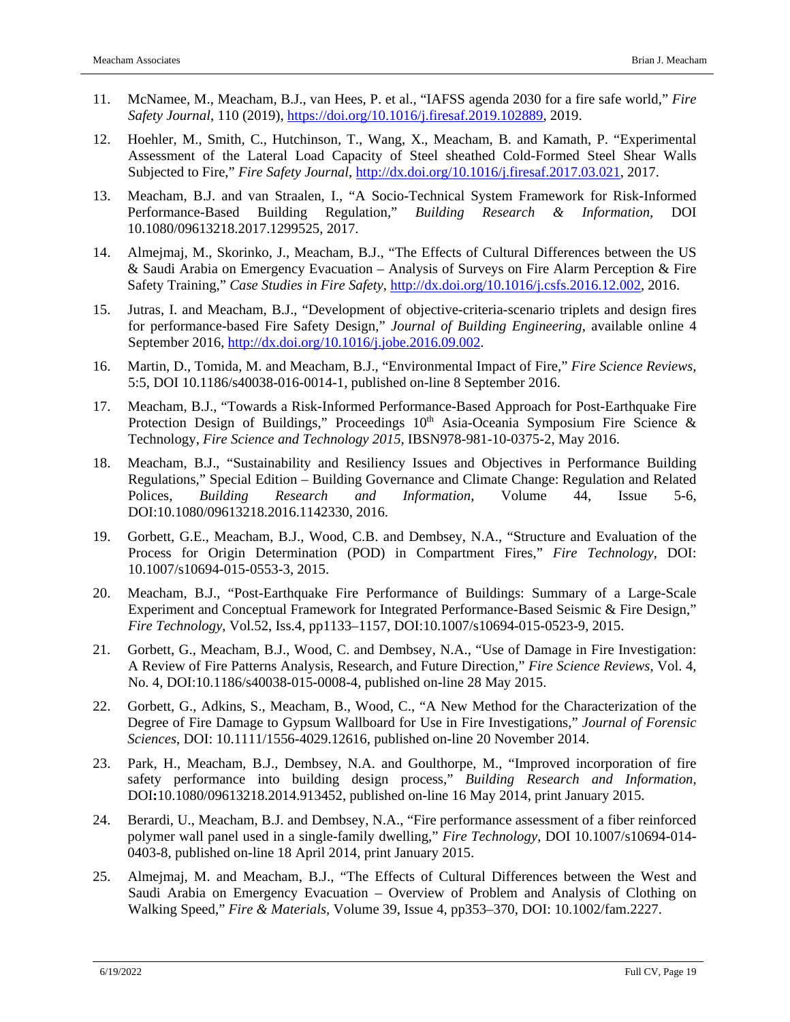- 11. McNamee, M., Meacham, B.J., van Hees, P. et al., "IAFSS agenda 2030 for a fire safe world," *Fire Safety Journal*, 110 (2019), [https://doi.org/10.1016/j.firesaf.2019.102889,](https://doi.org/10.1016/j.firesaf.2019.102889) 2019.
- 12. Hoehler, M., Smith, C., Hutchinson, T., Wang, X., Meacham, B. and Kamath, P. "Experimental Assessment of the Lateral Load Capacity of Steel sheathed Cold-Formed Steel Shear Walls Subjected to Fire," *Fire Safety Journal*, [http://dx.doi.org/10.1016/j.firesaf.2017.03.021,](http://dx.doi.org/10.1016/j.firesaf.2017.03.021) 2017.
- 13. Meacham, B.J. and van Straalen, I., "A Socio-Technical System Framework for Risk-Informed Performance-Based Building Regulation," *Building Research & Information,* DOI 10.1080/09613218.2017.1299525, 2017.
- 14. Almejmaj, M., Skorinko, J., Meacham, B.J., "The Effects of Cultural Differences between the US & Saudi Arabia on Emergency Evacuation – Analysis of Surveys on Fire Alarm Perception & Fire Safety Training," *Case Studies in Fire Safety*, [http://dx.doi.org/10.1016/j.csfs.2016.12.002,](http://dx.doi.org/10.1016/j.csfs.2016.12.002) 2016.
- 15. Jutras, I. and Meacham, B.J., "Development of objective-criteria-scenario triplets and design fires for performance-based Fire Safety Design," *Journal of Building Engineering*, available online 4 September 2016, [http://dx.doi.org/10.1016/j.jobe.2016.09.002.](http://dx.doi.org/10.1016/j.jobe.2016.09.002)
- 16. Martin, D., Tomida, M. and Meacham, B.J., "Environmental Impact of Fire," *Fire Science Reviews*, 5:5, DOI 10.1186/s40038-016-0014-1, published on-line 8 September 2016.
- 17. Meacham, B.J., "Towards a Risk-Informed Performance-Based Approach for Post-Earthquake Fire Protection Design of Buildings," Proceedings  $10<sup>th</sup>$  Asia-Oceania Symposium Fire Science & Technology, *Fire Science and Technology 2015*, IBSN978-981-10-0375-2, May 2016.
- 18. Meacham, B.J., "Sustainability and Resiliency Issues and Objectives in Performance Building Regulations," Special Edition – Building Governance and Climate Change: Regulation and Related Polices, *Building Research and Information*, Volume 44, Issue 5-6, DOI:10.1080/09613218.2016.1142330, 2016.
- 19. Gorbett, G.E., Meacham, B.J., Wood, C.B. and Dembsey, N.A., "Structure and Evaluation of the Process for Origin Determination (POD) in Compartment Fires," *Fire Technology*, DOI: 10.1007/s10694-015-0553-3, 2015.
- 20. Meacham, B.J., "Post-Earthquake Fire Performance of Buildings: Summary of a Large-Scale Experiment and Conceptual Framework for Integrated Performance-Based Seismic & Fire Design," *Fire Technology*, Vol.52, Iss.4, pp1133–1157, DOI:10.1007/s10694-015-0523-9, 2015.
- 21. Gorbett, G., Meacham, B.J., Wood, C. and Dembsey, N.A., "Use of Damage in Fire Investigation: A Review of Fire Patterns Analysis, Research, and Future Direction," *Fire Science Reviews*, Vol. 4, No. 4, DOI:10.1186/s40038-015-0008-4, published on-line 28 May 2015.
- 22. Gorbett, G., Adkins, S., Meacham, B., Wood, C., "A New Method for the Characterization of the Degree of Fire Damage to Gypsum Wallboard for Use in Fire Investigations," *Journal of Forensic Sciences*, DOI: 10.1111/1556-4029.12616, published on-line 20 November 2014.
- 23. Park, H., Meacham, B.J., Dembsey, N.A. and Goulthorpe, M., "Improved incorporation of fire safety performance into building design process," *Building Research and Information*, DOI**:**10.1080/09613218.2014.913452, published on-line 16 May 2014, print January 2015.
- 24. Berardi, U., Meacham, B.J. and Dembsey, N.A., "Fire performance assessment of a fiber reinforced polymer wall panel used in a single-family dwelling," *Fire Technology*, DOI 10.1007/s10694-014- 0403-8, published on-line 18 April 2014, print January 2015.
- 25. Almejmaj, M. and Meacham, B.J., "The Effects of Cultural Differences between the West and Saudi Arabia on Emergency Evacuation – Overview of Problem and Analysis of Clothing on Walking Speed," *Fire & Materials,* Volume 39, Issue 4, pp353–370, DOI: 10.1002/fam.2227.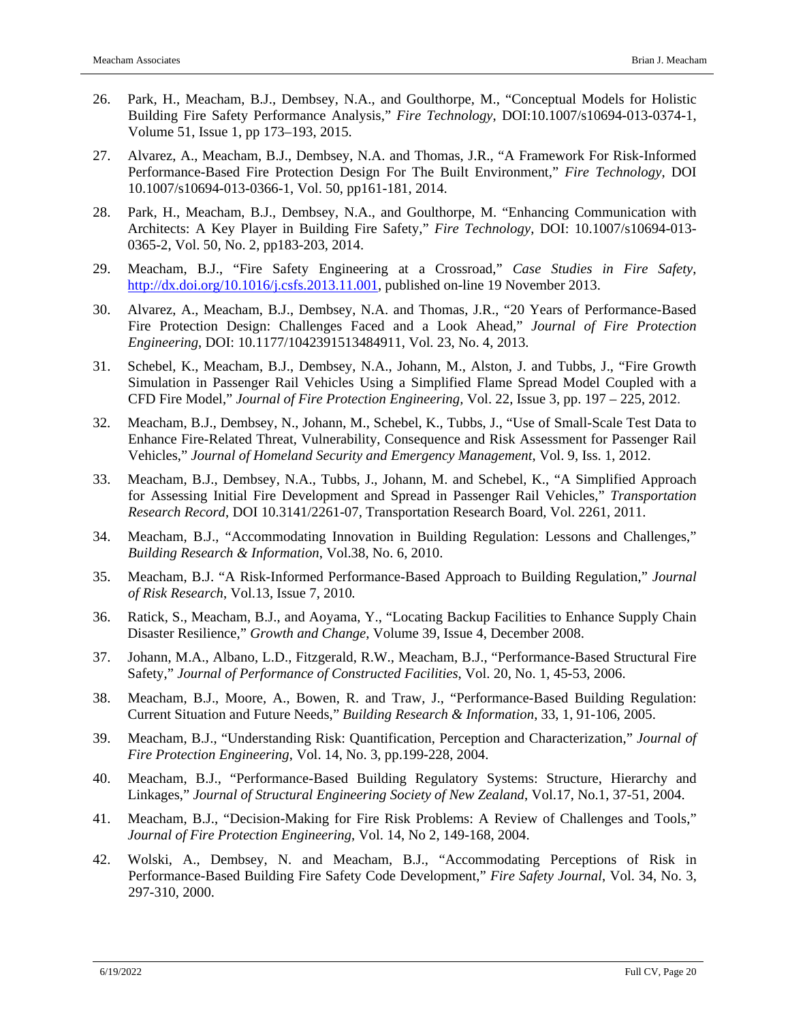- 26. Park, H., Meacham, B.J., Dembsey, N.A., and Goulthorpe, M., "Conceptual Models for Holistic Building Fire Safety Performance Analysis," *Fire Technology*, DOI:10.1007/s10694-013-0374-1, Volume 51, Issue 1, pp 173–193, 2015.
- 27. Alvarez, A., Meacham, B.J., Dembsey, N.A. and Thomas, J.R., "A Framework For Risk-Informed Performance-Based Fire Protection Design For The Built Environment," *Fire Technology*, DOI 10.1007/s10694-013-0366-1, Vol. 50, pp161-181, 2014.
- 28. Park, H., Meacham, B.J., Dembsey, N.A., and Goulthorpe, M. "Enhancing Communication with Architects: A Key Player in Building Fire Safety," *Fire Technology*, DOI: 10.1007/s10694-013- 0365-2, Vol. 50, No. 2, pp183-203, 2014.
- 29. Meacham, B.J., "Fire Safety Engineering at a Crossroad," *Case Studies in Fire Safety*, [http://dx.doi.org/10.1016/j.csfs.2013.11.001,](http://dx.doi.org/10.1016/j.csfs.2013.11.001) published on-line 19 November 2013.
- 30. Alvarez, A., Meacham, B.J., Dembsey, N.A. and Thomas, J.R., "20 Years of Performance-Based Fire Protection Design: Challenges Faced and a Look Ahead," *Journal of Fire Protection Engineering*, DOI: 10.1177/1042391513484911, Vol. 23, No. 4, 2013.
- 31. Schebel, K., Meacham, B.J., Dembsey, N.A., Johann, M., Alston, J. and Tubbs, J., "Fire Growth Simulation in Passenger Rail Vehicles Using a Simplified Flame Spread Model Coupled with a CFD Fire Model," *Journal of Fire Protection Engineering,* Vol. 22, Issue 3, pp. 197 – 225, 2012.
- 32. Meacham, B.J., Dembsey, N., Johann, M., Schebel, K., Tubbs, J., "Use of Small-Scale Test Data to Enhance Fire-Related Threat, Vulnerability, Consequence and Risk Assessment for Passenger Rail Vehicles," *Journal of Homeland Security and Emergency Management*, Vol. 9, Iss. 1, 2012.
- 33. Meacham, B.J., Dembsey, N.A., Tubbs, J., Johann, M. and Schebel, K., "A Simplified Approach for Assessing Initial Fire Development and Spread in Passenger Rail Vehicles," *Transportation Research Record*, DOI 10.3141/2261-07, Transportation Research Board, Vol. 2261, 2011.
- 34. Meacham, B.J., "Accommodating Innovation in Building Regulation: Lessons and Challenges," *Building Research & Information*, Vol.38, No. 6, 2010.
- 35. Meacham, B.J. "A Risk-Informed Performance-Based Approach to Building Regulation," *Journal of Risk Research*, Vol.13, Issue 7, 2010*.*
- 36. Ratick, S., Meacham, B.J., and Aoyama, Y., "Locating Backup Facilities to Enhance Supply Chain Disaster Resilience," *Growth and Change,* Volume 39, Issue 4, December 2008.
- 37. Johann, M.A., Albano, L.D., Fitzgerald, R.W., Meacham, B.J., "Performance-Based Structural Fire Safety," *Journal of Performance of Constructed Facilities*, Vol. 20, No. 1, 45-53, 2006.
- 38. Meacham, B.J., Moore, A., Bowen, R. and Traw, J., "Performance-Based Building Regulation: Current Situation and Future Needs," *Building Research & Information*, 33, 1, 91-106, 2005.
- 39. Meacham, B.J., "Understanding Risk: Quantification, Perception and Characterization," *Journal of Fire Protection Engineering*, Vol. 14, No. 3, pp.199-228, 2004.
- 40. Meacham, B.J., "Performance-Based Building Regulatory Systems: Structure, Hierarchy and Linkages," *Journal of Structural Engineering Society of New Zealand*, Vol.17, No.1, 37-51, 2004.
- 41. Meacham, B.J., "Decision-Making for Fire Risk Problems: A Review of Challenges and Tools," *Journal of Fire Protection Engineering*, Vol. 14, No 2, 149-168, 2004.
- 42. Wolski, A., Dembsey, N. and Meacham, B.J., "Accommodating Perceptions of Risk in Performance-Based Building Fire Safety Code Development," *Fire Safety Journal*, Vol. 34, No. 3, 297-310, 2000.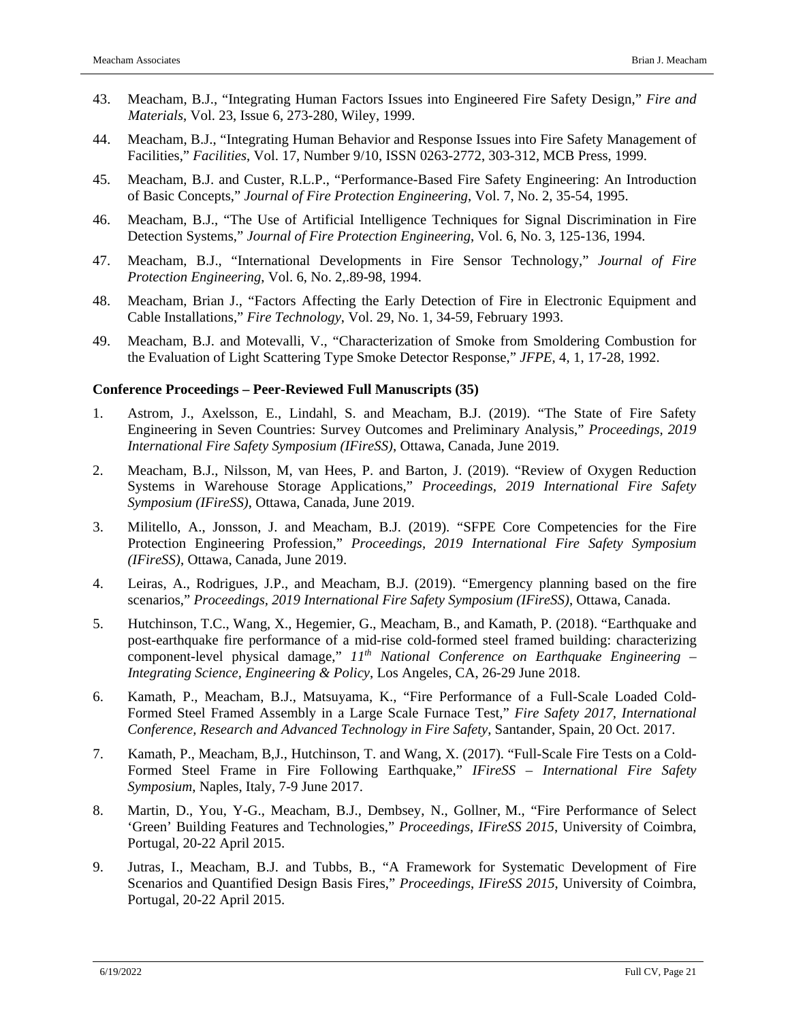- 43. Meacham, B.J., "Integrating Human Factors Issues into Engineered Fire Safety Design," *Fire and Materials*, Vol. 23, Issue 6, 273-280, Wiley, 1999.
- 44. Meacham, B.J., "Integrating Human Behavior and Response Issues into Fire Safety Management of Facilities," *Facilities*, Vol. 17, Number 9/10, ISSN 0263-2772, 303-312, MCB Press, 1999.
- 45. Meacham, B.J. and Custer, R.L.P., "Performance-Based Fire Safety Engineering: An Introduction of Basic Concepts," *Journal of Fire Protection Engineering*, Vol. 7, No. 2, 35-54, 1995.
- 46. Meacham, B.J., "The Use of Artificial Intelligence Techniques for Signal Discrimination in Fire Detection Systems," *Journal of Fire Protection Engineering*, Vol. 6, No. 3, 125-136, 1994.
- 47. Meacham, B.J., "International Developments in Fire Sensor Technology," *Journal of Fire Protection Engineering*, Vol. 6, No. 2,.89-98, 1994.
- 48. Meacham, Brian J., "Factors Affecting the Early Detection of Fire in Electronic Equipment and Cable Installations," *Fire Technology*, Vol. 29, No. 1, 34-59, February 1993.
- 49. Meacham, B.J. and Motevalli, V., "Characterization of Smoke from Smoldering Combustion for the Evaluation of Light Scattering Type Smoke Detector Response," *JFPE*, 4, 1, 17-28, 1992.

#### **Conference Proceedings – Peer-Reviewed Full Manuscripts (35)**

- 1. Astrom, J., Axelsson, E., Lindahl, S. and Meacham, B.J. (2019). "The State of Fire Safety Engineering in Seven Countries: Survey Outcomes and Preliminary Analysis," *Proceedings, 2019 International Fire Safety Symposium (IFireSS)*, Ottawa, Canada, June 2019.
- 2. Meacham, B.J., Nilsson, M, van Hees, P. and Barton, J. (2019). "Review of Oxygen Reduction Systems in Warehouse Storage Applications," *Proceedings, 2019 International Fire Safety Symposium (IFireSS)*, Ottawa, Canada, June 2019.
- 3. Militello, A., Jonsson, J. and Meacham, B.J. (2019). "SFPE Core Competencies for the Fire Protection Engineering Profession," *Proceedings, 2019 International Fire Safety Symposium (IFireSS)*, Ottawa, Canada, June 2019.
- 4. Leiras, A., Rodrigues, J.P., and Meacham, B.J. (2019). "Emergency planning based on the fire scenarios," *Proceedings, 2019 International Fire Safety Symposium (IFireSS)*, Ottawa, Canada.
- 5. Hutchinson, T.C., Wang, X., Hegemier, G., Meacham, B., and Kamath, P. (2018). "Earthquake and post-earthquake fire performance of a mid-rise cold-formed steel framed building: characterizing component-level physical damage," *11th National Conference on Earthquake Engineering – Integrating Science, Engineering & Policy*, Los Angeles, CA, 26-29 June 2018.
- 6. Kamath, P., Meacham, B.J., Matsuyama, K., "Fire Performance of a Full-Scale Loaded Cold-Formed Steel Framed Assembly in a Large Scale Furnace Test," *Fire Safety 2017, International Conference, Research and Advanced Technology in Fire Safety*, Santander, Spain, 20 Oct. 2017.
- 7. Kamath, P., Meacham, B,J., Hutchinson, T. and Wang, X. (2017). "Full-Scale Fire Tests on a Cold-Formed Steel Frame in Fire Following Earthquake," *IFireSS – International Fire Safety Symposium*, Naples, Italy, 7-9 June 2017.
- 8. Martin, D., You, Y-G., Meacham, B.J., Dembsey, N., Gollner, M., "Fire Performance of Select 'Green' Building Features and Technologies," *Proceedings*, *IFireSS 2015*, University of Coimbra, Portugal, 20-22 April 2015.
- 9. Jutras, I., Meacham, B.J. and Tubbs, B., "A Framework for Systematic Development of Fire Scenarios and Quantified Design Basis Fires," *Proceedings*, *IFireSS 2015*, University of Coimbra, Portugal, 20-22 April 2015.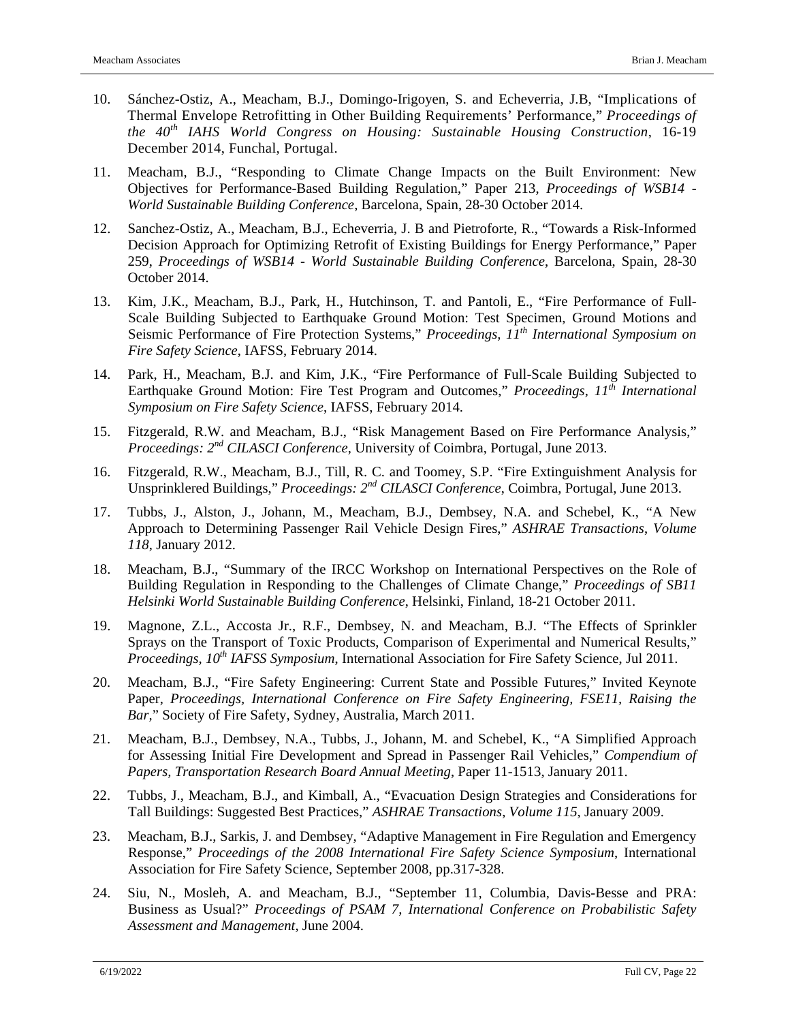- 10. Sánchez-Ostiz, A., Meacham, B.J., Domingo-Irigoyen, S. and Echeverria, J.B, "Implications of Thermal Envelope Retrofitting in Other Building Requirements' Performance," *Proceedings of the 40th IAHS World Congress on Housing: Sustainable Housing Construction*, 16-19 December 2014, Funchal, Portugal.
- 11. Meacham, B.J., "Responding to Climate Change Impacts on the Built Environment: New Objectives for Performance-Based Building Regulation," Paper 213, *Proceedings of WSB14 - World Sustainable Building Conference*, Barcelona, Spain, 28-30 October 2014.
- 12. Sanchez-Ostiz, A., Meacham, B.J., Echeverria, J. B and Pietroforte, R., "Towards a Risk-Informed Decision Approach for Optimizing Retrofit of Existing Buildings for Energy Performance," Paper 259, *Proceedings of WSB14 - World Sustainable Building Conference*, Barcelona, Spain, 28-30 October 2014.
- 13. Kim, J.K., Meacham, B.J., Park, H., Hutchinson, T. and Pantoli, E., "Fire Performance of Full-Scale Building Subjected to Earthquake Ground Motion: Test Specimen, Ground Motions and Seismic Performance of Fire Protection Systems," *Proceedings, 11th International Symposium on Fire Safety Science*, IAFSS, February 2014.
- 14. Park, H., Meacham, B.J. and Kim, J.K., "Fire Performance of Full-Scale Building Subjected to Earthquake Ground Motion: Fire Test Program and Outcomes," *Proceedings, 11th International Symposium on Fire Safety Science*, IAFSS, February 2014.
- 15. Fitzgerald, R.W. and Meacham, B.J., "Risk Management Based on Fire Performance Analysis," *Proceedings: 2nd CILASCI Conference*, University of Coimbra, Portugal, June 2013.
- 16. Fitzgerald, R.W., Meacham, B.J., Till, R. C. and Toomey, S.P. "Fire Extinguishment Analysis for Unsprinklered Buildings," *Proceedings: 2nd CILASCI Conference*, Coimbra, Portugal, June 2013.
- 17. Tubbs, J., Alston, J., Johann, M., Meacham, B.J., Dembsey, N.A. and Schebel, K., "A New Approach to Determining Passenger Rail Vehicle Design Fires," *ASHRAE Transactions*, *Volume 118*, January 2012.
- 18. Meacham, B.J., "Summary of the IRCC Workshop on International Perspectives on the Role of Building Regulation in Responding to the Challenges of Climate Change," *Proceedings of SB11 Helsinki World Sustainable Building Conference*, Helsinki, Finland, 18-21 October 2011.
- 19. Magnone, Z.L., Accosta Jr., R.F., Dembsey, N. and Meacham, B.J. "The Effects of Sprinkler Sprays on the Transport of Toxic Products, Comparison of Experimental and Numerical Results," *Proceedings, 10<sup>th</sup> IAFSS Symposium, International Association for Fire Safety Science, Jul 2011.*
- 20. Meacham, B.J., "Fire Safety Engineering: Current State and Possible Futures," Invited Keynote Paper, *Proceedings, International Conference on Fire Safety Engineering, FSE11, Raising the Bar,*" Society of Fire Safety, Sydney, Australia, March 2011.
- 21. Meacham, B.J., Dembsey, N.A., Tubbs, J., Johann, M. and Schebel, K., "A Simplified Approach for Assessing Initial Fire Development and Spread in Passenger Rail Vehicles," *Compendium of Papers, Transportation Research Board Annual Meeting*, Paper 11-1513, January 2011.
- 22. Tubbs, J., Meacham, B.J., and Kimball, A., "Evacuation Design Strategies and Considerations for Tall Buildings: Suggested Best Practices," *ASHRAE Transactions*, *Volume 115*, January 2009.
- 23. Meacham, B.J., Sarkis, J. and Dembsey, "Adaptive Management in Fire Regulation and Emergency Response," *Proceedings of the 2008 International Fire Safety Science Symposium*, International Association for Fire Safety Science, September 2008, pp.317-328.
- 24. Siu, N., Mosleh, A. and Meacham, B.J., "September 11, Columbia, Davis-Besse and PRA: Business as Usual?" *Proceedings of PSAM 7, International Conference on Probabilistic Safety Assessment and Management*, June 2004.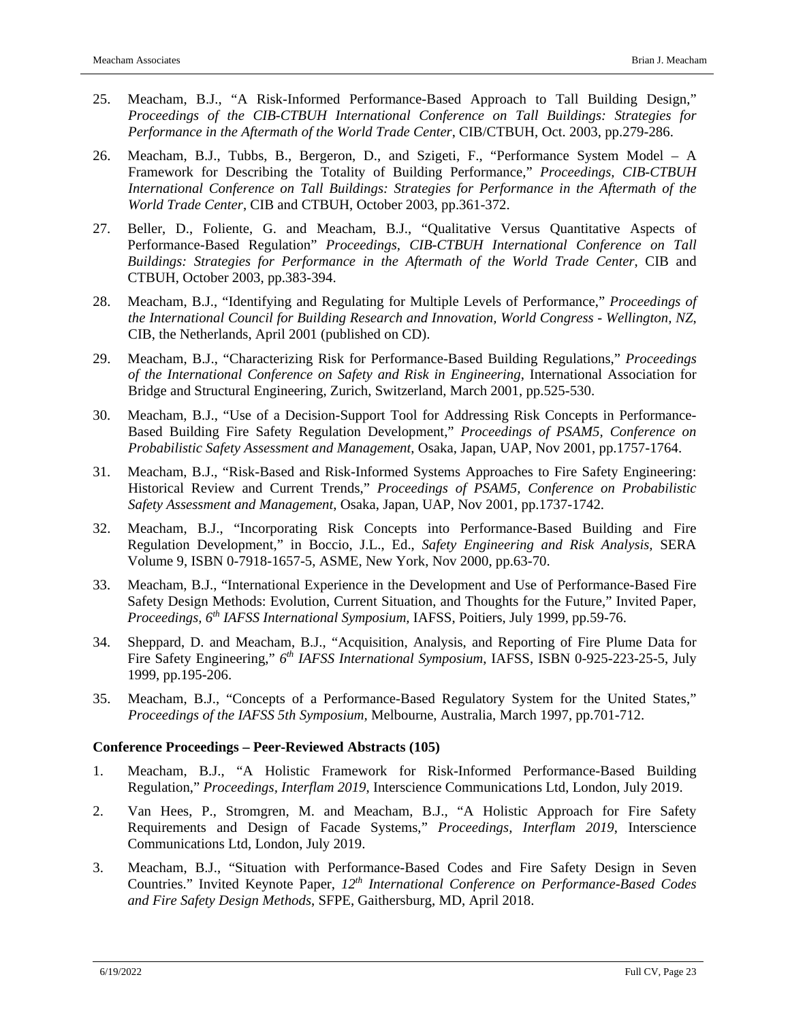- 25. Meacham, B.J., "A Risk-Informed Performance-Based Approach to Tall Building Design," *Proceedings of the CIB-CTBUH International Conference on Tall Buildings: Strategies for Performance in the Aftermath of the World Trade Center*, CIB/CTBUH, Oct. 2003, pp.279-286.
- 26. Meacham, B.J., Tubbs, B., Bergeron, D., and Szigeti, F., "Performance System Model A Framework for Describing the Totality of Building Performance," *Proceedings, CIB-CTBUH International Conference on Tall Buildings: Strategies for Performance in the Aftermath of the World Trade Center*, CIB and CTBUH, October 2003, pp.361-372.
- 27. Beller, D., Foliente, G. and Meacham, B.J., "Qualitative Versus Quantitative Aspects of Performance-Based Regulation" *Proceedings, CIB-CTBUH International Conference on Tall Buildings: Strategies for Performance in the Aftermath of the World Trade Center*, CIB and CTBUH, October 2003, pp.383-394.
- 28. Meacham, B.J., "Identifying and Regulating for Multiple Levels of Performance," *Proceedings of the International Council for Building Research and Innovation, World Congress* - *Wellington, NZ*, CIB, the Netherlands, April 2001 (published on CD).
- 29. Meacham, B.J., "Characterizing Risk for Performance-Based Building Regulations," *Proceedings of the International Conference on Safety and Risk in Engineering*, International Association for Bridge and Structural Engineering, Zurich, Switzerland, March 2001, pp.525-530.
- 30. Meacham, B.J., "Use of a Decision-Support Tool for Addressing Risk Concepts in Performance-Based Building Fire Safety Regulation Development," *Proceedings of PSAM5, Conference on Probabilistic Safety Assessment and Management*, Osaka, Japan, UAP, Nov 2001, pp.1757-1764.
- 31. Meacham, B.J., "Risk-Based and Risk-Informed Systems Approaches to Fire Safety Engineering: Historical Review and Current Trends," *Proceedings of PSAM5, Conference on Probabilistic Safety Assessment and Management*, Osaka, Japan, UAP, Nov 2001, pp.1737-1742.
- 32. Meacham, B.J., "Incorporating Risk Concepts into Performance-Based Building and Fire Regulation Development," in Boccio, J.L., Ed., *Safety Engineering and Risk Analysis,* SERA Volume 9, ISBN 0-7918-1657-5, ASME, New York, Nov 2000, pp.63-70.
- 33. Meacham, B.J., "International Experience in the Development and Use of Performance-Based Fire Safety Design Methods: Evolution, Current Situation, and Thoughts for the Future," Invited Paper, *Proceedings, 6th IAFSS International Symposium,* IAFSS, Poitiers, July 1999, pp.59-76.
- 34. Sheppard, D. and Meacham, B.J., "Acquisition, Analysis, and Reporting of Fire Plume Data for Fire Safety Engineering," *6th IAFSS International Symposium*, IAFSS, ISBN 0-925-223-25-5, July 1999, pp.195-206.
- 35. Meacham, B.J., "Concepts of a Performance-Based Regulatory System for the United States," *Proceedings of the IAFSS 5th Symposium,* Melbourne, Australia, March 1997, pp.701-712.

### **Conference Proceedings – Peer-Reviewed Abstracts (105)**

- 1. Meacham, B.J., "A Holistic Framework for Risk-Informed Performance-Based Building Regulation," *Proceedings, Interflam 2019*, Interscience Communications Ltd, London, July 2019.
- 2. Van Hees, P., Stromgren, M. and Meacham, B.J., "A Holistic Approach for Fire Safety Requirements and Design of Facade Systems," *Proceedings, Interflam 2019*, Interscience Communications Ltd, London, July 2019.
- 3. Meacham, B.J., "Situation with Performance-Based Codes and Fire Safety Design in Seven Countries." Invited Keynote Paper, 12<sup>th</sup> International Conference on Performance-Based Codes *and Fire Safety Design Methods*, SFPE, Gaithersburg, MD, April 2018.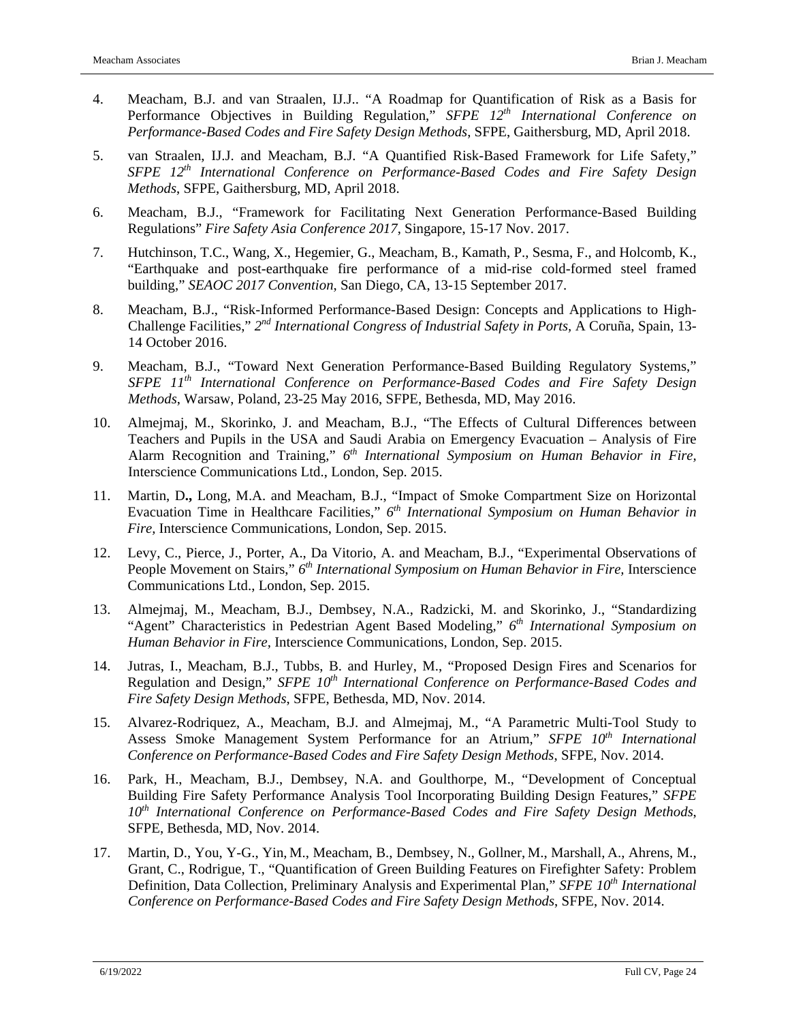- 4. Meacham, B.J. and van Straalen, IJ.J.. "A Roadmap for Quantification of Risk as a Basis for Performance Objectives in Building Regulation," *SFPE 12th International Conference on Performance-Based Codes and Fire Safety Design Methods*, SFPE, Gaithersburg, MD, April 2018.
- 5. van Straalen, IJ.J. and Meacham, B.J. "A Quantified Risk-Based Framework for Life Safety," *SFPE 12th International Conference on Performance-Based Codes and Fire Safety Design Methods*, SFPE, Gaithersburg, MD, April 2018.
- 6. Meacham, B.J., "Framework for Facilitating Next Generation Performance-Based Building Regulations" *Fire Safety Asia Conference 2017*, Singapore, 15-17 Nov. 2017.
- 7. Hutchinson, T.C., Wang, X., Hegemier, G., Meacham, B., Kamath, P., Sesma, F., and Holcomb, K., "Earthquake and post-earthquake fire performance of a mid-rise cold-formed steel framed building," *SEAOC 2017 Convention*, San Diego, CA, 13-15 September 2017.
- 8. Meacham, B.J., "Risk-Informed Performance-Based Design: Concepts and Applications to High-Challenge Facilities," *2nd International Congress of Industrial Safety in Ports,* A Coruña, Spain, 13- 14 October 2016.
- 9. Meacham, B.J., "Toward Next Generation Performance-Based Building Regulatory Systems," *SFPE 11th International Conference on Performance-Based Codes and Fire Safety Design Methods*, Warsaw, Poland, 23-25 May 2016, SFPE, Bethesda, MD, May 2016.
- 10. Almejmaj, M., Skorinko, J. and Meacham, B.J., "The Effects of Cultural Differences between Teachers and Pupils in the USA and Saudi Arabia on Emergency Evacuation – Analysis of Fire Alarm Recognition and Training," *6th International Symposium on Human Behavior in Fire,* Interscience Communications Ltd., London, Sep. 2015.
- 11. Martin, D**.,** Long, M.A. and Meacham, B.J., "Impact of Smoke Compartment Size on Horizontal Evacuation Time in Healthcare Facilities," *6th International Symposium on Human Behavior in Fire,* Interscience Communications, London, Sep. 2015.
- 12. Levy, C., Pierce, J., Porter, A., Da Vitorio, A. and Meacham, B.J., "Experimental Observations of People Movement on Stairs," *6th International Symposium on Human Behavior in Fire,* Interscience Communications Ltd., London, Sep. 2015.
- 13. Almejmaj, M., Meacham, B.J., Dembsey, N.A., Radzicki, M. and Skorinko, J., "Standardizing "Agent" Characteristics in Pedestrian Agent Based Modeling," *6th International Symposium on Human Behavior in Fire,* Interscience Communications, London, Sep. 2015.
- 14. Jutras, I., Meacham, B.J., Tubbs, B. and Hurley, M., "Proposed Design Fires and Scenarios for Regulation and Design," *SFPE 10th International Conference on Performance-Based Codes and Fire Safety Design Methods*, SFPE, Bethesda, MD, Nov. 2014.
- 15. Alvarez-Rodriquez, A., Meacham, B.J. and Almejmaj, M., "A Parametric Multi-Tool Study to Assess Smoke Management System Performance for an Atrium," *SFPE 10th International Conference on Performance-Based Codes and Fire Safety Design Methods*, SFPE, Nov. 2014.
- 16. Park, H., Meacham, B.J., Dembsey, N.A. and Goulthorpe, M., "Development of Conceptual Building Fire Safety Performance Analysis Tool Incorporating Building Design Features," *SFPE 10th International Conference on Performance-Based Codes and Fire Safety Design Methods*, SFPE, Bethesda, MD, Nov. 2014.
- 17. Martin, D., You, Y-G., Yin, M., Meacham, B., Dembsey, N., Gollner, M., Marshall, A., Ahrens, M., Grant, C., Rodrigue, T., "Quantification of Green Building Features on Firefighter Safety: Problem Definition, Data Collection, Preliminary Analysis and Experimental Plan," *SFPE* 10<sup>th</sup> International *Conference on Performance-Based Codes and Fire Safety Design Methods*, SFPE, Nov. 2014.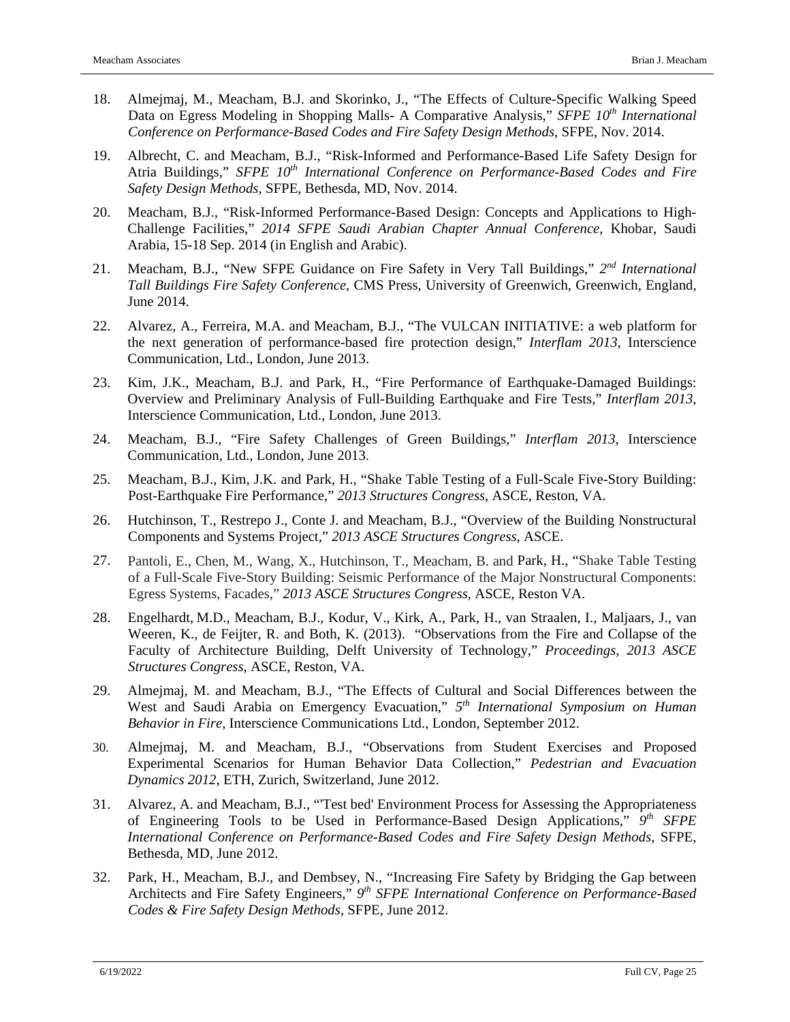- 18. Almejmaj, M., Meacham, B.J. and Skorinko, J., "The Effects of Culture-Specific Walking Speed Data on Egress Modeling in Shopping Malls- A Comparative Analysis," *SFPE 10<sup>th</sup> International Conference on Performance-Based Codes and Fire Safety Design Methods*, SFPE, Nov. 2014.
- 19. Albrecht, C. and Meacham, B.J., "Risk-Informed and Performance-Based Life Safety Design for Atria Buildings," *SFPE 10th International Conference on Performance-Based Codes and Fire Safety Design Methods*, SFPE, Bethesda, MD, Nov. 2014.
- 20. Meacham, B.J., "Risk-Informed Performance-Based Design: Concepts and Applications to High-Challenge Facilities," *2014 SFPE Saudi Arabian Chapter Annual Conference*, Khobar, Saudi Arabia, 15-18 Sep. 2014 (in English and Arabic).
- 21. Meacham, B.J., "New SFPE Guidance on Fire Safety in Very Tall Buildings," *2nd International Tall Buildings Fire Safety Conference*, CMS Press, University of Greenwich, Greenwich, England, June 2014.
- 22. Alvarez, A., Ferreira, M.A. and Meacham, B.J., "The VULCAN INITIATIVE: a web platform for the next generation of performance-based fire protection design," *Interflam 2013*, Interscience Communication, Ltd., London, June 2013.
- 23. Kim, J.K., Meacham, B.J. and Park, H., "Fire Performance of Earthquake-Damaged Buildings: Overview and Preliminary Analysis of Full-Building Earthquake and Fire Tests," *Interflam 2013*, Interscience Communication, Ltd., London, June 2013.
- 24. Meacham, B.J., "Fire Safety Challenges of Green Buildings," *Interflam 2013*, Interscience Communication, Ltd., London, June 2013.
- 25. Meacham, B.J., Kim, J.K. and Park, H., "Shake Table Testing of a Full-Scale Five-Story Building: Post-Earthquake Fire Performance," *2013 Structures Congress*, ASCE, Reston, VA.
- 26. Hutchinson, T., Restrepo J., Conte J. and Meacham, B.J., "Overview of the Building Nonstructural Components and Systems Project*,*" *2013 ASCE Structures Congress*, ASCE.
- 27. Pantoli, E., Chen, M., Wang, X., Hutchinson, T., Meacham, B. and Park, H., "Shake Table Testing of a Full-Scale Five-Story Building: Seismic Performance of the Major Nonstructural Components: Egress Systems, Facades," *2013 ASCE Structures Congress*, ASCE, Reston VA.
- 28. Engelhardt, M.D., Meacham, B.J., Kodur, V., Kirk, A., Park, H., van Straalen, I., Maljaars, J., van Weeren, K., de Feijter, R. and Both, K. (2013). "Observations from the Fire and Collapse of the Faculty of Architecture Building, Delft University of Technology," *Proceedings, 2013 ASCE Structures Congress*, ASCE, Reston, VA.
- 29. Almejmaj, M. and Meacham, B.J., "The Effects of Cultural and Social Differences between the West and Saudi Arabia on Emergency Evacuation," *5th International Symposium on Human Behavior in Fire,* Interscience Communications Ltd., London, September 2012.
- 30. Almejmaj, M. and Meacham, B.J., "Observations from Student Exercises and Proposed Experimental Scenarios for Human Behavior Data Collection," *Pedestrian and Evacuation Dynamics 2012*, ETH, Zurich, Switzerland, June 2012.
- 31. Alvarez, A. and Meacham, B.J., "'Test bed' Environment Process for Assessing the Appropriateness of Engineering Tools to be Used in Performance-Based Design Applications," *9th SFPE International Conference on Performance-Based Codes and Fire Safety Design Methods*, SFPE, Bethesda, MD, June 2012.
- 32. Park, H., Meacham, B.J., and Dembsey, N., "Increasing Fire Safety by Bridging the Gap between Architects and Fire Safety Engineers," *9th SFPE International Conference on Performance-Based Codes & Fire Safety Design Methods*, SFPE, June 2012.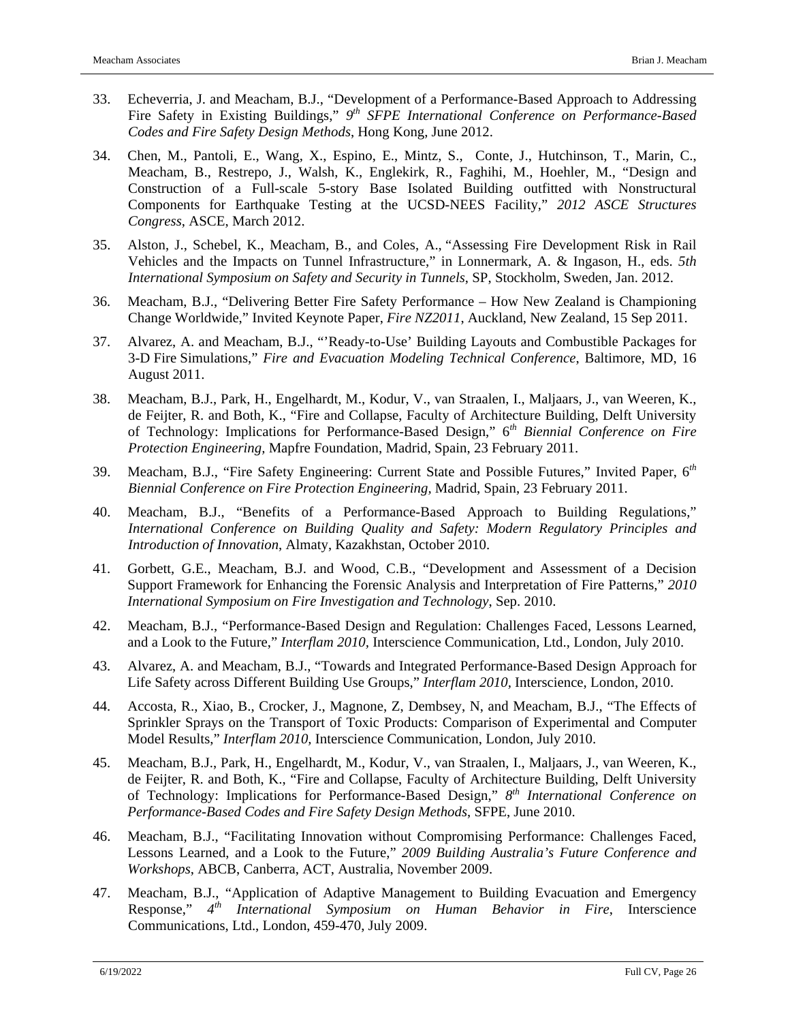- 33. Echeverria, J. and Meacham, B.J., "Development of a Performance-Based Approach to Addressing Fire Safety in Existing Buildings," *9th SFPE International Conference on Performance-Based Codes and Fire Safety Design Methods*, Hong Kong, June 2012.
- 34. Chen, M., Pantoli, E., Wang, X., Espino, E., Mintz, S., Conte, J., Hutchinson, T., Marin, C., Meacham, B., Restrepo, J., Walsh, K., Englekirk, R., Faghihi, M., Hoehler, M., "Design and Construction of a Full-scale 5-story Base Isolated Building outfitted with Nonstructural Components for Earthquake Testing at the UCSD-NEES Facility," *2012 ASCE Structures Congress*, ASCE, March 2012.
- 35. Alston, J., Schebel, K., Meacham, B., and Coles, A., "Assessing Fire Development Risk in Rail Vehicles and the Impacts on Tunnel Infrastructure," in Lonnermark, A. & Ingason, H., eds. *5th International Symposium on Safety and Security in Tunnels*, SP, Stockholm, Sweden, Jan. 2012.
- 36. Meacham, B.J., "Delivering Better Fire Safety Performance How New Zealand is Championing Change Worldwide," Invited Keynote Paper, *Fire NZ2011*, Auckland, New Zealand, 15 Sep 2011.
- 37. Alvarez, A. and Meacham, B.J., "'Ready-to-Use' Building Layouts and Combustible Packages for 3-D Fire Simulations," *Fire and Evacuation Modeling Technical Conference*, Baltimore, MD, 16 August 2011.
- 38. Meacham, B.J., Park, H., Engelhardt, M., Kodur, V., van Straalen, I., Maljaars, J., van Weeren, K., de Feijter, R. and Both, K., "Fire and Collapse, Faculty of Architecture Building, Delft University of Technology: Implications for Performance-Based Design," 6*th Biennial Conference on Fire Protection Engineering,* Mapfre Foundation, Madrid, Spain, 23 February 2011.
- 39. Meacham, B.J., "Fire Safety Engineering: Current State and Possible Futures," Invited Paper, 6*th Biennial Conference on Fire Protection Engineering,* Madrid, Spain, 23 February 2011.
- 40. Meacham, B.J., "Benefits of a Performance-Based Approach to Building Regulations," *International Conference on Building Quality and Safety: Modern Regulatory Principles and Introduction of Innovation*, Almaty, Kazakhstan, October 2010.
- 41. Gorbett, G.E., Meacham, B.J. and Wood, C.B., "Development and Assessment of a Decision Support Framework for Enhancing the Forensic Analysis and Interpretation of Fire Patterns," *2010 International Symposium on Fire Investigation and Technology*, Sep. 2010.
- 42. Meacham, B.J., "Performance-Based Design and Regulation: Challenges Faced, Lessons Learned, and a Look to the Future," *Interflam 2010,* Interscience Communication, Ltd., London, July 2010.
- 43. Alvarez, A. and Meacham, B.J., "Towards and Integrated Performance-Based Design Approach for Life Safety across Different Building Use Groups," *Interflam 2010,* Interscience, London, 2010.
- 44. Accosta, R., Xiao, B., Crocker, J., Magnone, Z, Dembsey, N, and Meacham, B.J., "The Effects of Sprinkler Sprays on the Transport of Toxic Products: Comparison of Experimental and Computer Model Results," *Interflam 2010,* Interscience Communication, London, July 2010.
- 45. Meacham, B.J., Park, H., Engelhardt, M., Kodur, V., van Straalen, I., Maljaars, J., van Weeren, K., de Feijter, R. and Both, K., "Fire and Collapse, Faculty of Architecture Building, Delft University of Technology: Implications for Performance-Based Design," *8th International Conference on Performance-Based Codes and Fire Safety Design Methods*, SFPE, June 2010.
- 46. Meacham, B.J., "Facilitating Innovation without Compromising Performance: Challenges Faced, Lessons Learned, and a Look to the Future," *2009 Building Australia's Future Conference and Workshops*, ABCB, Canberra, ACT, Australia, November 2009.
- 47. Meacham, B.J., "Application of Adaptive Management to Building Evacuation and Emergency Response," *4th International Symposium on Human Behavior in Fire*, Interscience Communications, Ltd., London, 459-470, July 2009.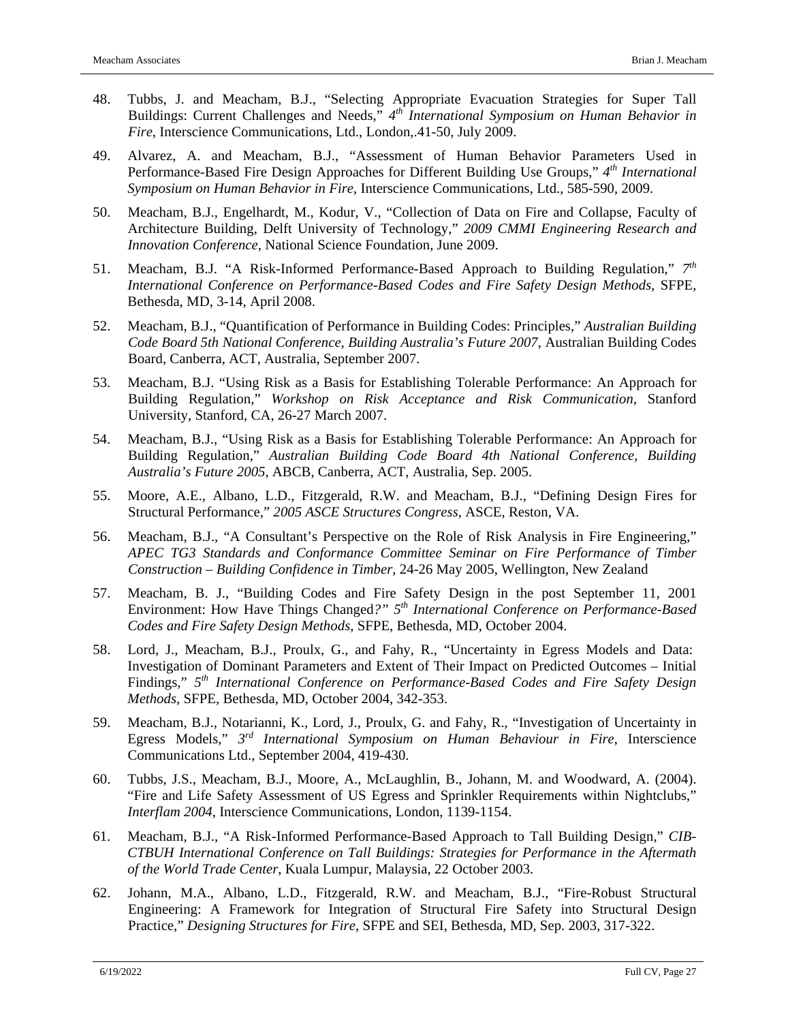- 48. Tubbs, J. and Meacham, B.J., "Selecting Appropriate Evacuation Strategies for Super Tall Buildings: Current Challenges and Needs," *4th International Symposium on Human Behavior in Fire*, Interscience Communications, Ltd., London,.41-50, July 2009.
- 49. Alvarez, A. and Meacham, B.J., "Assessment of Human Behavior Parameters Used in Performance-Based Fire Design Approaches for Different Building Use Groups," *4th International Symposium on Human Behavior in Fire*, Interscience Communications, Ltd., 585-590, 2009.
- 50. Meacham, B.J., Engelhardt, M., Kodur, V., "Collection of Data on Fire and Collapse, Faculty of Architecture Building, Delft University of Technology," *2009 CMMI Engineering Research and Innovation Conference*, National Science Foundation, June 2009.
- 51. Meacham, B.J. "A Risk-Informed Performance-Based Approach to Building Regulation," *7th International Conference on Performance-Based Codes and Fire Safety Design Methods*, SFPE, Bethesda, MD, 3-14, April 2008.
- 52. Meacham, B.J., "Quantification of Performance in Building Codes: Principles," *Australian Building Code Board 5th National Conference, Building Australia's Future 2007*, Australian Building Codes Board, Canberra, ACT, Australia, September 2007.
- 53. Meacham, B.J. "Using Risk as a Basis for Establishing Tolerable Performance: An Approach for Building Regulation," *Workshop on Risk Acceptance and Risk Communication*, Stanford University, Stanford, CA, 26-27 March 2007.
- 54. Meacham, B.J., "Using Risk as a Basis for Establishing Tolerable Performance: An Approach for Building Regulation," *Australian Building Code Board 4th National Conference, Building Australia's Future 2005*, ABCB, Canberra, ACT, Australia, Sep. 2005.
- 55. Moore, A.E., Albano, L.D., Fitzgerald, R.W. and Meacham, B.J., "Defining Design Fires for Structural Performance," *2005 ASCE Structures Congress*, ASCE, Reston, VA.
- 56. Meacham, B.J., "A Consultant's Perspective on the Role of Risk Analysis in Fire Engineering," *APEC TG3 Standards and Conformance Committee Seminar on Fire Performance of Timber Construction – Building Confidence in Timber*, 24-26 May 2005, Wellington, New Zealand
- 57. Meacham, B. J., "Building Codes and Fire Safety Design in the post September 11, 2001 Environment: How Have Things Changed*?" 5th International Conference on Performance-Based Codes and Fire Safety Design Methods*, SFPE, Bethesda, MD, October 2004.
- 58. Lord, J., Meacham, B.J., Proulx, G., and Fahy, R., "Uncertainty in Egress Models and Data: Investigation of Dominant Parameters and Extent of Their Impact on Predicted Outcomes – Initial Findings," *5th International Conference on Performance-Based Codes and Fire Safety Design Methods*, SFPE, Bethesda, MD, October 2004, 342-353.
- 59. Meacham, B.J., Notarianni, K., Lord, J., Proulx, G. and Fahy, R., "Investigation of Uncertainty in Egress Models," *3rd International Symposium on Human Behaviour in Fire*, Interscience Communications Ltd., September 2004, 419-430.
- 60. Tubbs, J.S., Meacham, B.J., Moore, A., McLaughlin, B., Johann, M. and Woodward, A. (2004). "Fire and Life Safety Assessment of US Egress and Sprinkler Requirements within Nightclubs," *Interflam 2004*, Interscience Communications, London, 1139-1154.
- 61. Meacham, B.J., "A Risk-Informed Performance-Based Approach to Tall Building Design," *CIB-CTBUH International Conference on Tall Buildings: Strategies for Performance in the Aftermath of the World Trade Center*, Kuala Lumpur, Malaysia, 22 October 2003.
- 62. Johann, M.A., Albano, L.D., Fitzgerald, R.W. and Meacham, B.J., "Fire-Robust Structural Engineering: A Framework for Integration of Structural Fire Safety into Structural Design Practice," *Designing Structures for Fire*, SFPE and SEI, Bethesda, MD, Sep. 2003, 317-322.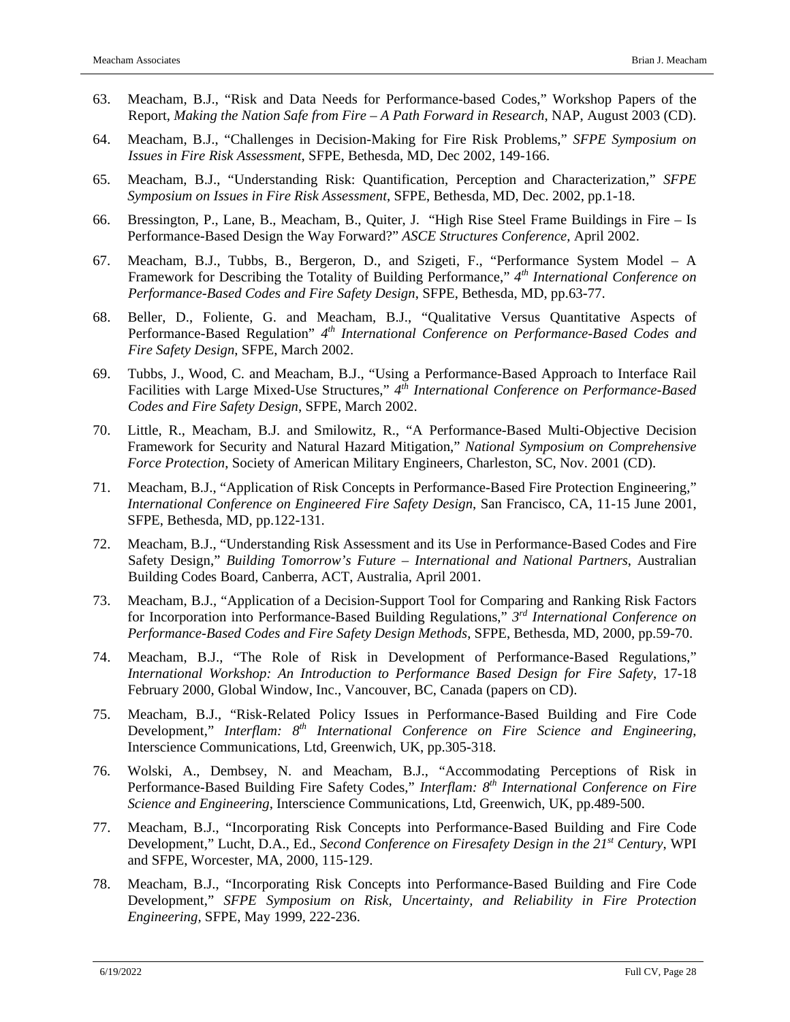- 63. Meacham, B.J., "Risk and Data Needs for Performance-based Codes," Workshop Papers of the Report, *Making the Nation Safe from Fire – A Path Forward in Research*, NAP, August 2003 (CD).
- 64. Meacham, B.J., "Challenges in Decision-Making for Fire Risk Problems," *SFPE Symposium on Issues in Fire Risk Assessment*, SFPE, Bethesda, MD, Dec 2002, 149-166.
- 65. Meacham, B.J., "Understanding Risk: Quantification, Perception and Characterization," *SFPE Symposium on Issues in Fire Risk Assessment*, SFPE, Bethesda, MD, Dec. 2002, pp.1-18.
- 66. Bressington, P., Lane, B., Meacham, B., Quiter, J. "High Rise Steel Frame Buildings in Fire Is Performance-Based Design the Way Forward?" *ASCE Structures Conference,* April 2002.
- 67. Meacham, B.J., Tubbs, B., Bergeron, D., and Szigeti, F., "Performance System Model A Framework for Describing the Totality of Building Performance," *4th International Conference on Performance-Based Codes and Fire Safety Design*, SFPE, Bethesda, MD, pp.63-77.
- 68. Beller, D., Foliente, G. and Meacham, B.J., "Qualitative Versus Quantitative Aspects of Performance-Based Regulation" *4th International Conference on Performance-Based Codes and Fire Safety Design*, SFPE, March 2002.
- 69. Tubbs, J., Wood, C. and Meacham, B.J., "Using a Performance-Based Approach to Interface Rail Facilities with Large Mixed-Use Structures," *4th International Conference on Performance-Based Codes and Fire Safety Design*, SFPE, March 2002.
- 70. Little, R., Meacham, B.J. and Smilowitz, R., "A Performance-Based Multi-Objective Decision Framework for Security and Natural Hazard Mitigation," *National Symposium on Comprehensive Force Protection*, Society of American Military Engineers, Charleston, SC, Nov. 2001 (CD).
- 71. Meacham, B.J., "Application of Risk Concepts in Performance-Based Fire Protection Engineering," *International Conference on Engineered Fire Safety Design*, San Francisco, CA, 11-15 June 2001, SFPE, Bethesda, MD, pp.122-131.
- 72. Meacham, B.J., "Understanding Risk Assessment and its Use in Performance-Based Codes and Fire Safety Design," *Building Tomorrow's Future – International and National Partners*, Australian Building Codes Board, Canberra, ACT, Australia, April 2001.
- 73. Meacham, B.J., "Application of a Decision-Support Tool for Comparing and Ranking Risk Factors for Incorporation into Performance-Based Building Regulations," *3rd International Conference on Performance-Based Codes and Fire Safety Design Methods*, SFPE, Bethesda, MD, 2000, pp.59-70.
- 74. Meacham, B.J., "The Role of Risk in Development of Performance-Based Regulations," *International Workshop: An Introduction to Performance Based Design for Fire Safety*, 17-18 February 2000, Global Window, Inc., Vancouver, BC, Canada (papers on CD).
- 75. Meacham, B.J., "Risk-Related Policy Issues in Performance-Based Building and Fire Code Development," *Interflam: 8th International Conference on Fire Science and Engineering*, Interscience Communications, Ltd, Greenwich, UK, pp.305-318.
- 76. Wolski, A., Dembsey, N. and Meacham, B.J., "Accommodating Perceptions of Risk in Performance-Based Building Fire Safety Codes," *Interflam: 8th International Conference on Fire Science and Engineering*, Interscience Communications, Ltd, Greenwich, UK, pp.489-500.
- 77. Meacham, B.J., "Incorporating Risk Concepts into Performance-Based Building and Fire Code Development," Lucht, D.A., Ed., *Second Conference on Firesafety Design in the 21st Century*, WPI and SFPE, Worcester, MA, 2000, 115-129.
- 78. Meacham, B.J., "Incorporating Risk Concepts into Performance-Based Building and Fire Code Development," *SFPE Symposium on Risk, Uncertainty, and Reliability in Fire Protection Engineering,* SFPE, May 1999, 222-236.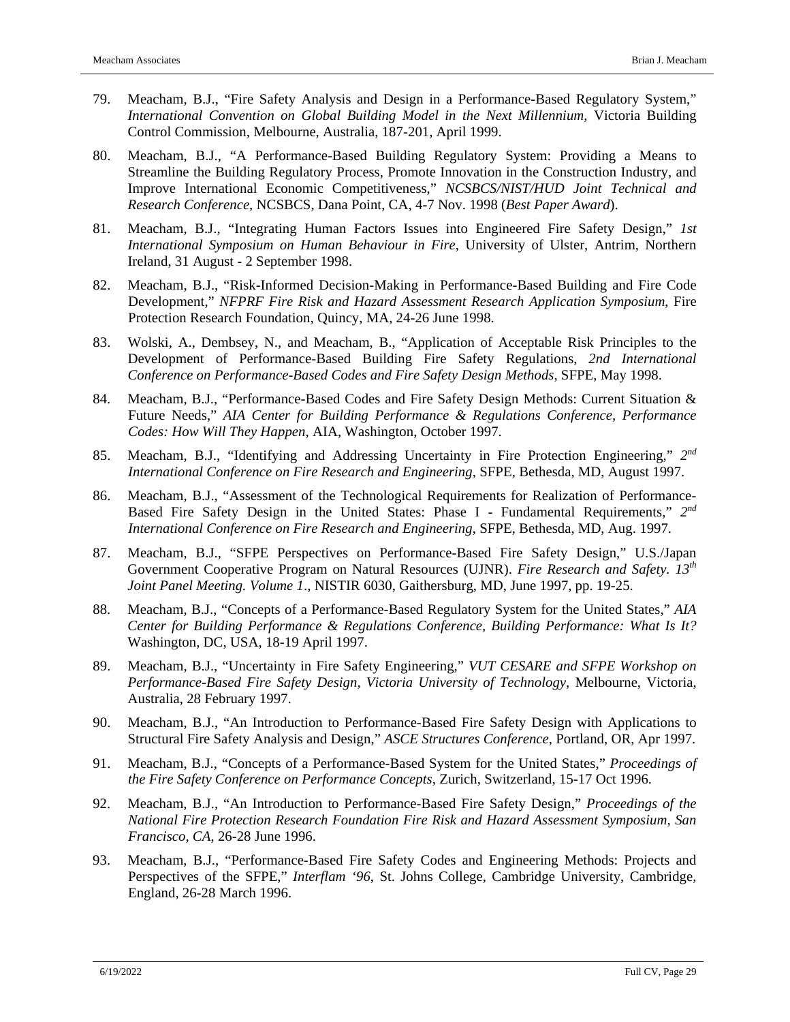- 79. Meacham, B.J., "Fire Safety Analysis and Design in a Performance-Based Regulatory System," *International Convention on Global Building Model in the Next Millennium*, Victoria Building Control Commission, Melbourne, Australia, 187-201, April 1999.
- 80. Meacham, B.J., "A Performance-Based Building Regulatory System: Providing a Means to Streamline the Building Regulatory Process, Promote Innovation in the Construction Industry, and Improve International Economic Competitiveness," *NCSBCS/NIST/HUD Joint Technical and Research Conference*, NCSBCS, Dana Point, CA, 4-7 Nov. 1998 (*Best Paper Award*).
- 81. Meacham, B.J., "Integrating Human Factors Issues into Engineered Fire Safety Design," *1st International Symposium on Human Behaviour in Fire*, University of Ulster, Antrim, Northern Ireland, 31 August - 2 September 1998.
- 82. Meacham, B.J., "Risk-Informed Decision-Making in Performance-Based Building and Fire Code Development," *NFPRF Fire Risk and Hazard Assessment Research Application Symposium*, Fire Protection Research Foundation, Quincy, MA, 24-26 June 1998.
- 83. Wolski, A., Dembsey, N., and Meacham, B., "Application of Acceptable Risk Principles to the Development of Performance-Based Building Fire Safety Regulations, *2nd International Conference on Performance-Based Codes and Fire Safety Design Methods*, SFPE, May 1998.
- 84. Meacham, B.J., "Performance-Based Codes and Fire Safety Design Methods: Current Situation & Future Needs," *AIA Center for Building Performance & Regulations Conference, Performance Codes: How Will They Happen*, AIA, Washington, October 1997.
- 85. Meacham, B.J., "Identifying and Addressing Uncertainty in Fire Protection Engineering," *2nd International Conference on Fire Research and Engineering,* SFPE, Bethesda, MD, August 1997.
- 86. Meacham, B.J., "Assessment of the Technological Requirements for Realization of Performance-Based Fire Safety Design in the United States: Phase I - Fundamental Requirements," *2nd International Conference on Fire Research and Engineering*, SFPE, Bethesda, MD, Aug. 1997.
- 87. Meacham, B.J., "SFPE Perspectives on Performance-Based Fire Safety Design," U.S./Japan Government Cooperative Program on Natural Resources (UJNR). *Fire Research and Safety. 13th Joint Panel Meeting. Volume 1*., NISTIR 6030, Gaithersburg, MD, June 1997, pp. 19-25.
- 88. Meacham, B.J., "Concepts of a Performance-Based Regulatory System for the United States," *AIA Center for Building Performance & Regulations Conference, Building Performance: What Is It?*  Washington, DC, USA, 18-19 April 1997.
- 89. Meacham, B.J., "Uncertainty in Fire Safety Engineering," *VUT CESARE and SFPE Workshop on Performance-Based Fire Safety Design, Victoria University of Technology*, Melbourne, Victoria, Australia, 28 February 1997.
- 90. Meacham, B.J., "An Introduction to Performance-Based Fire Safety Design with Applications to Structural Fire Safety Analysis and Design," *ASCE Structures Conference,* Portland, OR, Apr 1997.
- 91. Meacham, B.J., "Concepts of a Performance-Based System for the United States," *Proceedings of the Fire Safety Conference on Performance Concepts,* Zurich, Switzerland*,* 15-17 Oct 1996.
- 92. Meacham, B.J., "An Introduction to Performance-Based Fire Safety Design," *Proceedings of the National Fire Protection Research Foundation Fire Risk and Hazard Assessment Symposium, San Francisco, CA*, 26-28 June 1996.
- 93. Meacham, B.J., "Performance-Based Fire Safety Codes and Engineering Methods: Projects and Perspectives of the SFPE," *Interflam '96*, St. Johns College, Cambridge University, Cambridge, England, 26-28 March 1996.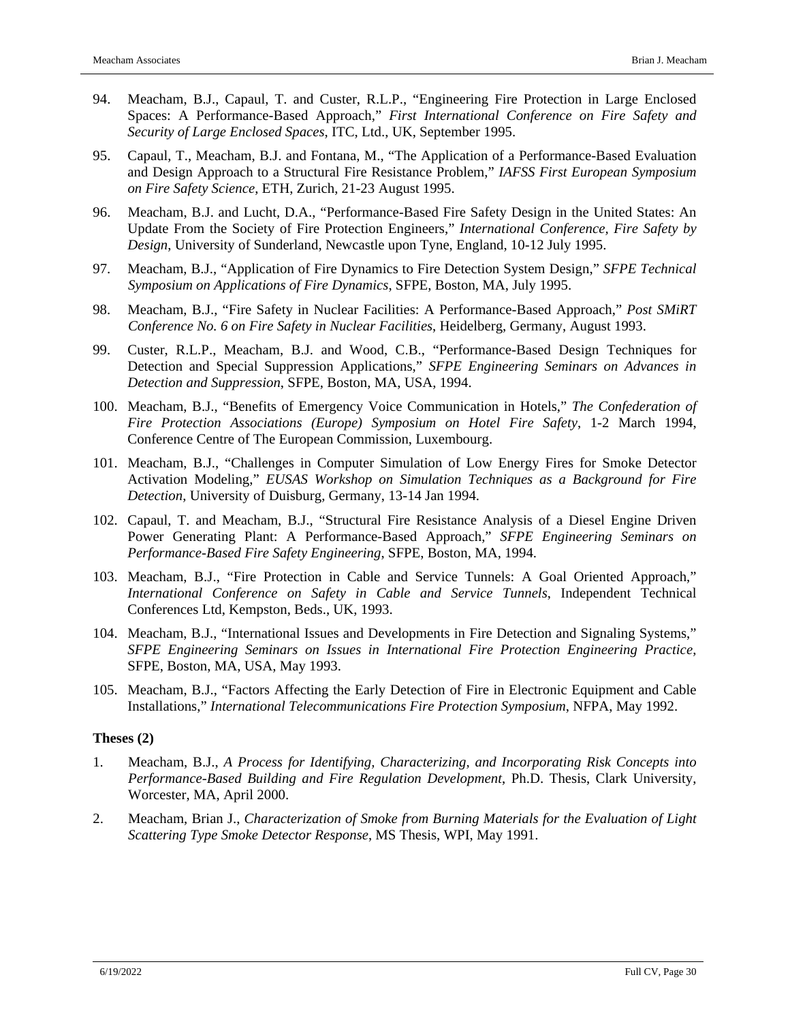- 94. Meacham, B.J., Capaul, T. and Custer, R.L.P., "Engineering Fire Protection in Large Enclosed Spaces: A Performance-Based Approach," *First International Conference on Fire Safety and Security of Large Enclosed Spaces*, ITC, Ltd., UK, September 1995.
- 95. Capaul, T., Meacham, B.J. and Fontana, M., "The Application of a Performance-Based Evaluation and Design Approach to a Structural Fire Resistance Problem," *IAFSS First European Symposium on Fire Safety Science*, ETH, Zurich, 21-23 August 1995.
- 96. Meacham, B.J. and Lucht, D.A., "Performance-Based Fire Safety Design in the United States: An Update From the Society of Fire Protection Engineers," *International Conference, Fire Safety by Design*, University of Sunderland, Newcastle upon Tyne, England, 10-12 July 1995.
- 97. Meacham, B.J., "Application of Fire Dynamics to Fire Detection System Design," *SFPE Technical Symposium on Applications of Fire Dynamics*, SFPE, Boston, MA, July 1995.
- 98. Meacham, B.J., "Fire Safety in Nuclear Facilities: A Performance-Based Approach," *Post SMiRT Conference No. 6 on Fire Safety in Nuclear Facilities*, Heidelberg, Germany, August 1993.
- 99. Custer, R.L.P., Meacham, B.J. and Wood, C.B., "Performance-Based Design Techniques for Detection and Special Suppression Applications," *SFPE Engineering Seminars on Advances in Detection and Suppression*, SFPE, Boston, MA, USA, 1994.
- 100. Meacham, B.J., "Benefits of Emergency Voice Communication in Hotels," *The Confederation of Fire Protection Associations (Europe) Symposium on Hotel Fire Safety*, 1-2 March 1994, Conference Centre of The European Commission, Luxembourg.
- 101. Meacham, B.J., "Challenges in Computer Simulation of Low Energy Fires for Smoke Detector Activation Modeling," *EUSAS Workshop on Simulation Techniques as a Background for Fire Detection*, University of Duisburg, Germany, 13-14 Jan 1994.
- 102. Capaul, T. and Meacham, B.J., "Structural Fire Resistance Analysis of a Diesel Engine Driven Power Generating Plant: A Performance-Based Approach," *SFPE Engineering Seminars on Performance-Based Fire Safety Engineering*, SFPE, Boston, MA, 1994.
- 103. Meacham, B.J., "Fire Protection in Cable and Service Tunnels: A Goal Oriented Approach," *International Conference on Safety in Cable and Service Tunnels*, Independent Technical Conferences Ltd, Kempston, Beds., UK, 1993.
- 104. Meacham, B.J., "International Issues and Developments in Fire Detection and Signaling Systems," *SFPE Engineering Seminars on Issues in International Fire Protection Engineering Practice*, SFPE, Boston, MA, USA, May 1993.
- 105. Meacham, B.J., "Factors Affecting the Early Detection of Fire in Electronic Equipment and Cable Installations," *International Telecommunications Fire Protection Symposium*, NFPA, May 1992.

#### **Theses (2)**

- 1. Meacham, B.J., *A Process for Identifying, Characterizing, and Incorporating Risk Concepts into Performance-Based Building and Fire Regulation Development*, Ph.D. Thesis, Clark University, Worcester, MA, April 2000.
- 2. Meacham, Brian J., *Characterization of Smoke from Burning Materials for the Evaluation of Light Scattering Type Smoke Detector Response*, MS Thesis, WPI, May 1991.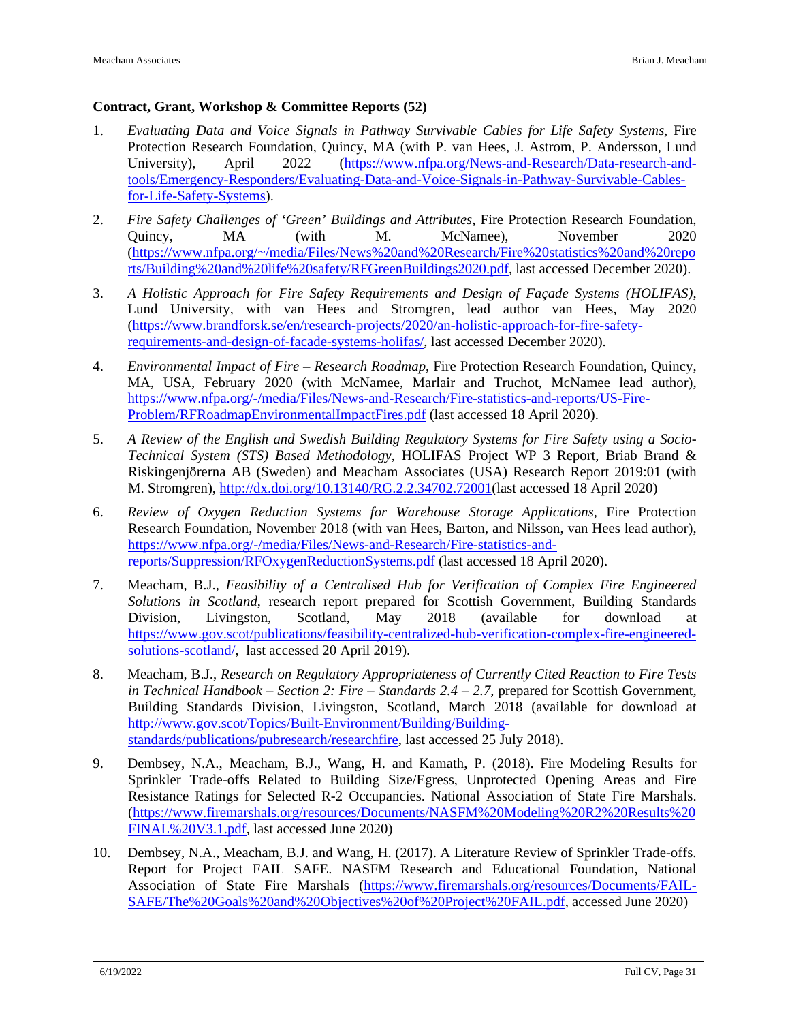### **Contract, Grant, Workshop & Committee Reports (52)**

- 1. *Evaluating Data and Voice Signals in Pathway Survivable Cables for Life Safety Systems*, Fire Protection Research Foundation, Quincy, MA (with P. van Hees, J. Astrom, P. Andersson, Lund University), April 2022 [\(https://www.nfpa.org/News-and-Research/Data-research-and](https://www.nfpa.org/News-and-Research/Data-research-and-tools/Emergency-Responders/Evaluating-Data-and-Voice-Signals-in-Pathway-Survivable-Cables-for-Life-Safety-Systems)[tools/Emergency-Responders/Evaluating-Data-and-Voice-Signals-in-Pathway-Survivable-Cables](https://www.nfpa.org/News-and-Research/Data-research-and-tools/Emergency-Responders/Evaluating-Data-and-Voice-Signals-in-Pathway-Survivable-Cables-for-Life-Safety-Systems)[for-Life-Safety-Systems\)](https://www.nfpa.org/News-and-Research/Data-research-and-tools/Emergency-Responders/Evaluating-Data-and-Voice-Signals-in-Pathway-Survivable-Cables-for-Life-Safety-Systems).
- 2. *Fire Safety Challenges of 'Green' Buildings and Attributes*, Fire Protection Research Foundation, Quincy, MA (with M. McNamee), November 2020 [\(https://www.nfpa.org/~/media/Files/News%20and%20Research/Fire%20statistics%20and%20repo](https://www.nfpa.org/%7E/media/Files/News%20and%20Research/Fire%20statistics%20and%20reports/Building%20and%20life%20safety/RFGreenBuildings2020.pdf) [rts/Building%20and%20life%20safety/RFGreenBuildings2020.pdf,](https://www.nfpa.org/%7E/media/Files/News%20and%20Research/Fire%20statistics%20and%20reports/Building%20and%20life%20safety/RFGreenBuildings2020.pdf) last accessed December 2020).
- 3. *A Holistic Approach for Fire Safety Requirements and Design of Façade Systems (HOLIFAS)*, Lund University, with van Hees and Stromgren, lead author van Hees, May 2020 [\(https://www.brandforsk.se/en/research-projects/2020/an-holistic-approach-for-fire-safety](https://www.brandforsk.se/en/research-projects/2020/an-holistic-approach-for-fire-safety-requirements-and-design-of-facade-systems-holifas/)[requirements-and-design-of-facade-systems-holifas/,](https://www.brandforsk.se/en/research-projects/2020/an-holistic-approach-for-fire-safety-requirements-and-design-of-facade-systems-holifas/) last accessed December 2020).
- 4. *Environmental Impact of Fire – Research Roadmap*, Fire Protection Research Foundation, Quincy, MA, USA, February 2020 (with McNamee, Marlair and Truchot, McNamee lead author), [https://www.nfpa.org/-/media/Files/News-and-Research/Fire-statistics-and-reports/US-Fire-](https://www.nfpa.org/-/media/Files/News-and-Research/Fire-statistics-and-reports/US-Fire-Problem/RFRoadmapEnvironmentalImpactFires.pdf)[Problem/RFRoadmapEnvironmentalImpactFires.pdf](https://www.nfpa.org/-/media/Files/News-and-Research/Fire-statistics-and-reports/US-Fire-Problem/RFRoadmapEnvironmentalImpactFires.pdf) (last accessed 18 April 2020).
- 5. *A Review of the English and Swedish Building Regulatory Systems for Fire Safety using a Socio-Technical System (STS) Based Methodology*, HOLIFAS Project WP 3 Report, Briab Brand & Riskingenjörerna AB (Sweden) and Meacham Associates (USA) Research Report 2019:01 (with M. Stromgren), [http://dx.doi.org/10.13140/RG.2.2.34702.72001\(](http://dx.doi.org/10.13140/RG.2.2.34702.72001)last accessed 18 April 2020)
- 6. *Review of Oxygen Reduction Systems for Warehouse Storage Applications*, Fire Protection Research Foundation, November 2018 (with van Hees, Barton, and Nilsson, van Hees lead author), [https://www.nfpa.org/-/media/Files/News-and-Research/Fire-statistics-and](https://www.nfpa.org/-/media/Files/News-and-Research/Fire-statistics-and-reports/Suppression/RFOxygenReductionSystems.pdf)[reports/Suppression/RFOxygenReductionSystems.pdf](https://www.nfpa.org/-/media/Files/News-and-Research/Fire-statistics-and-reports/Suppression/RFOxygenReductionSystems.pdf) (last accessed 18 April 2020).
- 7. Meacham, B.J., *Feasibility of a Centralised Hub for Verification of Complex Fire Engineered Solutions in Scotland*, research report prepared for Scottish Government, Building Standards Division, Livingston, Scotland, May 2018 (available for download at [https://www.gov.scot/publications/feasibility-centralized-hub-verification-complex-fire-engineered](https://www.gov.scot/publications/feasibility-centralized-hub-verification-complex-fire-engineered-solutions-scotland/)[solutions-scotland/,](https://www.gov.scot/publications/feasibility-centralized-hub-verification-complex-fire-engineered-solutions-scotland/) last accessed 20 April 2019).
- 8. Meacham, B.J., *Research on Regulatory Appropriateness of Currently Cited Reaction to Fire Tests in Technical Handbook – Section 2: Fire – Standards 2.4 – 2.7*, prepared for Scottish Government, Building Standards Division, Livingston, Scotland, March 2018 (available for download at [http://www.gov.scot/Topics/Built-Environment/Building/Building](http://www.gov.scot/Topics/Built-Environment/Building/Building-standards/publications/pubresearch/researchfire)[standards/publications/pubresearch/researchfire,](http://www.gov.scot/Topics/Built-Environment/Building/Building-standards/publications/pubresearch/researchfire) last accessed 25 July 2018).
- 9. Dembsey, N.A., Meacham, B.J., Wang, H. and Kamath, P. (2018). Fire Modeling Results for Sprinkler Trade-offs Related to Building Size/Egress, Unprotected Opening Areas and Fire Resistance Ratings for Selected R-2 Occupancies. National Association of State Fire Marshals. [\(https://www.firemarshals.org/resources/Documents/NASFM%20Modeling%20R2%20Results%20](https://www.firemarshals.org/resources/Documents/NASFM%20Modeling%20R2%20Results%20FINAL%20V3.1.pdf) [FINAL%20V3.1.pdf,](https://www.firemarshals.org/resources/Documents/NASFM%20Modeling%20R2%20Results%20FINAL%20V3.1.pdf) last accessed June 2020)
- 10. Dembsey, N.A., Meacham, B.J. and Wang, H. (2017). A Literature Review of Sprinkler Trade-offs. Report for Project FAIL SAFE. NASFM Research and Educational Foundation, National Association of State Fire Marshals [\(https://www.firemarshals.org/resources/Documents/FAIL-](https://www.firemarshals.org/resources/Documents/FAIL-SAFE/The%20Goals%20and%20Objectives%20of%20Project%20FAIL.pdf)[SAFE/The%20Goals%20and%20Objectives%20of%20Project%20FAIL.pdf,](https://www.firemarshals.org/resources/Documents/FAIL-SAFE/The%20Goals%20and%20Objectives%20of%20Project%20FAIL.pdf) accessed June 2020)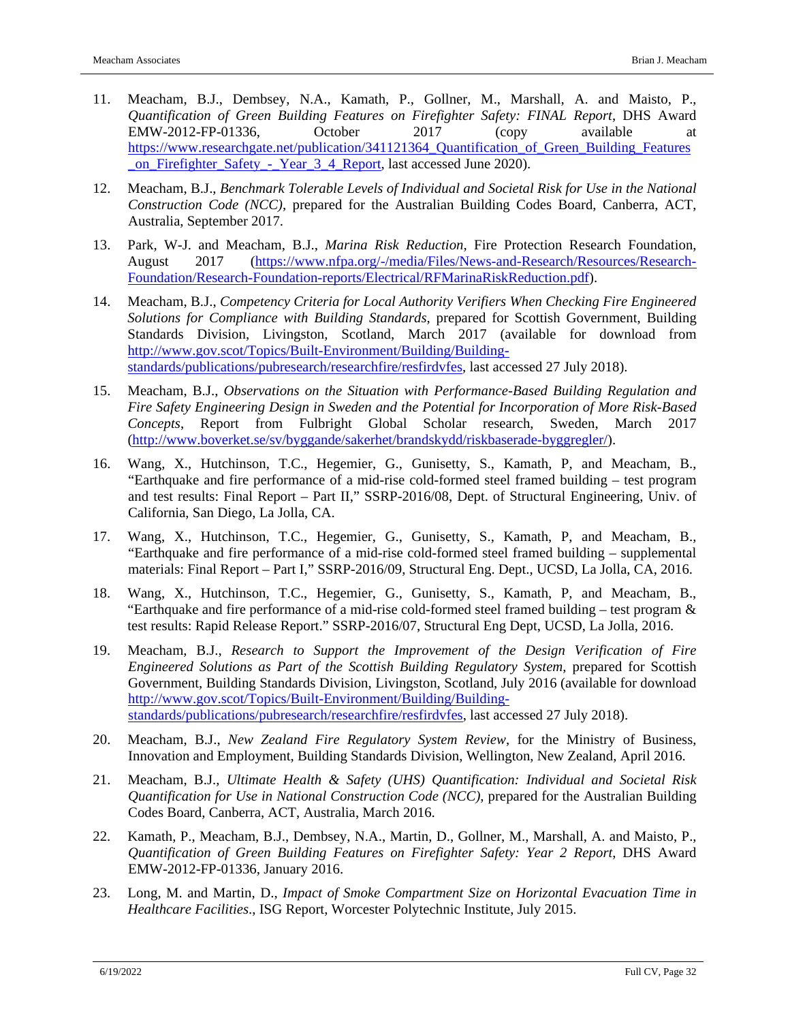- 11. Meacham, B.J., Dembsey, N.A., Kamath, P., Gollner, M., Marshall, A. and Maisto, P., *Quantification of Green Building Features on Firefighter Safety: FINAL Report*, DHS Award EMW-2012-FP-01336, October 2017 (copy available at [https://www.researchgate.net/publication/341121364\\_Quantification\\_of\\_Green\\_Building\\_Features](https://www.researchgate.net/publication/341121364_Quantification_of_Green_Building_Features_on_Firefighter_Safety_-_Year_3_4_Report) [\\_on\\_Firefighter\\_Safety\\_-\\_Year\\_3\\_4\\_Report,](https://www.researchgate.net/publication/341121364_Quantification_of_Green_Building_Features_on_Firefighter_Safety_-_Year_3_4_Report) last accessed June 2020).
- 12. Meacham, B.J., *Benchmark Tolerable Levels of Individual and Societal Risk for Use in the National Construction Code (NCC)*, prepared for the Australian Building Codes Board, Canberra, ACT, Australia, September 2017.
- 13. Park, W-J. and Meacham, B.J., *Marina Risk Reduction*, Fire Protection Research Foundation, August 2017 [\(https://www.nfpa.org/-/media/Files/News-and-Research/Resources/Research-](https://www.nfpa.org/-/media/Files/News-and-Research/Resources/Research-Foundation/Research-Foundation-reports/Electrical/RFMarinaRiskReduction.pdf)[Foundation/Research-Foundation-reports/Electrical/RFMarinaRiskReduction.pdf\)](https://www.nfpa.org/-/media/Files/News-and-Research/Resources/Research-Foundation/Research-Foundation-reports/Electrical/RFMarinaRiskReduction.pdf).
- 14. Meacham, B.J., *Competency Criteria for Local Authority Verifiers When Checking Fire Engineered Solutions for Compliance with Building Standards*, prepared for Scottish Government, Building Standards Division, Livingston, Scotland, March 2017 (available for download from [http://www.gov.scot/Topics/Built-Environment/Building/Building](http://www.gov.scot/Topics/Built-Environment/Building/Building-standards/publications/pubresearch/researchfire/resfirdvfes)[standards/publications/pubresearch/researchfire/resfirdvfes,](http://www.gov.scot/Topics/Built-Environment/Building/Building-standards/publications/pubresearch/researchfire/resfirdvfes) last accessed 27 July 2018).
- 15. Meacham, B.J., *Observations on the Situation with Performance-Based Building Regulation and Fire Safety Engineering Design in Sweden and the Potential for Incorporation of More Risk-Based Concepts*, Report from Fulbright Global Scholar research, Sweden, March 2017 [\(http://www.boverket.se/sv/byggande/sakerhet/brandskydd/riskbaserade-byggregler/\)](http://www.boverket.se/sv/byggande/sakerhet/brandskydd/riskbaserade-byggregler/).
- 16. Wang, X., Hutchinson, T.C., Hegemier, G., Gunisetty, S., Kamath, P, and Meacham, B., "Earthquake and fire performance of a mid-rise cold-formed steel framed building – test program and test results: Final Report – Part II," SSRP-2016/08, Dept. of Structural Engineering, Univ. of California, San Diego, La Jolla, CA.
- 17. Wang, X., Hutchinson, T.C., Hegemier, G., Gunisetty, S., Kamath, P, and Meacham, B., "Earthquake and fire performance of a mid-rise cold-formed steel framed building – supplemental materials: Final Report – Part I," SSRP-2016/09, Structural Eng. Dept., UCSD, La Jolla, CA, 2016.
- 18. Wang, X., Hutchinson, T.C., Hegemier, G., Gunisetty, S., Kamath, P, and Meacham, B., "Earthquake and fire performance of a mid-rise cold-formed steel framed building – test program  $\&$ test results: Rapid Release Report." SSRP-2016/07, Structural Eng Dept, UCSD, La Jolla, 2016.
- 19. Meacham, B.J., *Research to Support the Improvement of the Design Verification of Fire Engineered Solutions as Part of the Scottish Building Regulatory System*, prepared for Scottish Government, Building Standards Division, Livingston, Scotland, July 2016 (available for download [http://www.gov.scot/Topics/Built-Environment/Building/Building](http://www.gov.scot/Topics/Built-Environment/Building/Building-standards/publications/pubresearch/researchfire/resfirdvfes)[standards/publications/pubresearch/researchfire/resfirdvfes,](http://www.gov.scot/Topics/Built-Environment/Building/Building-standards/publications/pubresearch/researchfire/resfirdvfes) last accessed 27 July 2018).
- 20. Meacham, B.J., *New Zealand Fire Regulatory System Review*, for the Ministry of Business, Innovation and Employment, Building Standards Division, Wellington, New Zealand, April 2016.
- 21. Meacham, B.J., *Ultimate Health & Safety (UHS) Quantification: Individual and Societal Risk Quantification for Use in National Construction Code (NCC)*, prepared for the Australian Building Codes Board, Canberra, ACT, Australia, March 2016.
- 22. Kamath, P., Meacham, B.J., Dembsey, N.A., Martin, D., Gollner, M., Marshall, A. and Maisto, P., *Quantification of Green Building Features on Firefighter Safety: Year 2 Report*, DHS Award EMW-2012-FP-01336, January 2016.
- 23. Long, M. and Martin, D., *Impact of Smoke Compartment Size on Horizontal Evacuation Time in Healthcare Facilities*., ISG Report, Worcester Polytechnic Institute, July 2015.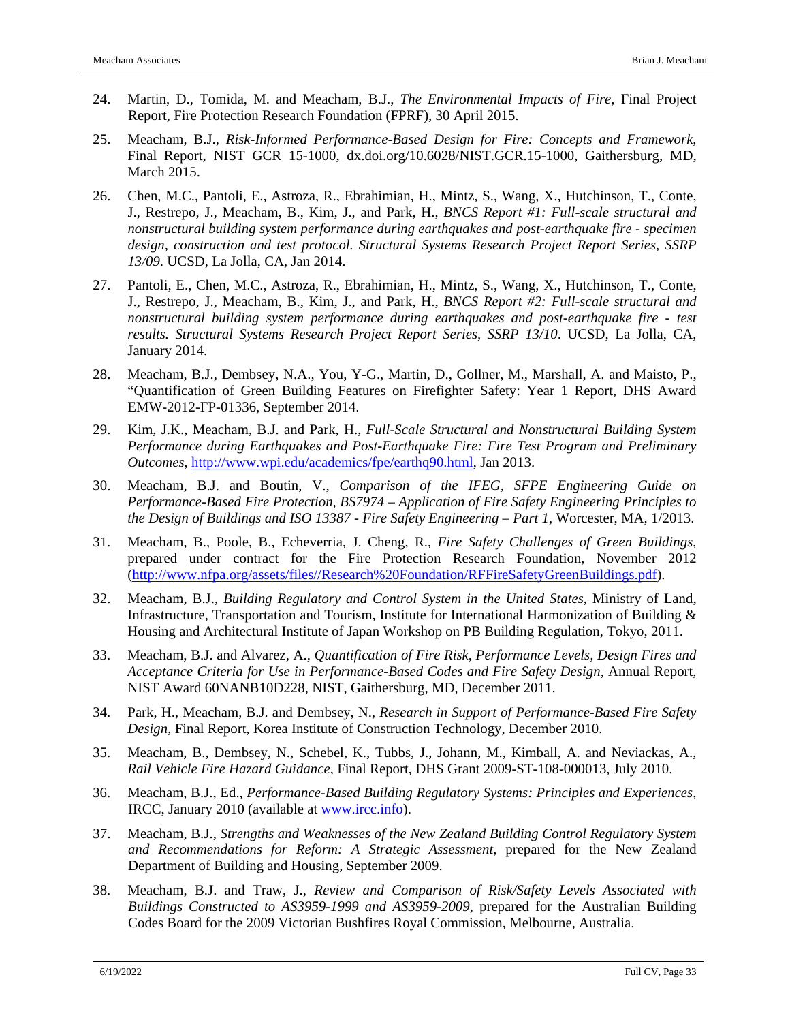- 24. Martin, D., Tomida, M. and Meacham, B.J., *The Environmental Impacts of Fire*, Final Project Report, Fire Protection Research Foundation (FPRF), 30 April 2015.
- 25. Meacham, B.J., *Risk-Informed Performance-Based Design for Fire: Concepts and Framework*, Final Report, NIST GCR 15-1000, dx.doi.org/10.6028/NIST.GCR.15-1000, Gaithersburg, MD, March 2015.
- 26. Chen, M.C., Pantoli, E., Astroza, R., Ebrahimian, H., Mintz, S., Wang, X., Hutchinson, T., Conte, J., Restrepo, J., Meacham, B., Kim, J., and Park, H., *BNCS Report #1: Full-scale structural and nonstructural building system performance during earthquakes and post-earthquake fire - specimen design, construction and test protocol. Structural Systems Research Project Report Series, SSRP 13/09*. UCSD, La Jolla, CA, Jan 2014.
- 27. Pantoli, E., Chen, M.C., Astroza, R., Ebrahimian, H., Mintz, S., Wang, X., Hutchinson, T., Conte, J., Restrepo, J., Meacham, B., Kim, J., and Park, H., *BNCS Report #2: Full-scale structural and nonstructural building system performance during earthquakes and post-earthquake fire - test results. Structural Systems Research Project Report Series, SSRP 13/10*. UCSD, La Jolla, CA, January 2014.
- 28. Meacham, B.J., Dembsey, N.A., You, Y-G., Martin, D., Gollner, M., Marshall, A. and Maisto, P., "Quantification of Green Building Features on Firefighter Safety: Year 1 Report, DHS Award EMW-2012-FP-01336, September 2014.
- 29. Kim, J.K., Meacham, B.J. and Park, H., *Full-Scale Structural and Nonstructural Building System Performance during Earthquakes and Post-Earthquake Fire: Fire Test Program and Preliminary Outcomes*, [http://www.wpi.edu/academics/fpe/earthq90.html,](http://www.wpi.edu/academics/fpe/earthq90.html) Jan 2013.
- 30. Meacham, B.J. and Boutin, V., *Comparison of the IFEG, SFPE Engineering Guide on Performance-Based Fire Protection, BS7974 – Application of Fire Safety Engineering Principles to the Design of Buildings and ISO 13387 - Fire Safety Engineering – Part 1*, Worcester, MA, 1/2013.
- 31. Meacham, B., Poole, B., Echeverria, J. Cheng, R., *Fire Safety Challenges of Green Buildings*, prepared under contract for the Fire Protection Research Foundation, November 2012 [\(http://www.nfpa.org/assets/files//Research%20Foundation/RFFireSafetyGreenBuildings.pdf\)](http://www.nfpa.org/assets/files/Research%20Foundation/RFFireSafetyGreenBuildings.pdf).
- 32. Meacham, B.J., *Building Regulatory and Control System in the United States*, Ministry of Land, Infrastructure, Transportation and Tourism, Institute for International Harmonization of Building & Housing and Architectural Institute of Japan Workshop on PB Building Regulation, Tokyo, 2011.
- 33. Meacham, B.J. and Alvarez, A., *Quantification of Fire Risk, Performance Levels, Design Fires and Acceptance Criteria for Use in Performance-Based Codes and Fire Safety Design*, Annual Report, NIST Award 60NANB10D228, NIST, Gaithersburg, MD, December 2011.
- 34. Park, H., Meacham, B.J. and Dembsey, N., *Research in Support of Performance-Based Fire Safety Design*, Final Report, Korea Institute of Construction Technology, December 2010.
- 35. Meacham, B., Dembsey, N., Schebel, K., Tubbs, J., Johann, M., Kimball, A. and Neviackas, A., *Rail Vehicle Fire Hazard Guidance*, Final Report, DHS Grant 2009-ST-108-000013, July 2010.
- 36. Meacham, B.J., Ed., *Performance-Based Building Regulatory Systems: Principles and Experiences*, IRCC, January 2010 (available at [www.ircc.info\)](http://www.ircc.info/).
- 37. Meacham, B.J., *Strengths and Weaknesses of the New Zealand Building Control Regulatory System and Recommendations for Reform: A Strategic Assessment*, prepared for the New Zealand Department of Building and Housing, September 2009.
- 38. Meacham, B.J. and Traw, J., *Review and Comparison of Risk/Safety Levels Associated with Buildings Constructed to AS3959-1999 and AS3959-2009*, prepared for the Australian Building Codes Board for the 2009 Victorian Bushfires Royal Commission, Melbourne, Australia.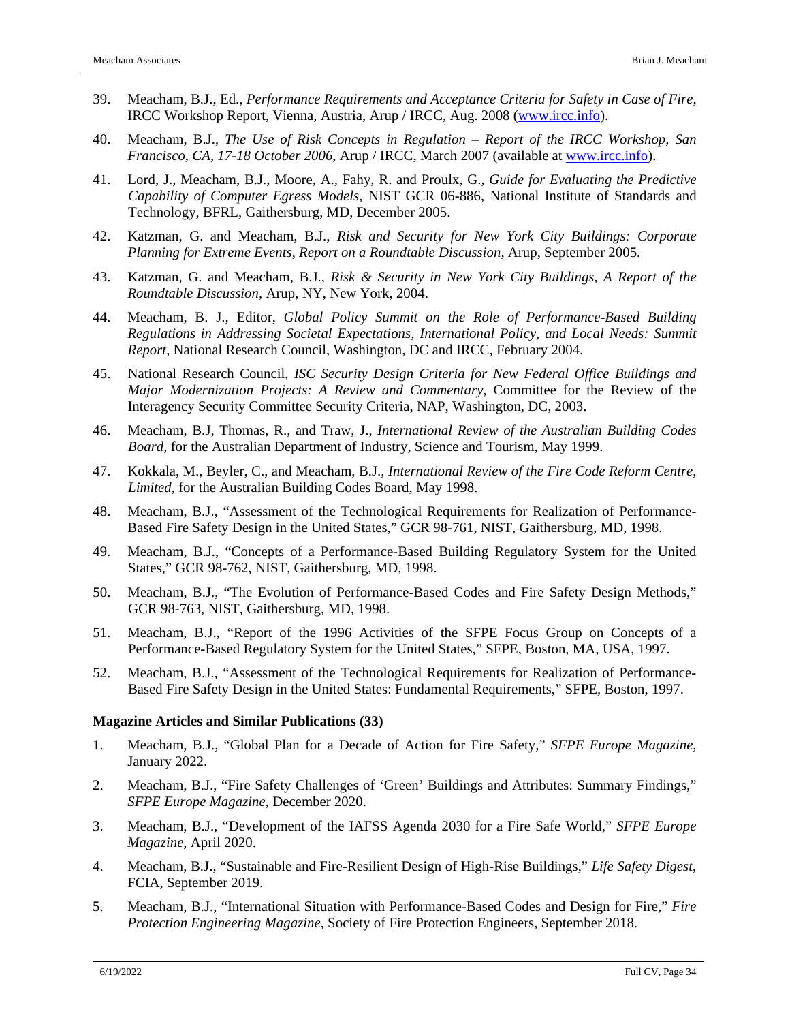- 39. Meacham, B.J., Ed., *Performance Requirements and Acceptance Criteria for Safety in Case of Fire*, IRCC Workshop Report, Vienna, Austria, Arup / IRCC, Aug. 2008 [\(www.ircc.info\)](http://www.ircc.info/).
- 40. Meacham, B.J., *The Use of Risk Concepts in Regulation – Report of the IRCC Workshop, San Francisco, CA, 17-18 October 2006*, Arup / IRCC, March 2007 (available at [www.ircc.info\)](http://www.ircc.info/).
- 41. Lord, J., Meacham, B.J., Moore, A., Fahy, R. and Proulx, G., *Guide for Evaluating the Predictive Capability of Computer Egress Models*, NIST GCR 06-886, National Institute of Standards and Technology, BFRL, Gaithersburg, MD, December 2005.
- 42. Katzman, G. and Meacham, B.J., *Risk and Security for New York City Buildings: Corporate Planning for Extreme Events, Report on a Roundtable Discussion,* Arup, September 2005.
- 43. Katzman, G. and Meacham, B.J., *Risk & Security in New York City Buildings, A Report of the Roundtable Discussion,* Arup, NY, New York, 2004.
- 44. Meacham, B. J., Editor, *Global Policy Summit on the Role of Performance-Based Building Regulations in Addressing Societal Expectations, International Policy, and Local Needs: Summit Report*, National Research Council, Washington, DC and IRCC, February 2004.
- 45. National Research Council, *ISC Security Design Criteria for New Federal Office Buildings and Major Modernization Projects: A Review and Commentary*, Committee for the Review of the Interagency Security Committee Security Criteria, NAP, Washington, DC, 2003.
- 46. Meacham, B.J, Thomas, R., and Traw, J., *International Review of the Australian Building Codes Board*, for the Australian Department of Industry, Science and Tourism, May 1999.
- 47. Kokkala, M., Beyler, C., and Meacham, B.J., *International Review of the Fire Code Reform Centre, Limited*, for the Australian Building Codes Board, May 1998.
- 48. Meacham, B.J., "Assessment of the Technological Requirements for Realization of Performance-Based Fire Safety Design in the United States," GCR 98-761, NIST, Gaithersburg, MD, 1998.
- 49. Meacham, B.J., "Concepts of a Performance-Based Building Regulatory System for the United States," GCR 98-762, NIST, Gaithersburg, MD, 1998.
- 50. Meacham, B.J., "The Evolution of Performance-Based Codes and Fire Safety Design Methods," GCR 98-763, NIST, Gaithersburg, MD, 1998.
- 51. Meacham, B.J., "Report of the 1996 Activities of the SFPE Focus Group on Concepts of a Performance-Based Regulatory System for the United States," SFPE, Boston, MA, USA, 1997.
- 52. Meacham, B.J., "Assessment of the Technological Requirements for Realization of Performance-Based Fire Safety Design in the United States: Fundamental Requirements," SFPE, Boston, 1997.

#### **Magazine Articles and Similar Publications (33)**

- 1. Meacham, B.J., "Global Plan for a Decade of Action for Fire Safety," *SFPE Europe Magazine*, January 2022.
- 2. Meacham, B.J., "Fire Safety Challenges of 'Green' Buildings and Attributes: Summary Findings," *SFPE Europe Magazine*, December 2020.
- 3. Meacham, B.J., "Development of the IAFSS Agenda 2030 for a Fire Safe World," *SFPE Europe Magazine*, April 2020.
- 4. Meacham, B.J., "Sustainable and Fire-Resilient Design of High-Rise Buildings," *Life Safety Digest*, FCIA, September 2019.
- 5. Meacham, B.J., "International Situation with Performance-Based Codes and Design for Fire," *Fire Protection Engineering Magazine*, Society of Fire Protection Engineers, September 2018.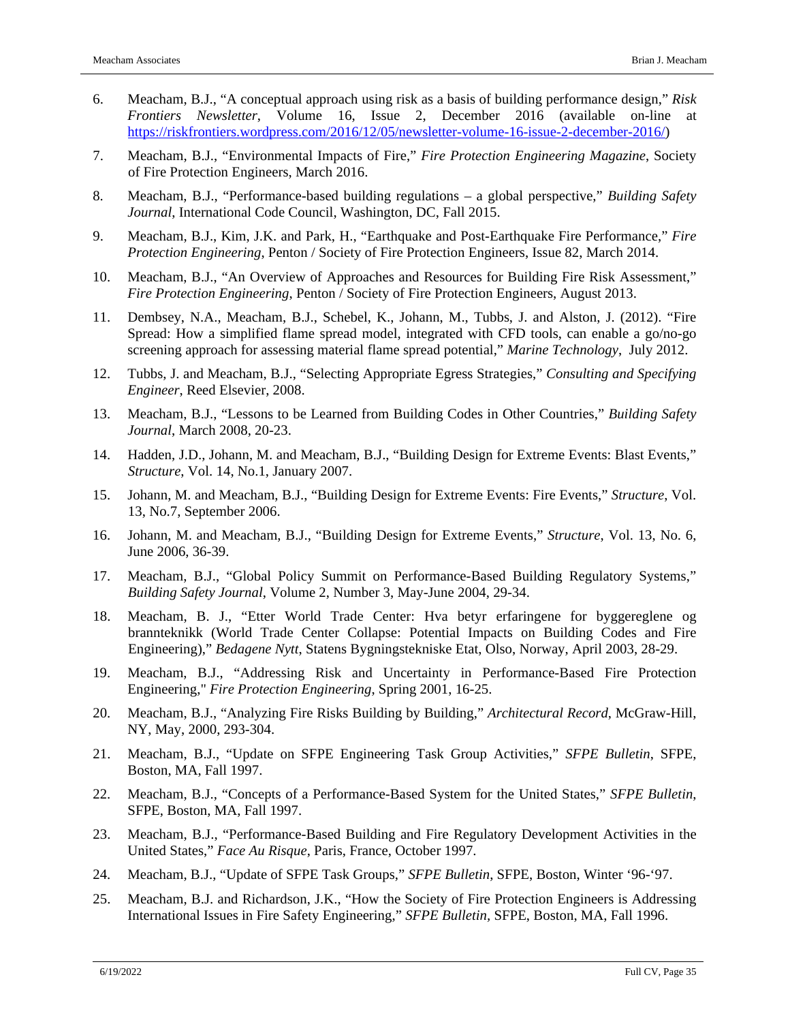- 6. Meacham, B.J., "A conceptual approach using risk as a basis of building performance design," *Risk Frontiers Newsletter*, Volume 16, Issue 2, December 2016 (available on-line at [https://riskfrontiers.wordpress.com/2016/12/05/newsletter-volume-16-issue-2-december-2016/\)](https://riskfrontiers.wordpress.com/2016/12/05/newsletter-volume-16-issue-2-december-2016/)
- 7. Meacham, B.J., "Environmental Impacts of Fire," *Fire Protection Engineering Magazine*, Society of Fire Protection Engineers, March 2016.
- 8. Meacham, B.J., "Performance-based building regulations a global perspective," *Building Safety Journal*, International Code Council, Washington, DC, Fall 2015.
- 9. Meacham, B.J., Kim, J.K. and Park, H., "Earthquake and Post-Earthquake Fire Performance," *Fire Protection Engineering*, Penton / Society of Fire Protection Engineers, Issue 82, March 2014.
- 10. Meacham, B.J., "An Overview of Approaches and Resources for Building Fire Risk Assessment," *Fire Protection Engineering*, Penton / Society of Fire Protection Engineers, August 2013.
- 11. Dembsey, N.A., Meacham, B.J., Schebel, K., Johann, M., Tubbs, J. and Alston, J. (2012). "Fire Spread: How a simplified flame spread model, integrated with CFD tools, can enable a go/no-go screening approach for assessing material flame spread potential," *Marine Technology*, July 2012.
- 12. Tubbs, J. and Meacham, B.J., "Selecting Appropriate Egress Strategies," *Consulting and Specifying Engineer*, Reed Elsevier, 2008.
- 13. Meacham, B.J., "Lessons to be Learned from Building Codes in Other Countries," *Building Safety Journal*, March 2008, 20-23.
- 14. Hadden, J.D., Johann, M. and Meacham, B.J., "Building Design for Extreme Events: Blast Events," *Structure*, Vol. 14, No.1, January 2007.
- 15. Johann, M. and Meacham, B.J., "Building Design for Extreme Events: Fire Events," *Structure*, Vol. 13, No.7, September 2006.
- 16. Johann, M. and Meacham, B.J., "Building Design for Extreme Events," *Structure*, Vol. 13, No. 6, June 2006, 36-39.
- 17. Meacham, B.J., "Global Policy Summit on Performance-Based Building Regulatory Systems," *Building Safety Journal*, Volume 2, Number 3, May-June 2004, 29-34.
- 18. Meacham, B. J., "Etter World Trade Center: Hva betyr erfaringene for byggereglene og brannteknikk (World Trade Center Collapse: Potential Impacts on Building Codes and Fire Engineering)," *Bedagene Nytt*, Statens Bygningstekniske Etat, Olso, Norway, April 2003, 28-29.
- 19. Meacham, B.J., "Addressing Risk and Uncertainty in Performance-Based Fire Protection Engineering," *Fire Protection Engineering*, Spring 2001, 16-25.
- 20. Meacham, B.J., "Analyzing Fire Risks Building by Building," *Architectural Record*, McGraw-Hill, NY, May, 2000, 293-304.
- 21. Meacham, B.J., "Update on SFPE Engineering Task Group Activities," *SFPE Bulletin*, SFPE, Boston, MA, Fall 1997.
- 22. Meacham, B.J., "Concepts of a Performance-Based System for the United States," *SFPE Bulletin*, SFPE, Boston, MA, Fall 1997.
- 23. Meacham, B.J., "Performance-Based Building and Fire Regulatory Development Activities in the United States," *Face Au Risque*, Paris, France, October 1997.
- 24. Meacham, B.J., "Update of SFPE Task Groups," *SFPE Bulletin*, SFPE, Boston, Winter '96-'97.
- 25. Meacham, B.J. and Richardson, J.K., "How the Society of Fire Protection Engineers is Addressing International Issues in Fire Safety Engineering," *SFPE Bulletin,* SFPE, Boston, MA, Fall 1996.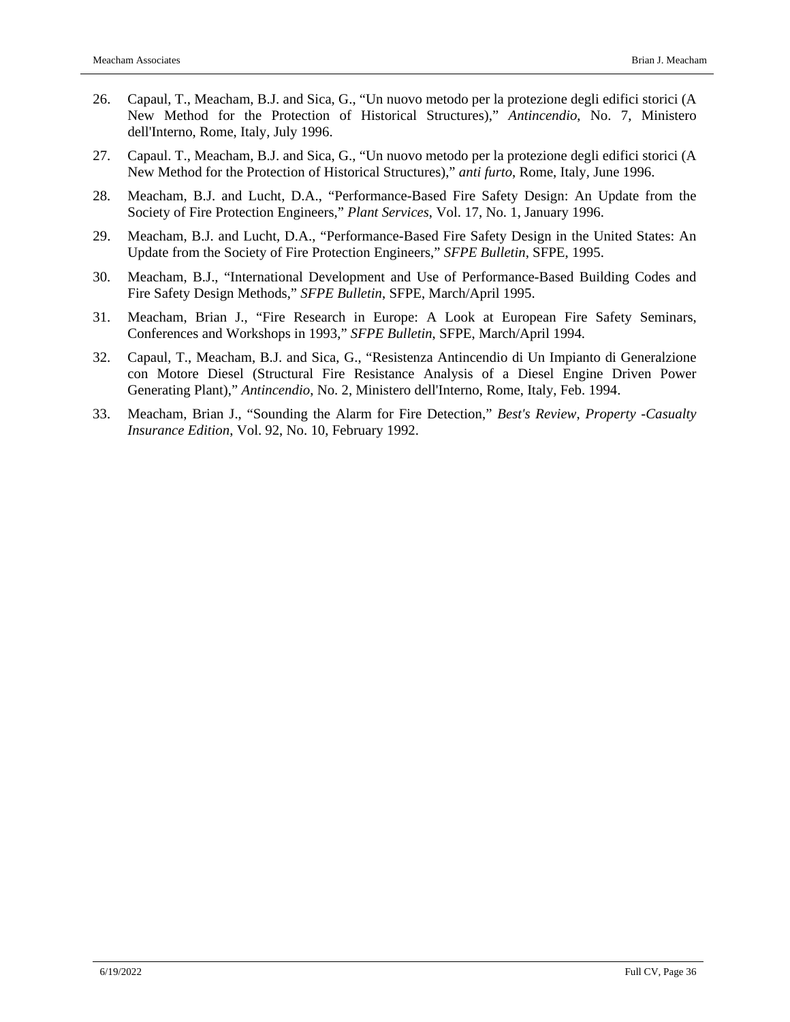- 26. Capaul, T., Meacham, B.J. and Sica, G., "Un nuovo metodo per la protezione degli edifici storici (A New Method for the Protection of Historical Structures)," *Antincendio*, No. 7, Ministero dell'Interno, Rome, Italy, July 1996.
- 27. Capaul. T., Meacham, B.J. and Sica, G., "Un nuovo metodo per la protezione degli edifici storici (A New Method for the Protection of Historical Structures)," *anti furto*, Rome, Italy, June 1996.
- 28. Meacham, B.J. and Lucht, D.A., "Performance-Based Fire Safety Design: An Update from the Society of Fire Protection Engineers," *Plant Services*, Vol. 17, No. 1, January 1996.
- 29. Meacham, B.J. and Lucht, D.A., "Performance-Based Fire Safety Design in the United States: An Update from the Society of Fire Protection Engineers," *SFPE Bulletin,* SFPE, 1995.
- 30. Meacham, B.J., "International Development and Use of Performance-Based Building Codes and Fire Safety Design Methods," *SFPE Bulletin*, SFPE, March/April 1995.
- 31. Meacham, Brian J., "Fire Research in Europe: A Look at European Fire Safety Seminars, Conferences and Workshops in 1993," *SFPE Bulletin*, SFPE, March/April 1994.
- 32. Capaul, T., Meacham, B.J. and Sica, G., "Resistenza Antincendio di Un Impianto di Generalzione con Motore Diesel (Structural Fire Resistance Analysis of a Diesel Engine Driven Power Generating Plant)," *Antincendio*, No. 2, Ministero dell'Interno, Rome, Italy, Feb. 1994.
- 33. Meacham, Brian J., "Sounding the Alarm for Fire Detection," *Best's Review*, *Property -Casualty Insurance Edition*, Vol. 92, No. 10, February 1992.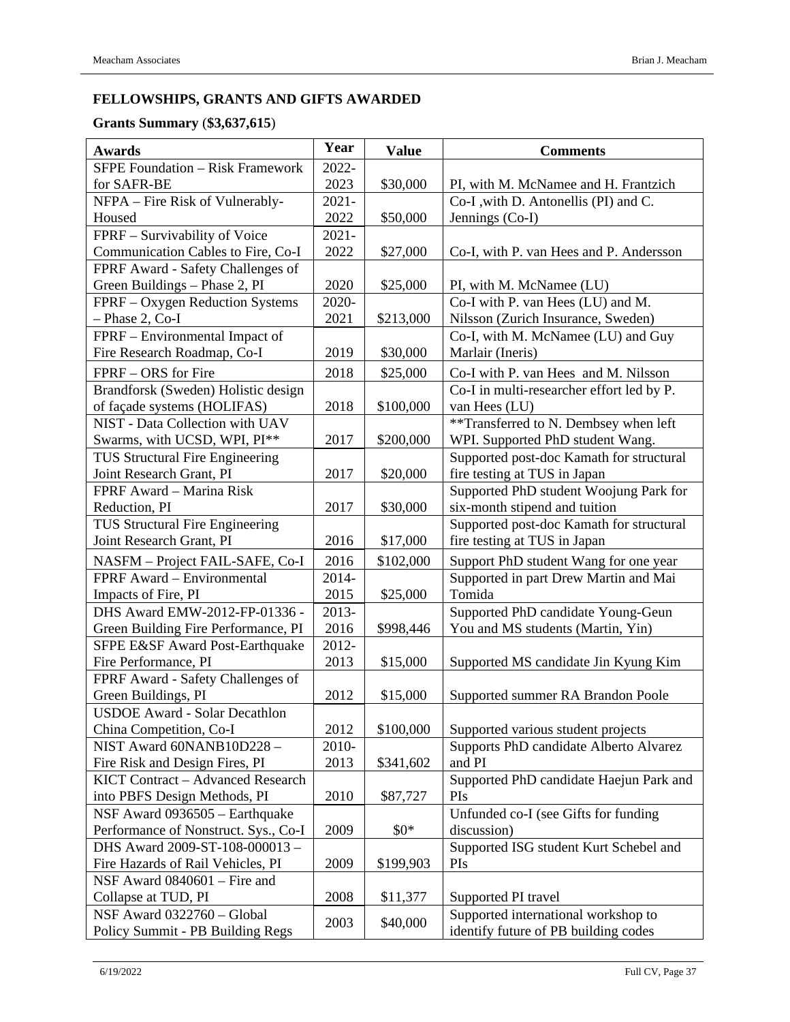# **FELLOWSHIPS, GRANTS AND GIFTS AWARDED**

# **Grants Summary** (**\$3,637,615**)

| <b>SFPE Foundation - Risk Framework</b><br>2022-<br>2023<br>\$30,000<br>for SAFR-BE<br>PI, with M. McNamee and H. Frantzich<br>NFPA - Fire Risk of Vulnerably-<br>$2021 -$<br>Co-I , with D. Antonellis (PI) and C.<br>2022<br>Jennings (Co-I)<br>Housed<br>\$50,000<br>FPRF - Survivability of Voice<br>$2021 -$<br>Communication Cables to Fire, Co-I<br>2022<br>Co-I, with P. van Hees and P. Andersson<br>\$27,000<br>FPRF Award - Safety Challenges of<br>Green Buildings - Phase 2, PI<br>2020<br>\$25,000<br>PI, with M. McNamee (LU)<br>FPRF - Oxygen Reduction Systems<br>2020-<br>Co-I with P. van Hees (LU) and M.<br>$-$ Phase 2, Co-I<br>2021<br>Nilsson (Zurich Insurance, Sweden)<br>\$213,000<br>FPRF – Environmental Impact of<br>Co-I, with M. McNamee (LU) and Guy<br>Fire Research Roadmap, Co-I<br>2019<br>Marlair (Ineris)<br>\$30,000<br>FPRF - ORS for Fire<br>2018<br>\$25,000<br>Co-I with P. van Hees and M. Nilsson<br>Brandforsk (Sweden) Holistic design<br>Co-I in multi-researcher effort led by P.<br>of façade systems (HOLIFAS)<br>van Hees (LU)<br>2018<br>\$100,000<br>**Transferred to N. Dembsey when left<br>NIST - Data Collection with UAV<br>Swarms, with UCSD, WPI, PI**<br>2017<br>WPI. Supported PhD student Wang.<br>\$200,000<br>TUS Structural Fire Engineering<br>Supported post-doc Kamath for structural<br>Joint Research Grant, PI<br>fire testing at TUS in Japan<br>2017<br>\$20,000<br>Supported PhD student Woojung Park for<br>FPRF Award - Marina Risk<br>six-month stipend and tuition<br>Reduction, PI<br>2017<br>\$30,000<br>TUS Structural Fire Engineering<br>Supported post-doc Kamath for structural<br>Joint Research Grant, PI<br>2016<br>\$17,000<br>fire testing at TUS in Japan<br>2016<br>\$102,000<br>Support PhD student Wang for one year<br>NASFM - Project FAIL-SAFE, Co-I<br>2014-<br>FPRF Award - Environmental<br>Supported in part Drew Martin and Mai<br>Tomida<br>2015<br>\$25,000<br>Impacts of Fire, PI<br>DHS Award EMW-2012-FP-01336 -<br>Supported PhD candidate Young-Geun<br>2013-<br>2016<br>You and MS students (Martin, Yin)<br>Green Building Fire Performance, PI<br>\$998,446<br>SFPE E&SF Award Post-Earthquake<br>2012-<br>Fire Performance, PI<br>2013<br>Supported MS candidate Jin Kyung Kim<br>\$15,000<br>FPRF Award - Safety Challenges of<br>2012<br>\$15,000<br>Green Buildings, PI<br>Supported summer RA Brandon Poole<br><b>USDOE Award - Solar Decathlon</b><br>2012<br>China Competition, Co-I<br>\$100,000<br>Supported various student projects<br>NIST Award 60NANB10D228-<br>Supports PhD candidate Alberto Alvarez<br>2010-<br>and PI<br>Fire Risk and Design Fires, PI<br>2013<br>\$341,602<br>KICT Contract - Advanced Research<br>Supported PhD candidate Haejun Park and<br>into PBFS Design Methods, PI<br>2010<br>PIs<br>\$87,727<br>NSF Award 0936505 - Earthquake<br>Unfunded co-I (see Gifts for funding<br>Performance of Nonstruct. Sys., Co-I<br>2009<br>$$0*$<br>discussion)<br>DHS Award 2009-ST-108-000013-<br>Supported ISG student Kurt Schebel and<br>Fire Hazards of Rail Vehicles, PI<br>2009<br>\$199,903<br>PIs<br>NSF Award 0840601 – Fire and<br>2008<br>Collapse at TUD, PI<br>Supported PI travel<br>\$11,377 | <b>Awards</b>              | Year | <b>Value</b> | <b>Comments</b>                     |
|--------------------------------------------------------------------------------------------------------------------------------------------------------------------------------------------------------------------------------------------------------------------------------------------------------------------------------------------------------------------------------------------------------------------------------------------------------------------------------------------------------------------------------------------------------------------------------------------------------------------------------------------------------------------------------------------------------------------------------------------------------------------------------------------------------------------------------------------------------------------------------------------------------------------------------------------------------------------------------------------------------------------------------------------------------------------------------------------------------------------------------------------------------------------------------------------------------------------------------------------------------------------------------------------------------------------------------------------------------------------------------------------------------------------------------------------------------------------------------------------------------------------------------------------------------------------------------------------------------------------------------------------------------------------------------------------------------------------------------------------------------------------------------------------------------------------------------------------------------------------------------------------------------------------------------------------------------------------------------------------------------------------------------------------------------------------------------------------------------------------------------------------------------------------------------------------------------------------------------------------------------------------------------------------------------------------------------------------------------------------------------------------------------------------------------------------------------------------------------------------------------------------------------------------------------------------------------------------------------------------------------------------------------------------------------------------------------------------------------------------------------------------------------------------------------------------------------------------------------------------------------------------------------------------------------------------------------------------------------------------------------------------------------------------------------------------------------------------------------------------------------------------------------------------------------------------------------------------------------------------------------------|----------------------------|------|--------------|-------------------------------------|
|                                                                                                                                                                                                                                                                                                                                                                                                                                                                                                                                                                                                                                                                                                                                                                                                                                                                                                                                                                                                                                                                                                                                                                                                                                                                                                                                                                                                                                                                                                                                                                                                                                                                                                                                                                                                                                                                                                                                                                                                                                                                                                                                                                                                                                                                                                                                                                                                                                                                                                                                                                                                                                                                                                                                                                                                                                                                                                                                                                                                                                                                                                                                                                                                                                                              |                            |      |              |                                     |
|                                                                                                                                                                                                                                                                                                                                                                                                                                                                                                                                                                                                                                                                                                                                                                                                                                                                                                                                                                                                                                                                                                                                                                                                                                                                                                                                                                                                                                                                                                                                                                                                                                                                                                                                                                                                                                                                                                                                                                                                                                                                                                                                                                                                                                                                                                                                                                                                                                                                                                                                                                                                                                                                                                                                                                                                                                                                                                                                                                                                                                                                                                                                                                                                                                                              |                            |      |              |                                     |
|                                                                                                                                                                                                                                                                                                                                                                                                                                                                                                                                                                                                                                                                                                                                                                                                                                                                                                                                                                                                                                                                                                                                                                                                                                                                                                                                                                                                                                                                                                                                                                                                                                                                                                                                                                                                                                                                                                                                                                                                                                                                                                                                                                                                                                                                                                                                                                                                                                                                                                                                                                                                                                                                                                                                                                                                                                                                                                                                                                                                                                                                                                                                                                                                                                                              |                            |      |              |                                     |
|                                                                                                                                                                                                                                                                                                                                                                                                                                                                                                                                                                                                                                                                                                                                                                                                                                                                                                                                                                                                                                                                                                                                                                                                                                                                                                                                                                                                                                                                                                                                                                                                                                                                                                                                                                                                                                                                                                                                                                                                                                                                                                                                                                                                                                                                                                                                                                                                                                                                                                                                                                                                                                                                                                                                                                                                                                                                                                                                                                                                                                                                                                                                                                                                                                                              |                            |      |              |                                     |
|                                                                                                                                                                                                                                                                                                                                                                                                                                                                                                                                                                                                                                                                                                                                                                                                                                                                                                                                                                                                                                                                                                                                                                                                                                                                                                                                                                                                                                                                                                                                                                                                                                                                                                                                                                                                                                                                                                                                                                                                                                                                                                                                                                                                                                                                                                                                                                                                                                                                                                                                                                                                                                                                                                                                                                                                                                                                                                                                                                                                                                                                                                                                                                                                                                                              |                            |      |              |                                     |
|                                                                                                                                                                                                                                                                                                                                                                                                                                                                                                                                                                                                                                                                                                                                                                                                                                                                                                                                                                                                                                                                                                                                                                                                                                                                                                                                                                                                                                                                                                                                                                                                                                                                                                                                                                                                                                                                                                                                                                                                                                                                                                                                                                                                                                                                                                                                                                                                                                                                                                                                                                                                                                                                                                                                                                                                                                                                                                                                                                                                                                                                                                                                                                                                                                                              |                            |      |              |                                     |
|                                                                                                                                                                                                                                                                                                                                                                                                                                                                                                                                                                                                                                                                                                                                                                                                                                                                                                                                                                                                                                                                                                                                                                                                                                                                                                                                                                                                                                                                                                                                                                                                                                                                                                                                                                                                                                                                                                                                                                                                                                                                                                                                                                                                                                                                                                                                                                                                                                                                                                                                                                                                                                                                                                                                                                                                                                                                                                                                                                                                                                                                                                                                                                                                                                                              |                            |      |              |                                     |
|                                                                                                                                                                                                                                                                                                                                                                                                                                                                                                                                                                                                                                                                                                                                                                                                                                                                                                                                                                                                                                                                                                                                                                                                                                                                                                                                                                                                                                                                                                                                                                                                                                                                                                                                                                                                                                                                                                                                                                                                                                                                                                                                                                                                                                                                                                                                                                                                                                                                                                                                                                                                                                                                                                                                                                                                                                                                                                                                                                                                                                                                                                                                                                                                                                                              |                            |      |              |                                     |
|                                                                                                                                                                                                                                                                                                                                                                                                                                                                                                                                                                                                                                                                                                                                                                                                                                                                                                                                                                                                                                                                                                                                                                                                                                                                                                                                                                                                                                                                                                                                                                                                                                                                                                                                                                                                                                                                                                                                                                                                                                                                                                                                                                                                                                                                                                                                                                                                                                                                                                                                                                                                                                                                                                                                                                                                                                                                                                                                                                                                                                                                                                                                                                                                                                                              |                            |      |              |                                     |
|                                                                                                                                                                                                                                                                                                                                                                                                                                                                                                                                                                                                                                                                                                                                                                                                                                                                                                                                                                                                                                                                                                                                                                                                                                                                                                                                                                                                                                                                                                                                                                                                                                                                                                                                                                                                                                                                                                                                                                                                                                                                                                                                                                                                                                                                                                                                                                                                                                                                                                                                                                                                                                                                                                                                                                                                                                                                                                                                                                                                                                                                                                                                                                                                                                                              |                            |      |              |                                     |
|                                                                                                                                                                                                                                                                                                                                                                                                                                                                                                                                                                                                                                                                                                                                                                                                                                                                                                                                                                                                                                                                                                                                                                                                                                                                                                                                                                                                                                                                                                                                                                                                                                                                                                                                                                                                                                                                                                                                                                                                                                                                                                                                                                                                                                                                                                                                                                                                                                                                                                                                                                                                                                                                                                                                                                                                                                                                                                                                                                                                                                                                                                                                                                                                                                                              |                            |      |              |                                     |
|                                                                                                                                                                                                                                                                                                                                                                                                                                                                                                                                                                                                                                                                                                                                                                                                                                                                                                                                                                                                                                                                                                                                                                                                                                                                                                                                                                                                                                                                                                                                                                                                                                                                                                                                                                                                                                                                                                                                                                                                                                                                                                                                                                                                                                                                                                                                                                                                                                                                                                                                                                                                                                                                                                                                                                                                                                                                                                                                                                                                                                                                                                                                                                                                                                                              |                            |      |              |                                     |
|                                                                                                                                                                                                                                                                                                                                                                                                                                                                                                                                                                                                                                                                                                                                                                                                                                                                                                                                                                                                                                                                                                                                                                                                                                                                                                                                                                                                                                                                                                                                                                                                                                                                                                                                                                                                                                                                                                                                                                                                                                                                                                                                                                                                                                                                                                                                                                                                                                                                                                                                                                                                                                                                                                                                                                                                                                                                                                                                                                                                                                                                                                                                                                                                                                                              |                            |      |              |                                     |
|                                                                                                                                                                                                                                                                                                                                                                                                                                                                                                                                                                                                                                                                                                                                                                                                                                                                                                                                                                                                                                                                                                                                                                                                                                                                                                                                                                                                                                                                                                                                                                                                                                                                                                                                                                                                                                                                                                                                                                                                                                                                                                                                                                                                                                                                                                                                                                                                                                                                                                                                                                                                                                                                                                                                                                                                                                                                                                                                                                                                                                                                                                                                                                                                                                                              |                            |      |              |                                     |
|                                                                                                                                                                                                                                                                                                                                                                                                                                                                                                                                                                                                                                                                                                                                                                                                                                                                                                                                                                                                                                                                                                                                                                                                                                                                                                                                                                                                                                                                                                                                                                                                                                                                                                                                                                                                                                                                                                                                                                                                                                                                                                                                                                                                                                                                                                                                                                                                                                                                                                                                                                                                                                                                                                                                                                                                                                                                                                                                                                                                                                                                                                                                                                                                                                                              |                            |      |              |                                     |
|                                                                                                                                                                                                                                                                                                                                                                                                                                                                                                                                                                                                                                                                                                                                                                                                                                                                                                                                                                                                                                                                                                                                                                                                                                                                                                                                                                                                                                                                                                                                                                                                                                                                                                                                                                                                                                                                                                                                                                                                                                                                                                                                                                                                                                                                                                                                                                                                                                                                                                                                                                                                                                                                                                                                                                                                                                                                                                                                                                                                                                                                                                                                                                                                                                                              |                            |      |              |                                     |
|                                                                                                                                                                                                                                                                                                                                                                                                                                                                                                                                                                                                                                                                                                                                                                                                                                                                                                                                                                                                                                                                                                                                                                                                                                                                                                                                                                                                                                                                                                                                                                                                                                                                                                                                                                                                                                                                                                                                                                                                                                                                                                                                                                                                                                                                                                                                                                                                                                                                                                                                                                                                                                                                                                                                                                                                                                                                                                                                                                                                                                                                                                                                                                                                                                                              |                            |      |              |                                     |
|                                                                                                                                                                                                                                                                                                                                                                                                                                                                                                                                                                                                                                                                                                                                                                                                                                                                                                                                                                                                                                                                                                                                                                                                                                                                                                                                                                                                                                                                                                                                                                                                                                                                                                                                                                                                                                                                                                                                                                                                                                                                                                                                                                                                                                                                                                                                                                                                                                                                                                                                                                                                                                                                                                                                                                                                                                                                                                                                                                                                                                                                                                                                                                                                                                                              |                            |      |              |                                     |
|                                                                                                                                                                                                                                                                                                                                                                                                                                                                                                                                                                                                                                                                                                                                                                                                                                                                                                                                                                                                                                                                                                                                                                                                                                                                                                                                                                                                                                                                                                                                                                                                                                                                                                                                                                                                                                                                                                                                                                                                                                                                                                                                                                                                                                                                                                                                                                                                                                                                                                                                                                                                                                                                                                                                                                                                                                                                                                                                                                                                                                                                                                                                                                                                                                                              |                            |      |              |                                     |
|                                                                                                                                                                                                                                                                                                                                                                                                                                                                                                                                                                                                                                                                                                                                                                                                                                                                                                                                                                                                                                                                                                                                                                                                                                                                                                                                                                                                                                                                                                                                                                                                                                                                                                                                                                                                                                                                                                                                                                                                                                                                                                                                                                                                                                                                                                                                                                                                                                                                                                                                                                                                                                                                                                                                                                                                                                                                                                                                                                                                                                                                                                                                                                                                                                                              |                            |      |              |                                     |
|                                                                                                                                                                                                                                                                                                                                                                                                                                                                                                                                                                                                                                                                                                                                                                                                                                                                                                                                                                                                                                                                                                                                                                                                                                                                                                                                                                                                                                                                                                                                                                                                                                                                                                                                                                                                                                                                                                                                                                                                                                                                                                                                                                                                                                                                                                                                                                                                                                                                                                                                                                                                                                                                                                                                                                                                                                                                                                                                                                                                                                                                                                                                                                                                                                                              |                            |      |              |                                     |
|                                                                                                                                                                                                                                                                                                                                                                                                                                                                                                                                                                                                                                                                                                                                                                                                                                                                                                                                                                                                                                                                                                                                                                                                                                                                                                                                                                                                                                                                                                                                                                                                                                                                                                                                                                                                                                                                                                                                                                                                                                                                                                                                                                                                                                                                                                                                                                                                                                                                                                                                                                                                                                                                                                                                                                                                                                                                                                                                                                                                                                                                                                                                                                                                                                                              |                            |      |              |                                     |
|                                                                                                                                                                                                                                                                                                                                                                                                                                                                                                                                                                                                                                                                                                                                                                                                                                                                                                                                                                                                                                                                                                                                                                                                                                                                                                                                                                                                                                                                                                                                                                                                                                                                                                                                                                                                                                                                                                                                                                                                                                                                                                                                                                                                                                                                                                                                                                                                                                                                                                                                                                                                                                                                                                                                                                                                                                                                                                                                                                                                                                                                                                                                                                                                                                                              |                            |      |              |                                     |
|                                                                                                                                                                                                                                                                                                                                                                                                                                                                                                                                                                                                                                                                                                                                                                                                                                                                                                                                                                                                                                                                                                                                                                                                                                                                                                                                                                                                                                                                                                                                                                                                                                                                                                                                                                                                                                                                                                                                                                                                                                                                                                                                                                                                                                                                                                                                                                                                                                                                                                                                                                                                                                                                                                                                                                                                                                                                                                                                                                                                                                                                                                                                                                                                                                                              |                            |      |              |                                     |
|                                                                                                                                                                                                                                                                                                                                                                                                                                                                                                                                                                                                                                                                                                                                                                                                                                                                                                                                                                                                                                                                                                                                                                                                                                                                                                                                                                                                                                                                                                                                                                                                                                                                                                                                                                                                                                                                                                                                                                                                                                                                                                                                                                                                                                                                                                                                                                                                                                                                                                                                                                                                                                                                                                                                                                                                                                                                                                                                                                                                                                                                                                                                                                                                                                                              |                            |      |              |                                     |
|                                                                                                                                                                                                                                                                                                                                                                                                                                                                                                                                                                                                                                                                                                                                                                                                                                                                                                                                                                                                                                                                                                                                                                                                                                                                                                                                                                                                                                                                                                                                                                                                                                                                                                                                                                                                                                                                                                                                                                                                                                                                                                                                                                                                                                                                                                                                                                                                                                                                                                                                                                                                                                                                                                                                                                                                                                                                                                                                                                                                                                                                                                                                                                                                                                                              |                            |      |              |                                     |
|                                                                                                                                                                                                                                                                                                                                                                                                                                                                                                                                                                                                                                                                                                                                                                                                                                                                                                                                                                                                                                                                                                                                                                                                                                                                                                                                                                                                                                                                                                                                                                                                                                                                                                                                                                                                                                                                                                                                                                                                                                                                                                                                                                                                                                                                                                                                                                                                                                                                                                                                                                                                                                                                                                                                                                                                                                                                                                                                                                                                                                                                                                                                                                                                                                                              |                            |      |              |                                     |
|                                                                                                                                                                                                                                                                                                                                                                                                                                                                                                                                                                                                                                                                                                                                                                                                                                                                                                                                                                                                                                                                                                                                                                                                                                                                                                                                                                                                                                                                                                                                                                                                                                                                                                                                                                                                                                                                                                                                                                                                                                                                                                                                                                                                                                                                                                                                                                                                                                                                                                                                                                                                                                                                                                                                                                                                                                                                                                                                                                                                                                                                                                                                                                                                                                                              |                            |      |              |                                     |
|                                                                                                                                                                                                                                                                                                                                                                                                                                                                                                                                                                                                                                                                                                                                                                                                                                                                                                                                                                                                                                                                                                                                                                                                                                                                                                                                                                                                                                                                                                                                                                                                                                                                                                                                                                                                                                                                                                                                                                                                                                                                                                                                                                                                                                                                                                                                                                                                                                                                                                                                                                                                                                                                                                                                                                                                                                                                                                                                                                                                                                                                                                                                                                                                                                                              |                            |      |              |                                     |
|                                                                                                                                                                                                                                                                                                                                                                                                                                                                                                                                                                                                                                                                                                                                                                                                                                                                                                                                                                                                                                                                                                                                                                                                                                                                                                                                                                                                                                                                                                                                                                                                                                                                                                                                                                                                                                                                                                                                                                                                                                                                                                                                                                                                                                                                                                                                                                                                                                                                                                                                                                                                                                                                                                                                                                                                                                                                                                                                                                                                                                                                                                                                                                                                                                                              |                            |      |              |                                     |
|                                                                                                                                                                                                                                                                                                                                                                                                                                                                                                                                                                                                                                                                                                                                                                                                                                                                                                                                                                                                                                                                                                                                                                                                                                                                                                                                                                                                                                                                                                                                                                                                                                                                                                                                                                                                                                                                                                                                                                                                                                                                                                                                                                                                                                                                                                                                                                                                                                                                                                                                                                                                                                                                                                                                                                                                                                                                                                                                                                                                                                                                                                                                                                                                                                                              |                            |      |              |                                     |
|                                                                                                                                                                                                                                                                                                                                                                                                                                                                                                                                                                                                                                                                                                                                                                                                                                                                                                                                                                                                                                                                                                                                                                                                                                                                                                                                                                                                                                                                                                                                                                                                                                                                                                                                                                                                                                                                                                                                                                                                                                                                                                                                                                                                                                                                                                                                                                                                                                                                                                                                                                                                                                                                                                                                                                                                                                                                                                                                                                                                                                                                                                                                                                                                                                                              |                            |      |              |                                     |
|                                                                                                                                                                                                                                                                                                                                                                                                                                                                                                                                                                                                                                                                                                                                                                                                                                                                                                                                                                                                                                                                                                                                                                                                                                                                                                                                                                                                                                                                                                                                                                                                                                                                                                                                                                                                                                                                                                                                                                                                                                                                                                                                                                                                                                                                                                                                                                                                                                                                                                                                                                                                                                                                                                                                                                                                                                                                                                                                                                                                                                                                                                                                                                                                                                                              |                            |      |              |                                     |
|                                                                                                                                                                                                                                                                                                                                                                                                                                                                                                                                                                                                                                                                                                                                                                                                                                                                                                                                                                                                                                                                                                                                                                                                                                                                                                                                                                                                                                                                                                                                                                                                                                                                                                                                                                                                                                                                                                                                                                                                                                                                                                                                                                                                                                                                                                                                                                                                                                                                                                                                                                                                                                                                                                                                                                                                                                                                                                                                                                                                                                                                                                                                                                                                                                                              |                            |      |              |                                     |
|                                                                                                                                                                                                                                                                                                                                                                                                                                                                                                                                                                                                                                                                                                                                                                                                                                                                                                                                                                                                                                                                                                                                                                                                                                                                                                                                                                                                                                                                                                                                                                                                                                                                                                                                                                                                                                                                                                                                                                                                                                                                                                                                                                                                                                                                                                                                                                                                                                                                                                                                                                                                                                                                                                                                                                                                                                                                                                                                                                                                                                                                                                                                                                                                                                                              |                            |      |              |                                     |
|                                                                                                                                                                                                                                                                                                                                                                                                                                                                                                                                                                                                                                                                                                                                                                                                                                                                                                                                                                                                                                                                                                                                                                                                                                                                                                                                                                                                                                                                                                                                                                                                                                                                                                                                                                                                                                                                                                                                                                                                                                                                                                                                                                                                                                                                                                                                                                                                                                                                                                                                                                                                                                                                                                                                                                                                                                                                                                                                                                                                                                                                                                                                                                                                                                                              |                            |      |              |                                     |
|                                                                                                                                                                                                                                                                                                                                                                                                                                                                                                                                                                                                                                                                                                                                                                                                                                                                                                                                                                                                                                                                                                                                                                                                                                                                                                                                                                                                                                                                                                                                                                                                                                                                                                                                                                                                                                                                                                                                                                                                                                                                                                                                                                                                                                                                                                                                                                                                                                                                                                                                                                                                                                                                                                                                                                                                                                                                                                                                                                                                                                                                                                                                                                                                                                                              |                            |      |              |                                     |
|                                                                                                                                                                                                                                                                                                                                                                                                                                                                                                                                                                                                                                                                                                                                                                                                                                                                                                                                                                                                                                                                                                                                                                                                                                                                                                                                                                                                                                                                                                                                                                                                                                                                                                                                                                                                                                                                                                                                                                                                                                                                                                                                                                                                                                                                                                                                                                                                                                                                                                                                                                                                                                                                                                                                                                                                                                                                                                                                                                                                                                                                                                                                                                                                                                                              |                            |      |              |                                     |
|                                                                                                                                                                                                                                                                                                                                                                                                                                                                                                                                                                                                                                                                                                                                                                                                                                                                                                                                                                                                                                                                                                                                                                                                                                                                                                                                                                                                                                                                                                                                                                                                                                                                                                                                                                                                                                                                                                                                                                                                                                                                                                                                                                                                                                                                                                                                                                                                                                                                                                                                                                                                                                                                                                                                                                                                                                                                                                                                                                                                                                                                                                                                                                                                                                                              |                            |      |              |                                     |
|                                                                                                                                                                                                                                                                                                                                                                                                                                                                                                                                                                                                                                                                                                                                                                                                                                                                                                                                                                                                                                                                                                                                                                                                                                                                                                                                                                                                                                                                                                                                                                                                                                                                                                                                                                                                                                                                                                                                                                                                                                                                                                                                                                                                                                                                                                                                                                                                                                                                                                                                                                                                                                                                                                                                                                                                                                                                                                                                                                                                                                                                                                                                                                                                                                                              |                            |      |              |                                     |
|                                                                                                                                                                                                                                                                                                                                                                                                                                                                                                                                                                                                                                                                                                                                                                                                                                                                                                                                                                                                                                                                                                                                                                                                                                                                                                                                                                                                                                                                                                                                                                                                                                                                                                                                                                                                                                                                                                                                                                                                                                                                                                                                                                                                                                                                                                                                                                                                                                                                                                                                                                                                                                                                                                                                                                                                                                                                                                                                                                                                                                                                                                                                                                                                                                                              |                            |      |              |                                     |
|                                                                                                                                                                                                                                                                                                                                                                                                                                                                                                                                                                                                                                                                                                                                                                                                                                                                                                                                                                                                                                                                                                                                                                                                                                                                                                                                                                                                                                                                                                                                                                                                                                                                                                                                                                                                                                                                                                                                                                                                                                                                                                                                                                                                                                                                                                                                                                                                                                                                                                                                                                                                                                                                                                                                                                                                                                                                                                                                                                                                                                                                                                                                                                                                                                                              |                            |      |              |                                     |
|                                                                                                                                                                                                                                                                                                                                                                                                                                                                                                                                                                                                                                                                                                                                                                                                                                                                                                                                                                                                                                                                                                                                                                                                                                                                                                                                                                                                                                                                                                                                                                                                                                                                                                                                                                                                                                                                                                                                                                                                                                                                                                                                                                                                                                                                                                                                                                                                                                                                                                                                                                                                                                                                                                                                                                                                                                                                                                                                                                                                                                                                                                                                                                                                                                                              |                            |      |              |                                     |
|                                                                                                                                                                                                                                                                                                                                                                                                                                                                                                                                                                                                                                                                                                                                                                                                                                                                                                                                                                                                                                                                                                                                                                                                                                                                                                                                                                                                                                                                                                                                                                                                                                                                                                                                                                                                                                                                                                                                                                                                                                                                                                                                                                                                                                                                                                                                                                                                                                                                                                                                                                                                                                                                                                                                                                                                                                                                                                                                                                                                                                                                                                                                                                                                                                                              | NSF Award 0322760 - Global |      |              | Supported international workshop to |
| \$40,000<br>2003<br>identify future of PB building codes<br>Policy Summit - PB Building Regs                                                                                                                                                                                                                                                                                                                                                                                                                                                                                                                                                                                                                                                                                                                                                                                                                                                                                                                                                                                                                                                                                                                                                                                                                                                                                                                                                                                                                                                                                                                                                                                                                                                                                                                                                                                                                                                                                                                                                                                                                                                                                                                                                                                                                                                                                                                                                                                                                                                                                                                                                                                                                                                                                                                                                                                                                                                                                                                                                                                                                                                                                                                                                                 |                            |      |              |                                     |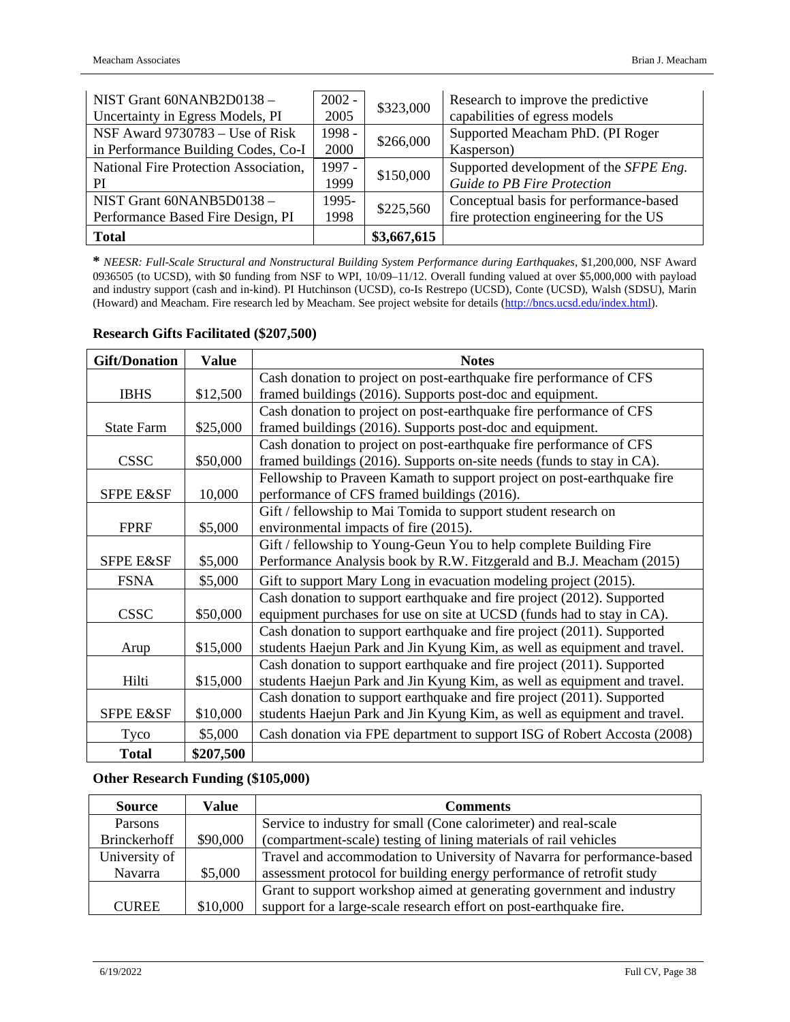| NIST Grant 60NANB2D0138 -             | $2002 -$<br>\$323,000 |             | Research to improve the predictive     |
|---------------------------------------|-----------------------|-------------|----------------------------------------|
| Uncertainty in Egress Models, PI      | 2005                  |             | capabilities of egress models          |
| NSF Award 9730783 – Use of Risk       | 1998 -                | \$266,000   | Supported Meacham PhD. (PI Roger       |
| in Performance Building Codes, Co-I   | 2000                  |             | Kasperson)                             |
| National Fire Protection Association, | 1997 -<br>\$150,000   |             | Supported development of the SFPE Eng. |
| PI                                    | 1999                  |             | <b>Guide to PB Fire Protection</b>     |
| NIST Grant 60NANB5D0138 -             | 1995-<br>\$225,560    |             | Conceptual basis for performance-based |
| Performance Based Fire Design, PI     | 1998                  |             | fire protection engineering for the US |
| <b>Total</b>                          |                       | \$3,667,615 |                                        |

**\*** *NEESR: Full-Scale Structural and Nonstructural Building System Performance during Earthquakes*, \$1,200,000, NSF Award 0936505 (to UCSD), with \$0 funding from NSF to WPI, 10/09–11/12. Overall funding valued at over \$5,000,000 with payload and industry support (cash and in-kind). PI Hutchinson (UCSD), co-Is Restrepo (UCSD), Conte (UCSD), Walsh (SDSU), Marin (Howard) and Meacham. Fire research led by Meacham. See project website for details [\(http://bncs.ucsd.edu/index.html\)](http://bncs.ucsd.edu/index.html).

| <b>Gift/Donation</b> | <b>Value</b> | <b>Notes</b>                                                             |
|----------------------|--------------|--------------------------------------------------------------------------|
|                      |              | Cash donation to project on post-earthquake fire performance of CFS      |
| <b>IBHS</b>          | \$12,500     | framed buildings (2016). Supports post-doc and equipment.                |
|                      |              | Cash donation to project on post-earthquake fire performance of CFS      |
| <b>State Farm</b>    | \$25,000     | framed buildings (2016). Supports post-doc and equipment.                |
|                      |              | Cash donation to project on post-earthquake fire performance of CFS      |
| <b>CSSC</b>          | \$50,000     | framed buildings (2016). Supports on-site needs (funds to stay in CA).   |
|                      |              | Fellowship to Praveen Kamath to support project on post-earthquake fire  |
| SFPE E&SF            | 10,000       | performance of CFS framed buildings (2016).                              |
|                      |              | Gift / fellowship to Mai Tomida to support student research on           |
| <b>FPRF</b>          | \$5,000      | environmental impacts of fire (2015).                                    |
|                      |              | Gift / fellowship to Young-Geun You to help complete Building Fire       |
| SFPE E&SF            | \$5,000      | Performance Analysis book by R.W. Fitzgerald and B.J. Meacham (2015)     |
| <b>FSNA</b>          | \$5,000      | Gift to support Mary Long in evacuation modeling project (2015).         |
|                      |              | Cash donation to support earthquake and fire project (2012). Supported   |
| <b>CSSC</b>          | \$50,000     | equipment purchases for use on site at UCSD (funds had to stay in CA).   |
|                      |              | Cash donation to support earthquake and fire project (2011). Supported   |
| Arup                 | \$15,000     | students Haejun Park and Jin Kyung Kim, as well as equipment and travel. |
|                      |              | Cash donation to support earthquake and fire project (2011). Supported   |
| Hilti                | \$15,000     | students Haejun Park and Jin Kyung Kim, as well as equipment and travel. |
|                      |              | Cash donation to support earthquake and fire project (2011). Supported   |
| <b>SFPE E&amp;SF</b> | \$10,000     | students Haejun Park and Jin Kyung Kim, as well as equipment and travel. |
| Tyco                 | \$5,000      | Cash donation via FPE department to support ISG of Robert Accosta (2008) |
| <b>Total</b>         | \$207,500    |                                                                          |

### **Research Gifts Facilitated (\$207,500)**

### **Other Research Funding (\$105,000)**

| <b>Source</b>       | Value    | <b>Comments</b>                                                         |
|---------------------|----------|-------------------------------------------------------------------------|
| Parsons             |          | Service to industry for small (Cone calorimeter) and real-scale         |
| <b>Brinckerhoff</b> | \$90,000 | (compartment-scale) testing of lining materials of rail vehicles        |
| University of       |          | Travel and accommodation to University of Navarra for performance-based |
| Navarra             | \$5,000  | assessment protocol for building energy performance of retrofit study   |
|                     |          | Grant to support workshop aimed at generating government and industry   |
| <b>CUREE</b>        | \$10,000 | support for a large-scale research effort on post-earthquake fire.      |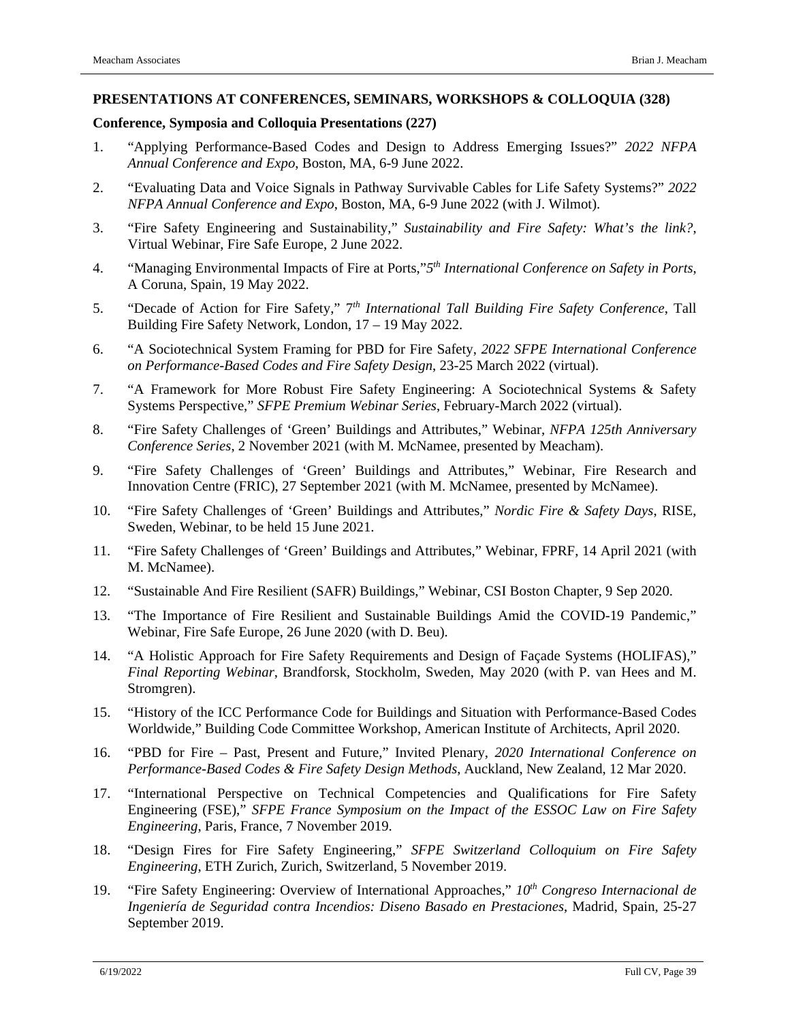#### **PRESENTATIONS AT CONFERENCES, SEMINARS, WORKSHOPS & COLLOQUIA (328)**

#### **Conference, Symposia and Colloquia Presentations (227)**

- 1. "Applying Performance-Based Codes and Design to Address Emerging Issues?" *2022 NFPA Annual Conference and Expo*, Boston, MA, 6-9 June 2022.
- 2. "Evaluating Data and Voice Signals in Pathway Survivable Cables for Life Safety Systems?" *2022 NFPA Annual Conference and Expo*, Boston, MA, 6-9 June 2022 (with J. Wilmot).
- 3. "Fire Safety Engineering and Sustainability," *Sustainability and Fire Safety: What's the link?*, Virtual Webinar, Fire Safe Europe, 2 June 2022.
- 4. "Managing Environmental Impacts of Fire at Ports,"*5th International Conference on Safety in Ports*, A Coruna, Spain, 19 May 2022.
- 5. "Decade of Action for Fire Safety," 7*th International Tall Building Fire Safety Conference*, Tall Building Fire Safety Network, London, 17 – 19 May 2022.
- 6. "A Sociotechnical System Framing for PBD for Fire Safety, *2022 SFPE International Conference on Performance-Based Codes and Fire Safety Design*, 23-25 March 2022 (virtual).
- 7. "A Framework for More Robust Fire Safety Engineering: A Sociotechnical Systems & Safety Systems Perspective," *SFPE Premium Webinar Series*, February-March 2022 (virtual).
- 8. "Fire Safety Challenges of 'Green' Buildings and Attributes," Webinar, *NFPA 125th Anniversary Conference Series*, 2 November 2021 (with M. McNamee, presented by Meacham).
- 9. "Fire Safety Challenges of 'Green' Buildings and Attributes," Webinar, Fire Research and Innovation Centre (FRIC), 27 September 2021 (with M. McNamee, presented by McNamee).
- 10. "Fire Safety Challenges of 'Green' Buildings and Attributes," *Nordic Fire & Safety Days*, RISE, Sweden, Webinar, to be held 15 June 2021.
- 11. "Fire Safety Challenges of 'Green' Buildings and Attributes," Webinar, FPRF, 14 April 2021 (with M. McNamee).
- 12. "Sustainable And Fire Resilient (SAFR) Buildings," Webinar, CSI Boston Chapter, 9 Sep 2020.
- 13. "The Importance of Fire Resilient and Sustainable Buildings Amid the COVID-19 Pandemic," Webinar, Fire Safe Europe, 26 June 2020 (with D. Beu).
- 14. "A Holistic Approach for Fire Safety Requirements and Design of Façade Systems (HOLIFAS)," *Final Reporting Webinar*, Brandforsk, Stockholm, Sweden, May 2020 (with P. van Hees and M. Stromgren).
- 15. "History of the ICC Performance Code for Buildings and Situation with Performance-Based Codes Worldwide," Building Code Committee Workshop, American Institute of Architects, April 2020.
- 16. "PBD for Fire Past, Present and Future," Invited Plenary, *2020 International Conference on Performance-Based Codes & Fire Safety Design Methods*, Auckland, New Zealand, 12 Mar 2020.
- 17. "International Perspective on Technical Competencies and Qualifications for Fire Safety Engineering (FSE)," *SFPE France Symposium on the Impact of the ESSOC Law on Fire Safety Engineering*, Paris, France, 7 November 2019.
- 18. "Design Fires for Fire Safety Engineering," *SFPE Switzerland Colloquium on Fire Safety Engineering*, ETH Zurich, Zurich, Switzerland, 5 November 2019.
- 19. "Fire Safety Engineering: Overview of International Approaches," *10th Congreso Internacional de Ingeniería de Seguridad contra Incendios: Diseno Basado en Prestaciones*, Madrid, Spain, 25-27 September 2019.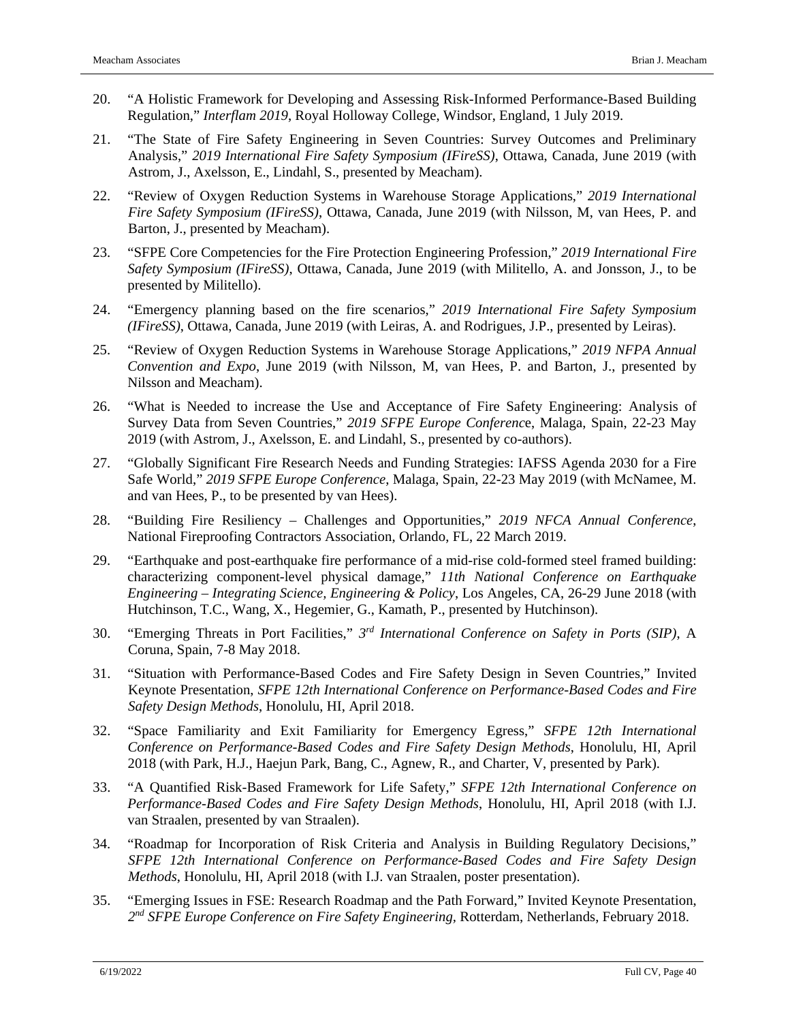- 20. "A Holistic Framework for Developing and Assessing Risk-Informed Performance-Based Building Regulation," *Interflam 2019*, Royal Holloway College, Windsor, England, 1 July 2019.
- 21. "The State of Fire Safety Engineering in Seven Countries: Survey Outcomes and Preliminary Analysis," *2019 International Fire Safety Symposium (IFireSS)*, Ottawa, Canada, June 2019 (with Astrom, J., Axelsson, E., Lindahl, S., presented by Meacham).
- 22. "Review of Oxygen Reduction Systems in Warehouse Storage Applications," *2019 International Fire Safety Symposium (IFireSS)*, Ottawa, Canada, June 2019 (with Nilsson, M, van Hees, P. and Barton, J., presented by Meacham).
- 23. "SFPE Core Competencies for the Fire Protection Engineering Profession," *2019 International Fire Safety Symposium (IFireSS)*, Ottawa, Canada, June 2019 (with Militello, A. and Jonsson, J., to be presented by Militello).
- 24. "Emergency planning based on the fire scenarios," *2019 International Fire Safety Symposium (IFireSS)*, Ottawa, Canada, June 2019 (with Leiras, A. and Rodrigues, J.P., presented by Leiras).
- 25. "Review of Oxygen Reduction Systems in Warehouse Storage Applications," *2019 NFPA Annual Convention and Expo*, June 2019 (with Nilsson, M, van Hees, P. and Barton, J., presented by Nilsson and Meacham).
- 26. "What is Needed to increase the Use and Acceptance of Fire Safety Engineering: Analysis of Survey Data from Seven Countries," *2019 SFPE Europe Conferenc*e, Malaga, Spain, 22-23 May 2019 (with Astrom, J., Axelsson, E. and Lindahl, S., presented by co-authors).
- 27. "Globally Significant Fire Research Needs and Funding Strategies: IAFSS Agenda 2030 for a Fire Safe World," *2019 SFPE Europe Conference*, Malaga, Spain, 22-23 May 2019 (with McNamee, M. and van Hees, P., to be presented by van Hees).
- 28. "Building Fire Resiliency Challenges and Opportunities," *2019 NFCA Annual Conference*, National Fireproofing Contractors Association, Orlando, FL, 22 March 2019.
- 29. "Earthquake and post-earthquake fire performance of a mid-rise cold-formed steel framed building: characterizing component-level physical damage," *11th National Conference on Earthquake Engineering – Integrating Science, Engineering & Policy*, Los Angeles, CA, 26-29 June 2018 (with Hutchinson, T.C., Wang, X., Hegemier, G., Kamath, P., presented by Hutchinson).
- 30. "Emerging Threats in Port Facilities," *3rd International Conference on Safety in Ports (SIP)*, A Coruna, Spain, 7-8 May 2018.
- 31. "Situation with Performance-Based Codes and Fire Safety Design in Seven Countries," Invited Keynote Presentation, *SFPE 12th International Conference on Performance-Based Codes and Fire Safety Design Methods*, Honolulu, HI, April 2018.
- 32. "Space Familiarity and Exit Familiarity for Emergency Egress," *SFPE 12th International Conference on Performance-Based Codes and Fire Safety Design Methods*, Honolulu, HI, April 2018 (with Park, H.J., Haejun Park, Bang, C., Agnew, R., and Charter, V, presented by Park).
- 33. "A Quantified Risk-Based Framework for Life Safety," *SFPE 12th International Conference on Performance-Based Codes and Fire Safety Design Methods*, Honolulu, HI, April 2018 (with I.J. van Straalen, presented by van Straalen).
- 34. "Roadmap for Incorporation of Risk Criteria and Analysis in Building Regulatory Decisions," *SFPE 12th International Conference on Performance-Based Codes and Fire Safety Design Methods*, Honolulu, HI, April 2018 (with I.J. van Straalen, poster presentation).
- 35. "Emerging Issues in FSE: Research Roadmap and the Path Forward," Invited Keynote Presentation, *2nd SFPE Europe Conference on Fire Safety Engineering,* Rotterdam, Netherlands, February 2018.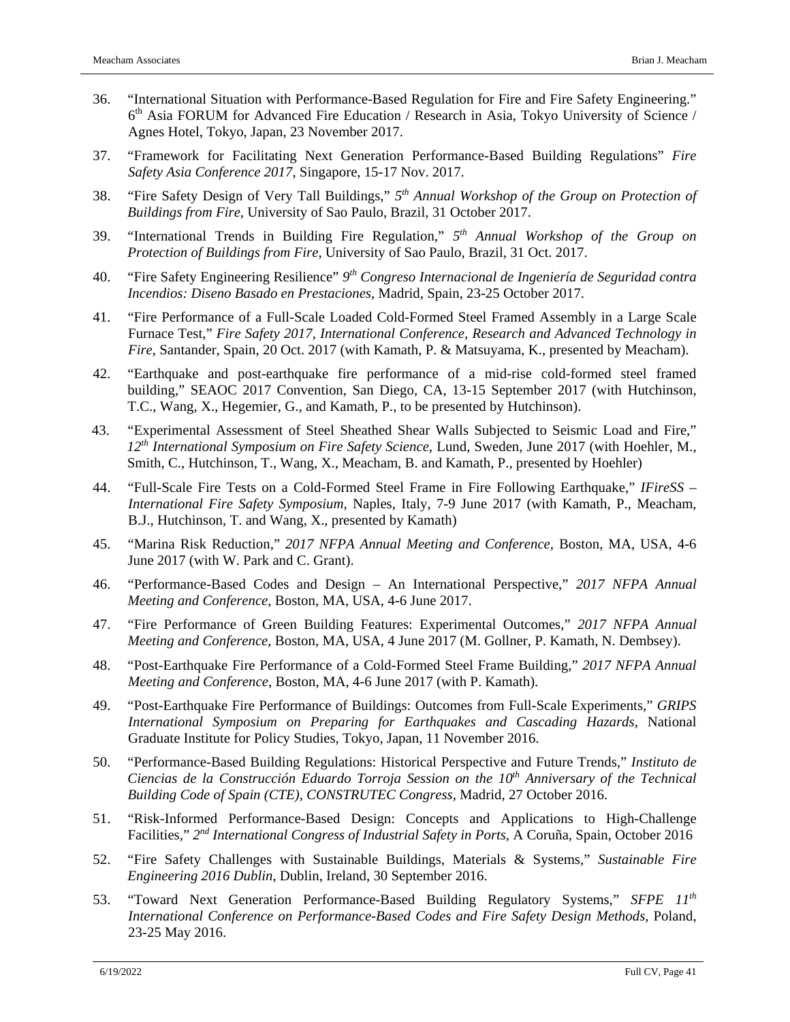- 36. "International Situation with Performance-Based Regulation for Fire and Fire Safety Engineering."  $6<sup>th</sup>$  Asia FORUM for Advanced Fire Education / Research in Asia, Tokyo University of Science / Agnes Hotel, Tokyo, Japan, 23 November 2017.
- 37. "Framework for Facilitating Next Generation Performance-Based Building Regulations" *Fire Safety Asia Conference 2017*, Singapore, 15-17 Nov. 2017.
- 38. "Fire Safety Design of Very Tall Buildings," *5th Annual Workshop of the Group on Protection of Buildings from Fire*, University of Sao Paulo, Brazil, 31 October 2017.
- 39. "International Trends in Building Fire Regulation," *5th Annual Workshop of the Group on Protection of Buildings from Fire*, University of Sao Paulo, Brazil, 31 Oct. 2017.
- 40. "Fire Safety Engineering Resilience" *9th Congreso Internacional de Ingeniería de Seguridad contra Incendios: Diseno Basado en Prestaciones*, Madrid, Spain, 23-25 October 2017.
- 41. "Fire Performance of a Full-Scale Loaded Cold-Formed Steel Framed Assembly in a Large Scale Furnace Test," *Fire Safety 2017, International Conference, Research and Advanced Technology in Fire*, Santander, Spain, 20 Oct. 2017 (with Kamath, P. & Matsuyama, K., presented by Meacham).
- 42. "Earthquake and post-earthquake fire performance of a mid-rise cold-formed steel framed building," SEAOC 2017 Convention, San Diego, CA, 13-15 September 2017 (with Hutchinson, T.C., Wang, X., Hegemier, G., and Kamath, P., to be presented by Hutchinson).
- 43. "Experimental Assessment of Steel Sheathed Shear Walls Subjected to Seismic Load and Fire," *12th International Symposium on Fire Safety Science*, Lund, Sweden, June 2017 (with Hoehler, M., Smith, C., Hutchinson, T., Wang, X., Meacham, B. and Kamath, P., presented by Hoehler)
- 44. "Full-Scale Fire Tests on a Cold-Formed Steel Frame in Fire Following Earthquake," *IFireSS – International Fire Safety Symposium*, Naples, Italy, 7-9 June 2017 (with Kamath, P., Meacham, B.J., Hutchinson, T. and Wang, X., presented by Kamath)
- 45. "Marina Risk Reduction," *2017 NFPA Annual Meeting and Conference,* Boston, MA, USA, 4-6 June 2017 (with W. Park and C. Grant).
- 46. "Performance-Based Codes and Design An International Perspective," *2017 NFPA Annual Meeting and Conference,* Boston, MA, USA, 4-6 June 2017.
- 47. "Fire Performance of Green Building Features: Experimental Outcomes," *2017 NFPA Annual Meeting and Conference*, Boston, MA, USA, 4 June 2017 (M. Gollner, P. Kamath, N. Dembsey).
- 48. "Post-Earthquake Fire Performance of a Cold-Formed Steel Frame Building," *2017 NFPA Annual Meeting and Conference*, Boston, MA, 4-6 June 2017 (with P. Kamath).
- 49. "Post-Earthquake Fire Performance of Buildings: Outcomes from Full-Scale Experiments," *GRIPS International Symposium on Preparing for Earthquakes and Cascading Hazards*, National Graduate Institute for Policy Studies, Tokyo, Japan, 11 November 2016.
- 50. "Performance-Based Building Regulations: Historical Perspective and Future Trends," *Instituto de Ciencias de la Construcción Eduardo Torroja Session on the 10th Anniversary of the Technical Building Code of Spain (CTE), CONSTRUTEC Congress*, Madrid, 27 October 2016.
- 51. "Risk-Informed Performance-Based Design: Concepts and Applications to High-Challenge Facilities," *2nd International Congress of Industrial Safety in Ports,* A Coruña, Spain, October 2016
- 52. "Fire Safety Challenges with Sustainable Buildings, Materials & Systems," *Sustainable Fire Engineering 2016 Dublin*, Dublin, Ireland, 30 September 2016.
- 53. "Toward Next Generation Performance-Based Building Regulatory Systems," *SFPE 11th International Conference on Performance-Based Codes and Fire Safety Design Methods*, Poland, 23-25 May 2016.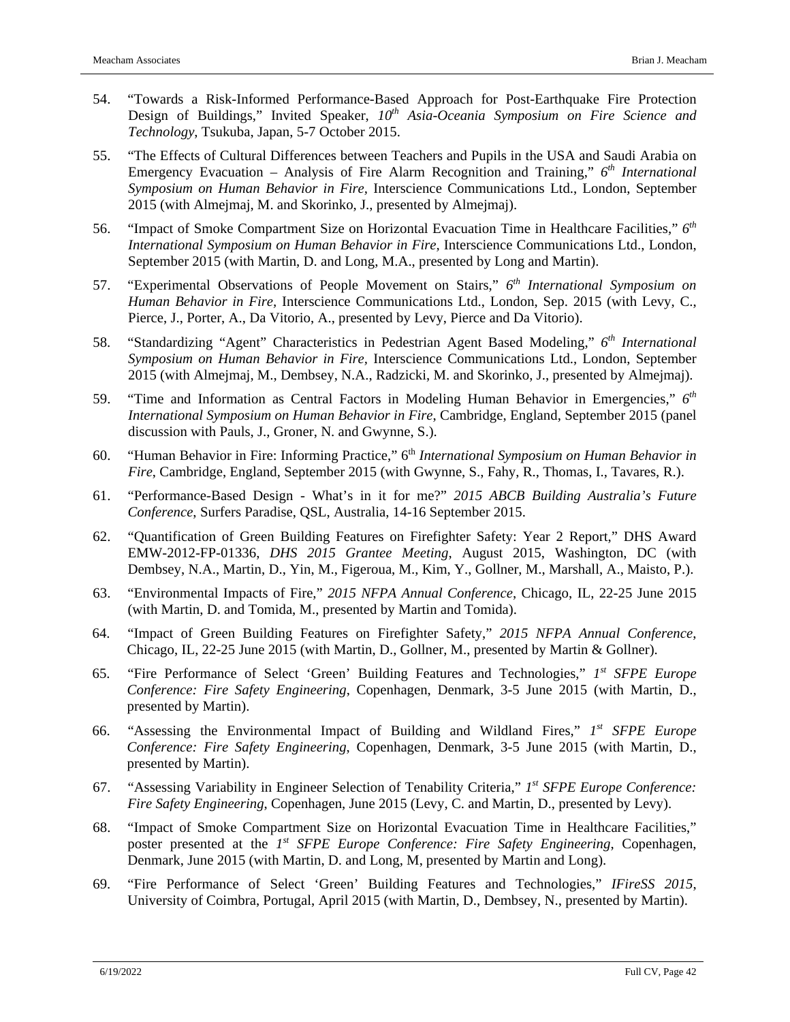- 54. "Towards a Risk-Informed Performance-Based Approach for Post-Earthquake Fire Protection Design of Buildings," Invited Speaker,  $10^{th}$  *Asia-Oceania Symposium on Fire Science and Technology*, Tsukuba, Japan, 5-7 October 2015.
- 55. "The Effects of Cultural Differences between Teachers and Pupils in the USA and Saudi Arabia on Emergency Evacuation – Analysis of Fire Alarm Recognition and Training," *6th International Symposium on Human Behavior in Fire,* Interscience Communications Ltd., London, September 2015 (with Almejmaj, M. and Skorinko, J., presented by Almejmaj).
- 56. "Impact of Smoke Compartment Size on Horizontal Evacuation Time in Healthcare Facilities," *6th International Symposium on Human Behavior in Fire,* Interscience Communications Ltd., London, September 2015 (with Martin, D. and Long, M.A., presented by Long and Martin).
- 57. "Experimental Observations of People Movement on Stairs," *6th International Symposium on Human Behavior in Fire,* Interscience Communications Ltd., London, Sep. 2015 (with Levy, C., Pierce, J., Porter, A., Da Vitorio, A., presented by Levy, Pierce and Da Vitorio).
- 58. "Standardizing "Agent" Characteristics in Pedestrian Agent Based Modeling," *6th International Symposium on Human Behavior in Fire,* Interscience Communications Ltd., London, September 2015 (with Almejmaj, M., Dembsey, N.A., Radzicki, M. and Skorinko, J., presented by Almejmaj).
- 59. "Time and Information as Central Factors in Modeling Human Behavior in Emergencies," *6th International Symposium on Human Behavior in Fire*, Cambridge, England, September 2015 (panel discussion with Pauls, J., Groner, N. and Gwynne, S.).
- 60. "Human Behavior in Fire: Informing Practice," 6th *International Symposium on Human Behavior in Fire*, Cambridge, England, September 2015 (with Gwynne, S., Fahy, R., Thomas, I., Tavares, R.).
- 61. "Performance-Based Design What's in it for me?" *2015 ABCB Building Australia's Future Conference*, Surfers Paradise, QSL, Australia, 14-16 September 2015.
- 62. "Quantification of Green Building Features on Firefighter Safety: Year 2 Report," DHS Award EMW-2012-FP-01336, *DHS 2015 Grantee Meeting*, August 2015, Washington, DC (with Dembsey, N.A., Martin, D., Yin, M., Figeroua, M., Kim, Y., Gollner, M., Marshall, A., Maisto, P.).
- 63. "Environmental Impacts of Fire," *2015 NFPA Annual Conference*, Chicago, IL, 22-25 June 2015 (with Martin, D. and Tomida, M., presented by Martin and Tomida).
- 64. "Impact of Green Building Features on Firefighter Safety," *2015 NFPA Annual Conference*, Chicago, IL, 22-25 June 2015 (with Martin, D., Gollner, M., presented by Martin & Gollner).
- 65. "Fire Performance of Select 'Green' Building Features and Technologies," *1st SFPE Europe Conference: Fire Safety Engineering*, Copenhagen, Denmark, 3-5 June 2015 (with Martin, D., presented by Martin).
- 66. "Assessing the Environmental Impact of Building and Wildland Fires," *1st SFPE Europe Conference: Fire Safety Engineering*, Copenhagen, Denmark, 3-5 June 2015 (with Martin, D., presented by Martin).
- 67. "Assessing Variability in Engineer Selection of Tenability Criteria," *1st SFPE Europe Conference: Fire Safety Engineering*, Copenhagen, June 2015 (Levy, C. and Martin, D., presented by Levy).
- 68. "Impact of Smoke Compartment Size on Horizontal Evacuation Time in Healthcare Facilities," poster presented at the *1st SFPE Europe Conference: Fire Safety Engineering*, Copenhagen, Denmark, June 2015 (with Martin, D. and Long, M, presented by Martin and Long).
- 69. "Fire Performance of Select 'Green' Building Features and Technologies," *IFireSS 2015*, University of Coimbra, Portugal, April 2015 (with Martin, D., Dembsey, N., presented by Martin).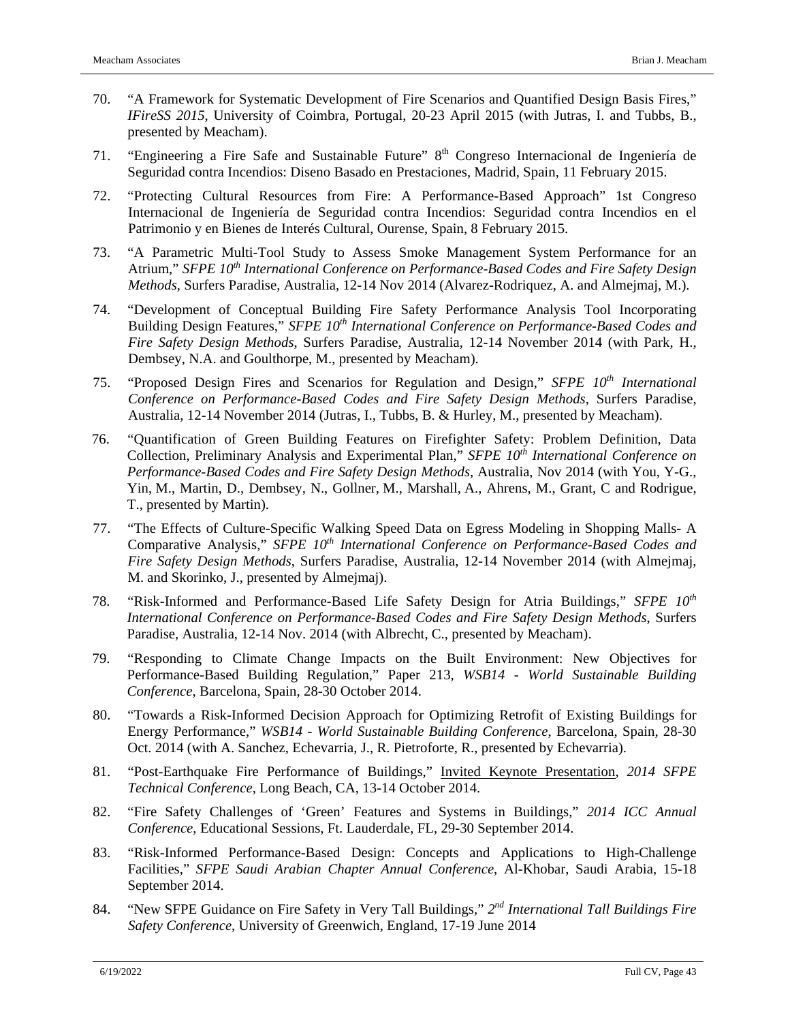- 70. "A Framework for Systematic Development of Fire Scenarios and Quantified Design Basis Fires," *IFireSS 2015*, University of Coimbra, Portugal, 20-23 April 2015 (with Jutras, I. and Tubbs, B., presented by Meacham).
- 71. "Engineering a Fire Safe and Sustainable Future" 8th Congreso Internacional de Ingeniería de Seguridad contra Incendios: Diseno Basado en Prestaciones, Madrid, Spain, 11 February 2015.
- 72. "Protecting Cultural Resources from Fire: A Performance-Based Approach" 1st Congreso Internacional de Ingeniería de Seguridad contra Incendios: Seguridad contra Incendios en el Patrimonio y en Bienes de Interés Cultural, Ourense, Spain, 8 February 2015.
- 73. "A Parametric Multi-Tool Study to Assess Smoke Management System Performance for an Atrium," *SFPE 10th International Conference on Performance-Based Codes and Fire Safety Design Methods*, Surfers Paradise, Australia, 12-14 Nov 2014 (Alvarez-Rodriquez, A. and Almejmaj, M.).
- 74. "Development of Conceptual Building Fire Safety Performance Analysis Tool Incorporating Building Design Features," *SFPE 10th International Conference on Performance-Based Codes and Fire Safety Design Methods*, Surfers Paradise, Australia, 12-14 November 2014 (with Park, H., Dembsey, N.A. and Goulthorpe, M., presented by Meacham).
- 75. "Proposed Design Fires and Scenarios for Regulation and Design," *SFPE 10th International Conference on Performance-Based Codes and Fire Safety Design Methods*, Surfers Paradise, Australia, 12-14 November 2014 (Jutras, I., Tubbs, B. & Hurley, M., presented by Meacham).
- 76. "Quantification of Green Building Features on Firefighter Safety: Problem Definition, Data Collection, Preliminary Analysis and Experimental Plan," *SFPE 10th International Conference on Performance-Based Codes and Fire Safety Design Methods*, Australia, Nov 2014 (with You, Y-G., Yin, M., Martin, D., Dembsey, N., Gollner, M., Marshall, A., Ahrens, M., Grant, C and Rodrigue, T., presented by Martin).
- 77. "The Effects of Culture-Specific Walking Speed Data on Egress Modeling in Shopping Malls- A Comparative Analysis," *SFPE 10<sup>th</sup> International Conference on Performance-Based Codes and Fire Safety Design Methods*, Surfers Paradise, Australia, 12-14 November 2014 (with Almejmaj, M. and Skorinko, J., presented by Almejmaj).
- 78. "Risk-Informed and Performance-Based Life Safety Design for Atria Buildings," *SFPE 10th International Conference on Performance-Based Codes and Fire Safety Design Methods*, Surfers Paradise, Australia, 12-14 Nov. 2014 (with Albrecht, C., presented by Meacham).
- 79. "Responding to Climate Change Impacts on the Built Environment: New Objectives for Performance-Based Building Regulation," Paper 213, *WSB14 - World Sustainable Building Conference*, Barcelona, Spain, 28-30 October 2014.
- 80. "Towards a Risk-Informed Decision Approach for Optimizing Retrofit of Existing Buildings for Energy Performance," *WSB14 - World Sustainable Building Conference*, Barcelona, Spain, 28-30 Oct. 2014 (with A. Sanchez, Echevarria, J., R. Pietroforte, R., presented by Echevarria).
- 81. "Post-Earthquake Fire Performance of Buildings," Invited Keynote Presentation, *2014 SFPE Technical Conference*, Long Beach, CA, 13-14 October 2014.
- 82. "Fire Safety Challenges of 'Green' Features and Systems in Buildings," *2014 ICC Annual Conference*, Educational Sessions, Ft. Lauderdale, FL, 29-30 September 2014.
- 83. "Risk-Informed Performance-Based Design: Concepts and Applications to High-Challenge Facilities," *SFPE Saudi Arabian Chapter Annual Conference*, Al-Khobar, Saudi Arabia, 15-18 September 2014.
- 84. "New SFPE Guidance on Fire Safety in Very Tall Buildings," *2nd International Tall Buildings Fire Safety Conference*, University of Greenwich, England, 17-19 June 2014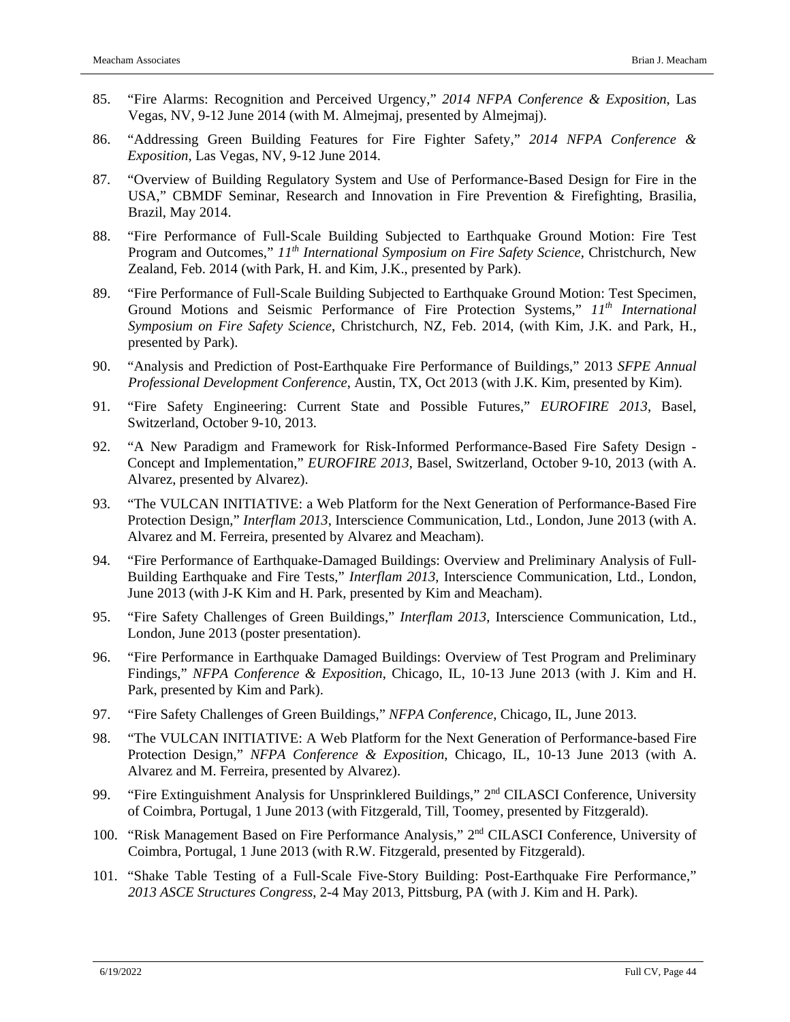- 85. "Fire Alarms: Recognition and Perceived Urgency," *2014 NFPA Conference & Exposition*, Las Vegas, NV, 9-12 June 2014 (with M. Almejmaj, presented by Almejmaj).
- 86. "Addressing Green Building Features for Fire Fighter Safety," *2014 NFPA Conference & Exposition*, Las Vegas, NV, 9-12 June 2014.
- 87. "Overview of Building Regulatory System and Use of Performance-Based Design for Fire in the USA," CBMDF Seminar, Research and Innovation in Fire Prevention & Firefighting, Brasilia, Brazil, May 2014.
- 88. "Fire Performance of Full-Scale Building Subjected to Earthquake Ground Motion: Fire Test Program and Outcomes," *11th International Symposium on Fire Safety Science*, Christchurch, New Zealand, Feb. 2014 (with Park, H. and Kim, J.K., presented by Park).
- 89. "Fire Performance of Full-Scale Building Subjected to Earthquake Ground Motion: Test Specimen, Ground Motions and Seismic Performance of Fire Protection Systems," *11th International Symposium on Fire Safety Science*, Christchurch, NZ, Feb. 2014, (with Kim, J.K. and Park, H., presented by Park).
- 90. "Analysis and Prediction of Post-Earthquake Fire Performance of Buildings," 2013 *SFPE Annual Professional Development Conference*, Austin, TX, Oct 2013 (with J.K. Kim, presented by Kim).
- 91. "Fire Safety Engineering: Current State and Possible Futures," *EUROFIRE 2013*, Basel, Switzerland, October 9-10, 2013.
- 92. "A New Paradigm and Framework for Risk-Informed Performance-Based Fire Safety Design Concept and Implementation," *EUROFIRE 2013*, Basel, Switzerland, October 9-10, 2013 (with A. Alvarez, presented by Alvarez).
- 93. "The VULCAN INITIATIVE: a Web Platform for the Next Generation of Performance-Based Fire Protection Design," *Interflam 2013*, Interscience Communication, Ltd., London, June 2013 (with A. Alvarez and M. Ferreira, presented by Alvarez and Meacham).
- 94. "Fire Performance of Earthquake-Damaged Buildings: Overview and Preliminary Analysis of Full-Building Earthquake and Fire Tests," *Interflam 2013*, Interscience Communication, Ltd., London, June 2013 (with J-K Kim and H. Park, presented by Kim and Meacham).
- 95. "Fire Safety Challenges of Green Buildings," *Interflam 2013*, Interscience Communication, Ltd., London, June 2013 (poster presentation).
- 96. "Fire Performance in Earthquake Damaged Buildings: Overview of Test Program and Preliminary Findings," *NFPA Conference & Exposition*, Chicago, IL, 10-13 June 2013 (with J. Kim and H. Park, presented by Kim and Park).
- 97. "Fire Safety Challenges of Green Buildings," *NFPA Conference*, Chicago, IL, June 2013.
- 98. "The VULCAN INITIATIVE: A Web Platform for the Next Generation of Performance-based Fire Protection Design," *NFPA Conference & Exposition*, Chicago, IL, 10-13 June 2013 (with A. Alvarez and M. Ferreira, presented by Alvarez).
- 99. "Fire Extinguishment Analysis for Unsprinklered Buildings," 2<sup>nd</sup> CILASCI Conference, University of Coimbra, Portugal, 1 June 2013 (with Fitzgerald, Till, Toomey, presented by Fitzgerald).
- 100. "Risk Management Based on Fire Performance Analysis," 2nd CILASCI Conference, University of Coimbra, Portugal, 1 June 2013 (with R.W. Fitzgerald, presented by Fitzgerald).
- 101. "Shake Table Testing of a Full-Scale Five-Story Building: Post-Earthquake Fire Performance," *2013 ASCE Structures Congress*, 2-4 May 2013, Pittsburg, PA (with J. Kim and H. Park).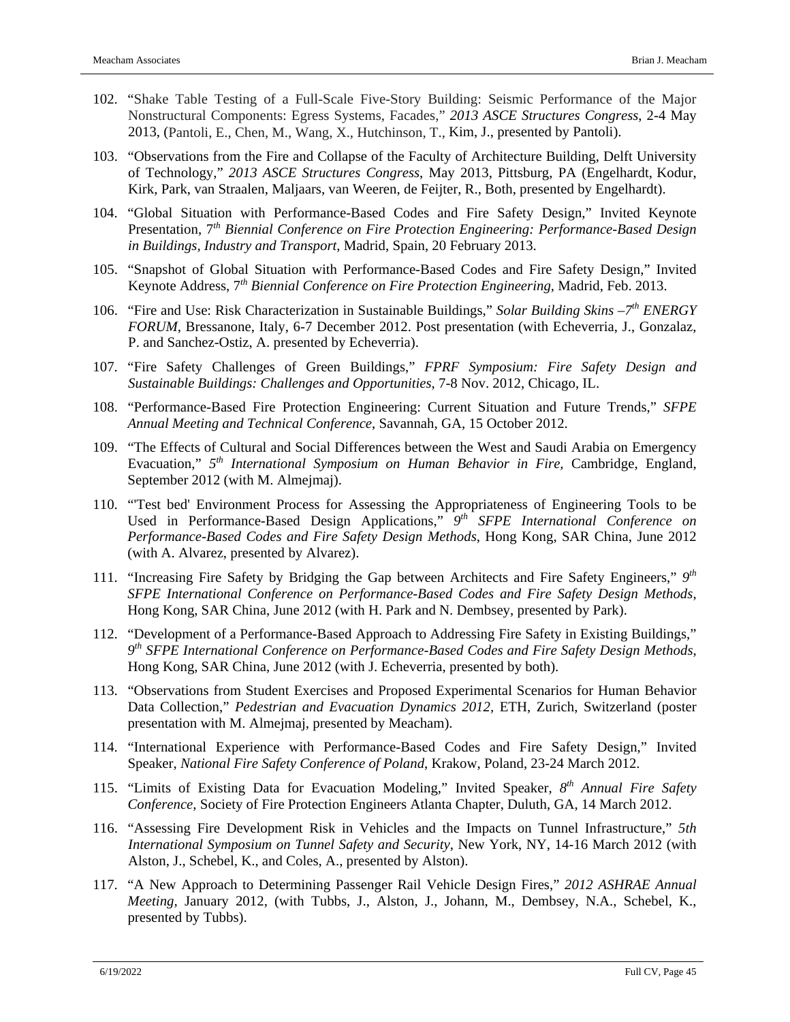- 102. "Shake Table Testing of a Full-Scale Five-Story Building: Seismic Performance of the Major Nonstructural Components: Egress Systems, Facades," *2013 ASCE Structures Congress*, 2-4 May 2013, (Pantoli, E., Chen, M., Wang, X., Hutchinson, T., Kim, J., presented by Pantoli).
- 103. "Observations from the Fire and Collapse of the Faculty of Architecture Building, Delft University of Technology," *2013 ASCE Structures Congress*, May 2013, Pittsburg, PA (Engelhardt, Kodur, Kirk, Park, van Straalen, Maljaars, van Weeren, de Feijter, R., Both, presented by Engelhardt).
- 104. "Global Situation with Performance-Based Codes and Fire Safety Design," Invited Keynote Presentation, 7*th Biennial Conference on Fire Protection Engineering: Performance-Based Design in Buildings, Industry and Transport*, Madrid, Spain, 20 February 2013.
- 105. "Snapshot of Global Situation with Performance-Based Codes and Fire Safety Design," Invited Keynote Address, 7*th Biennial Conference on Fire Protection Engineering,* Madrid, Feb. 2013.
- 106. "Fire and Use: Risk Characterization in Sustainable Buildings," *Solar Building Skins –7th ENERGY FORUM*, Bressanone, Italy, 6-7 December 2012. Post presentation (with Echeverria, J., Gonzalaz, P. and Sanchez-Ostiz, A. presented by Echeverria).
- 107. "Fire Safety Challenges of Green Buildings," *FPRF Symposium: Fire Safety Design and Sustainable Buildings: Challenges and Opportunities*, 7-8 Nov. 2012, Chicago, IL.
- 108. "Performance-Based Fire Protection Engineering: Current Situation and Future Trends," *SFPE Annual Meeting and Technical Conference*, Savannah, GA, 15 October 2012.
- 109. "The Effects of Cultural and Social Differences between the West and Saudi Arabia on Emergency Evacuation," *5th International Symposium on Human Behavior in Fire,* Cambridge, England, September 2012 (with M. Almejmaj).
- 110. "'Test bed' Environment Process for Assessing the Appropriateness of Engineering Tools to be Used in Performance-Based Design Applications," *9th SFPE International Conference on Performance-Based Codes and Fire Safety Design Methods*, Hong Kong, SAR China, June 2012 (with A. Alvarez, presented by Alvarez).
- 111. "Increasing Fire Safety by Bridging the Gap between Architects and Fire Safety Engineers," *9th SFPE International Conference on Performance-Based Codes and Fire Safety Design Methods*, Hong Kong, SAR China, June 2012 (with H. Park and N. Dembsey, presented by Park).
- 112. "Development of a Performance-Based Approach to Addressing Fire Safety in Existing Buildings," *9th SFPE International Conference on Performance-Based Codes and Fire Safety Design Methods*, Hong Kong, SAR China, June 2012 (with J. Echeverria, presented by both).
- 113. "Observations from Student Exercises and Proposed Experimental Scenarios for Human Behavior Data Collection," *Pedestrian and Evacuation Dynamics 2012,* ETH, Zurich, Switzerland (poster presentation with M. Almejmaj, presented by Meacham).
- 114. "International Experience with Performance-Based Codes and Fire Safety Design," Invited Speaker, *National Fire Safety Conference of Poland*, Krakow, Poland, 23-24 March 2012.
- 115. "Limits of Existing Data for Evacuation Modeling," Invited Speaker, *8th Annual Fire Safety Conference*, Society of Fire Protection Engineers Atlanta Chapter, Duluth, GA, 14 March 2012.
- 116. "Assessing Fire Development Risk in Vehicles and the Impacts on Tunnel Infrastructure," *5th International Symposium on Tunnel Safety and Security*, New York, NY, 14-16 March 2012 (with Alston, J., Schebel, K., and Coles, A., presented by Alston).
- 117. "A New Approach to Determining Passenger Rail Vehicle Design Fires," *2012 ASHRAE Annual Meeting,* January 2012, (with Tubbs, J., Alston, J., Johann, M., Dembsey, N.A., Schebel, K., presented by Tubbs).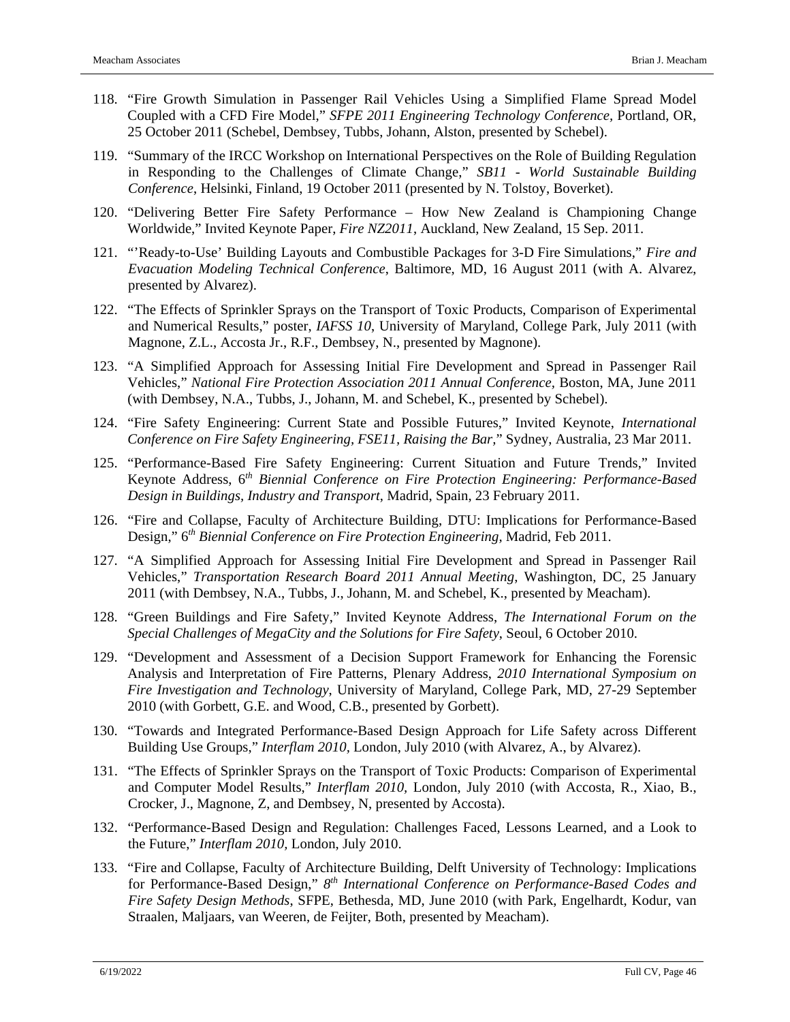- 118. "Fire Growth Simulation in Passenger Rail Vehicles Using a Simplified Flame Spread Model Coupled with a CFD Fire Model," *SFPE 2011 Engineering Technology Conference,* Portland, OR, 25 October 2011 (Schebel, Dembsey, Tubbs, Johann, Alston, presented by Schebel).
- 119. "Summary of the IRCC Workshop on International Perspectives on the Role of Building Regulation in Responding to the Challenges of Climate Change," *SB11 - World Sustainable Building Conference*, Helsinki, Finland, 19 October 2011 (presented by N. Tolstoy, Boverket).
- 120. "Delivering Better Fire Safety Performance How New Zealand is Championing Change Worldwide," Invited Keynote Paper, *Fire NZ2011*, Auckland, New Zealand, 15 Sep. 2011.
- 121. "'Ready-to-Use' Building Layouts and Combustible Packages for 3-D Fire Simulations," *Fire and Evacuation Modeling Technical Conference*, Baltimore, MD, 16 August 2011 (with A. Alvarez, presented by Alvarez).
- 122. "The Effects of Sprinkler Sprays on the Transport of Toxic Products, Comparison of Experimental and Numerical Results," poster, *IAFSS 10*, University of Maryland, College Park, July 2011 (with Magnone, Z.L., Accosta Jr., R.F., Dembsey, N., presented by Magnone).
- 123. "A Simplified Approach for Assessing Initial Fire Development and Spread in Passenger Rail Vehicles," *National Fire Protection Association 2011 Annual Conference,* Boston, MA, June 2011 (with Dembsey, N.A., Tubbs, J., Johann, M. and Schebel, K., presented by Schebel).
- 124. "Fire Safety Engineering: Current State and Possible Futures," Invited Keynote, *International Conference on Fire Safety Engineering, FSE11, Raising the Bar,*" Sydney, Australia, 23 Mar 2011.
- 125. "Performance-Based Fire Safety Engineering: Current Situation and Future Trends," Invited Keynote Address, 6*th Biennial Conference on Fire Protection Engineering: Performance-Based Design in Buildings, Industry and Transport*, Madrid, Spain, 23 February 2011.
- 126. "Fire and Collapse, Faculty of Architecture Building, DTU: Implications for Performance-Based Design," 6*th Biennial Conference on Fire Protection Engineering,* Madrid, Feb 2011.
- 127. "A Simplified Approach for Assessing Initial Fire Development and Spread in Passenger Rail Vehicles," *Transportation Research Board 2011 Annual Meeting*, Washington, DC, 25 January 2011 (with Dembsey, N.A., Tubbs, J., Johann, M. and Schebel, K., presented by Meacham).
- 128. "Green Buildings and Fire Safety," Invited Keynote Address, *The International Forum on the Special Challenges of MegaCity and the Solutions for Fire Safety*, Seoul, 6 October 2010.
- 129. "Development and Assessment of a Decision Support Framework for Enhancing the Forensic Analysis and Interpretation of Fire Patterns, Plenary Address, *2010 International Symposium on Fire Investigation and Technology*, University of Maryland, College Park, MD, 27-29 September 2010 (with Gorbett, G.E. and Wood, C.B., presented by Gorbett).
- 130. "Towards and Integrated Performance-Based Design Approach for Life Safety across Different Building Use Groups," *Interflam 2010,* London, July 2010 (with Alvarez, A., by Alvarez).
- 131. "The Effects of Sprinkler Sprays on the Transport of Toxic Products: Comparison of Experimental and Computer Model Results," *Interflam 2010,* London, July 2010 (with Accosta, R., Xiao, B., Crocker, J., Magnone, Z, and Dembsey, N, presented by Accosta).
- 132. "Performance-Based Design and Regulation: Challenges Faced, Lessons Learned, and a Look to the Future," *Interflam 2010,* London, July 2010.
- 133. "Fire and Collapse, Faculty of Architecture Building, Delft University of Technology: Implications for Performance-Based Design," *8th International Conference on Performance-Based Codes and Fire Safety Design Methods*, SFPE, Bethesda, MD, June 2010 (with Park, Engelhardt, Kodur, van Straalen, Maljaars, van Weeren, de Feijter, Both, presented by Meacham).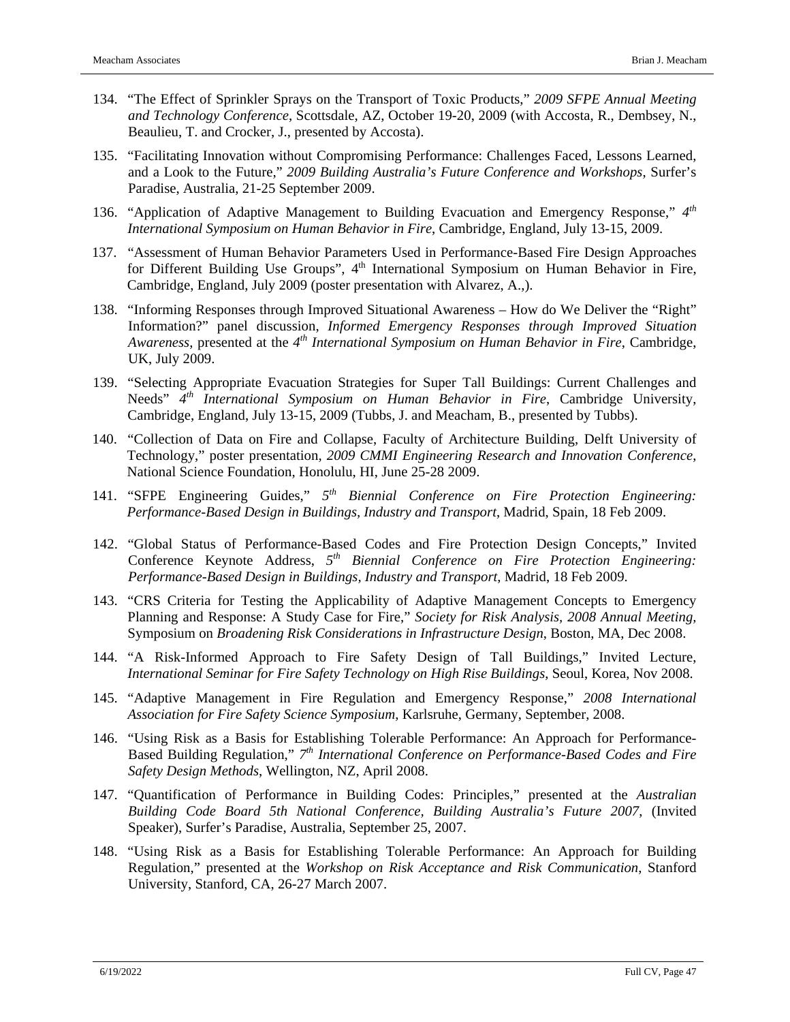- 134. "The Effect of Sprinkler Sprays on the Transport of Toxic Products," *2009 SFPE Annual Meeting and Technology Conference*, Scottsdale, AZ, October 19-20, 2009 (with Accosta, R., Dembsey, N., Beaulieu, T. and Crocker, J., presented by Accosta).
- 135. "Facilitating Innovation without Compromising Performance: Challenges Faced, Lessons Learned, and a Look to the Future," *2009 Building Australia's Future Conference and Workshops*, Surfer's Paradise, Australia, 21-25 September 2009.
- 136. "Application of Adaptive Management to Building Evacuation and Emergency Response," *4th International Symposium on Human Behavior in Fire*, Cambridge, England, July 13-15, 2009.
- 137. "Assessment of Human Behavior Parameters Used in Performance-Based Fire Design Approaches for Different Building Use Groups", 4<sup>th</sup> International Symposium on Human Behavior in Fire, Cambridge, England, July 2009 (poster presentation with Alvarez, A.,).
- 138. "Informing Responses through Improved Situational Awareness How do We Deliver the "Right" Information?" panel discussion, *Informed Emergency Responses through Improved Situation Awareness*, presented at the *4th International Symposium on Human Behavior in Fire*, Cambridge, UK, July 2009.
- 139. "Selecting Appropriate Evacuation Strategies for Super Tall Buildings: Current Challenges and Needs" *4th International Symposium on Human Behavior in Fire*, Cambridge University, Cambridge, England, July 13-15, 2009 (Tubbs, J. and Meacham, B., presented by Tubbs).
- 140. "Collection of Data on Fire and Collapse, Faculty of Architecture Building, Delft University of Technology," poster presentation, *2009 CMMI Engineering Research and Innovation Conference*, National Science Foundation, Honolulu, HI, June 25-28 2009.
- 141. "SFPE Engineering Guides," *5th Biennial Conference on Fire Protection Engineering: Performance-Based Design in Buildings, Industry and Transport*, Madrid, Spain, 18 Feb 2009.
- 142. "Global Status of Performance-Based Codes and Fire Protection Design Concepts," Invited Conference Keynote Address, *5th Biennial Conference on Fire Protection Engineering: Performance-Based Design in Buildings, Industry and Transport*, Madrid, 18 Feb 2009.
- 143. "CRS Criteria for Testing the Applicability of Adaptive Management Concepts to Emergency Planning and Response: A Study Case for Fire," *Society for Risk Analysis, 2008 Annual Meeting,* Symposium on *Broadening Risk Considerations in Infrastructure Design*, Boston, MA, Dec 2008.
- 144. "A Risk-Informed Approach to Fire Safety Design of Tall Buildings," Invited Lecture, *International Seminar for Fire Safety Technology on High Rise Buildings*, Seoul, Korea, Nov 2008.
- 145. "Adaptive Management in Fire Regulation and Emergency Response," *2008 International Association for Fire Safety Science Symposium*, Karlsruhe, Germany, September, 2008.
- 146. "Using Risk as a Basis for Establishing Tolerable Performance: An Approach for Performance-Based Building Regulation," *7th International Conference on Performance-Based Codes and Fire Safety Design Methods*, Wellington, NZ, April 2008.
- 147. "Quantification of Performance in Building Codes: Principles," presented at the *Australian Building Code Board 5th National Conference, Building Australia's Future 2007*, (Invited Speaker), Surfer's Paradise, Australia, September 25, 2007.
- 148. "Using Risk as a Basis for Establishing Tolerable Performance: An Approach for Building Regulation," presented at the *Workshop on Risk Acceptance and Risk Communication*, Stanford University, Stanford, CA, 26-27 March 2007.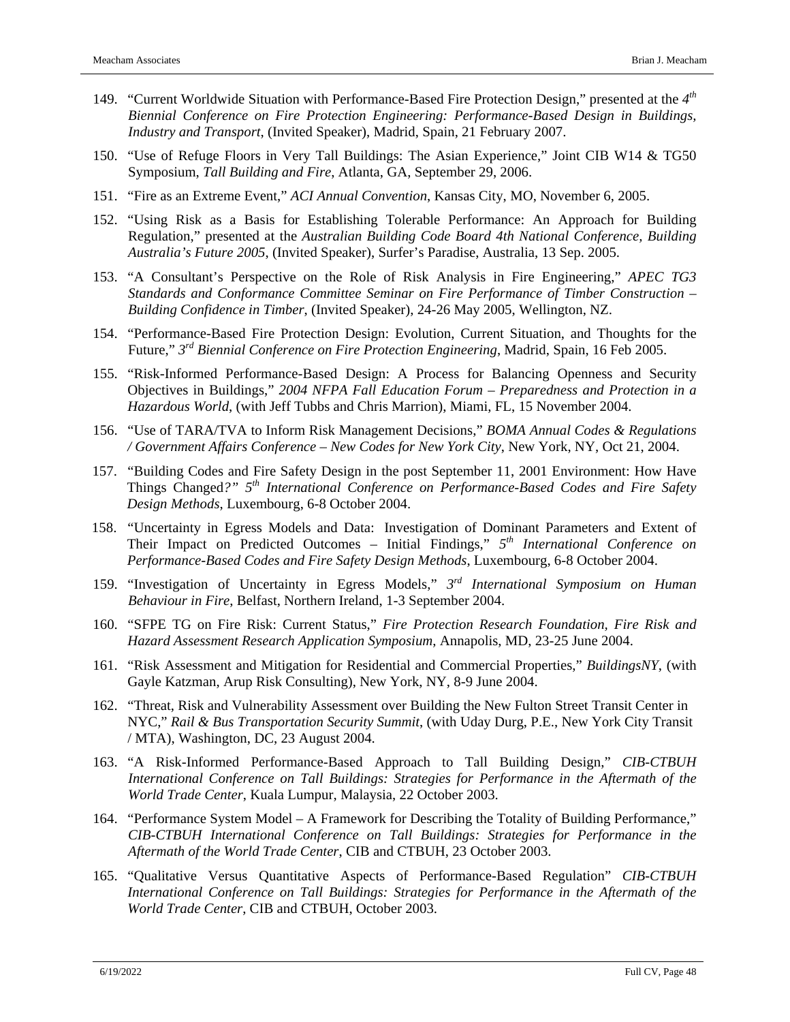- 149. "Current Worldwide Situation with Performance-Based Fire Protection Design," presented at the *4th Biennial Conference on Fire Protection Engineering: Performance-Based Design in Buildings, Industry and Transport*, (Invited Speaker), Madrid, Spain, 21 February 2007.
- 150. "Use of Refuge Floors in Very Tall Buildings: The Asian Experience," Joint CIB W14 & TG50 Symposium, *Tall Building and Fire*, Atlanta, GA, September 29, 2006.
- 151. "Fire as an Extreme Event," *ACI Annual Convention*, Kansas City, MO, November 6, 2005.
- 152. "Using Risk as a Basis for Establishing Tolerable Performance: An Approach for Building Regulation," presented at the *Australian Building Code Board 4th National Conference, Building Australia's Future 2005*, (Invited Speaker), Surfer's Paradise, Australia, 13 Sep. 2005.
- 153. "A Consultant's Perspective on the Role of Risk Analysis in Fire Engineering," *APEC TG3 Standards and Conformance Committee Seminar on Fire Performance of Timber Construction – Building Confidence in Timber*, (Invited Speaker), 24-26 May 2005, Wellington, NZ.
- 154. "Performance-Based Fire Protection Design: Evolution, Current Situation, and Thoughts for the Future," *3rd Biennial Conference on Fire Protection Engineering*, Madrid, Spain, 16 Feb 2005.
- 155. "Risk-Informed Performance-Based Design: A Process for Balancing Openness and Security Objectives in Buildings," *2004 NFPA Fall Education Forum – Preparedness and Protection in a Hazardous World*, (with Jeff Tubbs and Chris Marrion), Miami, FL, 15 November 2004.
- 156. "Use of TARA/TVA to Inform Risk Management Decisions," *BOMA Annual Codes & Regulations / Government Affairs Conference – New Codes for New York City*, New York, NY, Oct 21, 2004.
- 157. "Building Codes and Fire Safety Design in the post September 11, 2001 Environment: How Have Things Changed*?" 5th International Conference on Performance-Based Codes and Fire Safety Design Methods*, Luxembourg, 6-8 October 2004.
- 158. "Uncertainty in Egress Models and Data: Investigation of Dominant Parameters and Extent of Their Impact on Predicted Outcomes – Initial Findings," *5th International Conference on Performance-Based Codes and Fire Safety Design Methods*, Luxembourg, 6-8 October 2004.
- 159. "Investigation of Uncertainty in Egress Models," *3rd International Symposium on Human Behaviour in Fire*, Belfast, Northern Ireland, 1-3 September 2004.
- 160. "SFPE TG on Fire Risk: Current Status," *Fire Protection Research Foundation, Fire Risk and Hazard Assessment Research Application Symposium*, Annapolis, MD, 23-25 June 2004.
- 161. "Risk Assessment and Mitigation for Residential and Commercial Properties," *BuildingsNY*, (with Gayle Katzman, Arup Risk Consulting), New York, NY, 8-9 June 2004.
- 162. "Threat, Risk and Vulnerability Assessment over Building the New Fulton Street Transit Center in NYC," *Rail & Bus Transportation Security Summit*, (with Uday Durg, P.E., New York City Transit / MTA), Washington, DC, 23 August 2004.
- 163. "A Risk-Informed Performance-Based Approach to Tall Building Design," *CIB-CTBUH International Conference on Tall Buildings: Strategies for Performance in the Aftermath of the World Trade Center*, Kuala Lumpur, Malaysia, 22 October 2003.
- 164. "Performance System Model A Framework for Describing the Totality of Building Performance," *CIB-CTBUH International Conference on Tall Buildings: Strategies for Performance in the Aftermath of the World Trade Center*, CIB and CTBUH, 23 October 2003.
- 165. "Qualitative Versus Quantitative Aspects of Performance-Based Regulation" *CIB-CTBUH International Conference on Tall Buildings: Strategies for Performance in the Aftermath of the World Trade Center*, CIB and CTBUH, October 2003.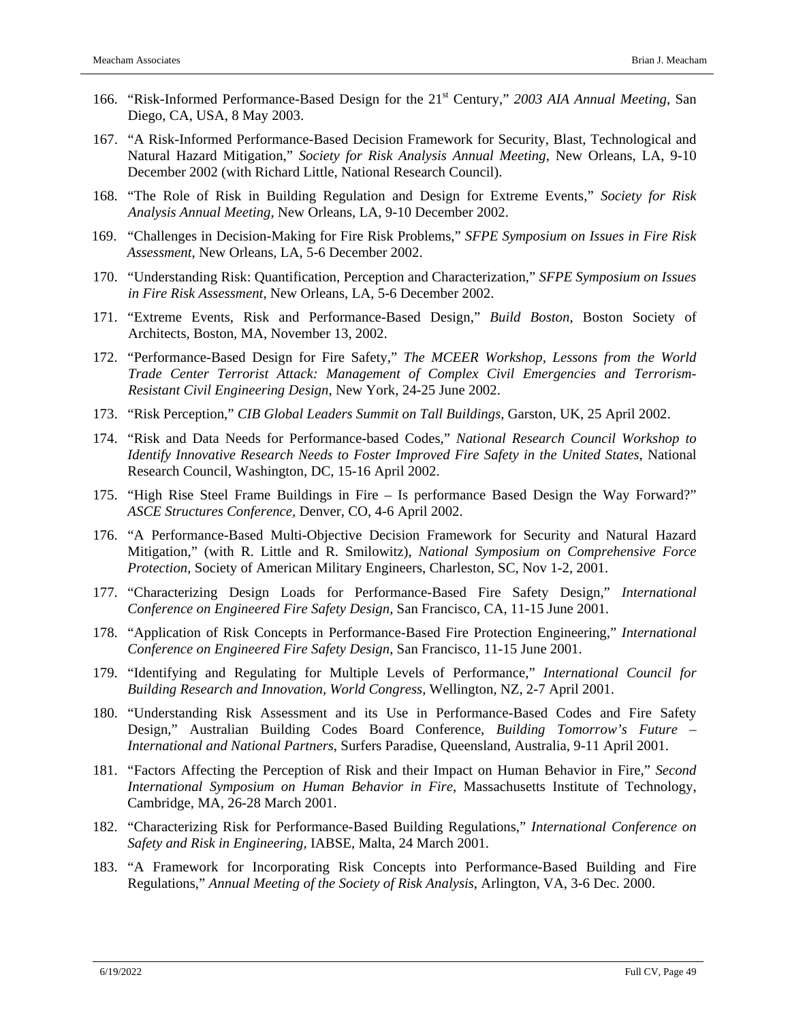- 166. "Risk-Informed Performance-Based Design for the 21st Century," *2003 AIA Annual Meeting*, San Diego, CA, USA, 8 May 2003.
- 167. "A Risk-Informed Performance-Based Decision Framework for Security, Blast, Technological and Natural Hazard Mitigation," *Society for Risk Analysis Annual Meeting*, New Orleans, LA, 9-10 December 2002 (with Richard Little, National Research Council).
- 168. "The Role of Risk in Building Regulation and Design for Extreme Events," *Society for Risk Analysis Annual Meeting*, New Orleans, LA, 9-10 December 2002.
- 169. "Challenges in Decision-Making for Fire Risk Problems," *SFPE Symposium on Issues in Fire Risk Assessment*, New Orleans, LA, 5-6 December 2002.
- 170. "Understanding Risk: Quantification, Perception and Characterization," *SFPE Symposium on Issues in Fire Risk Assessment*, New Orleans, LA, 5-6 December 2002.
- 171. "Extreme Events, Risk and Performance-Based Design," *Build Boston*, Boston Society of Architects, Boston, MA, November 13, 2002.
- 172. "Performance-Based Design for Fire Safety," *The MCEER Workshop, Lessons from the World Trade Center Terrorist Attack: Management of Complex Civil Emergencies and Terrorism-Resistant Civil Engineering Design*, New York, 24-25 June 2002.
- 173. "Risk Perception," *CIB Global Leaders Summit on Tall Buildings*, Garston, UK, 25 April 2002.
- 174. "Risk and Data Needs for Performance-based Codes," *National Research Council Workshop to Identify Innovative Research Needs to Foster Improved Fire Safety in the United States*, National Research Council, Washington, DC, 15-16 April 2002.
- 175. "High Rise Steel Frame Buildings in Fire Is performance Based Design the Way Forward?" *ASCE Structures Conference,* Denver, CO, 4-6 April 2002.
- 176. "A Performance-Based Multi-Objective Decision Framework for Security and Natural Hazard Mitigation," (with R. Little and R. Smilowitz), *National Symposium on Comprehensive Force Protection*, Society of American Military Engineers, Charleston, SC, Nov 1-2, 2001.
- 177. "Characterizing Design Loads for Performance-Based Fire Safety Design," *International Conference on Engineered Fire Safety Design*, San Francisco, CA, 11-15 June 2001.
- 178. "Application of Risk Concepts in Performance-Based Fire Protection Engineering," *International Conference on Engineered Fire Safety Design*, San Francisco, 11-15 June 2001.
- 179. "Identifying and Regulating for Multiple Levels of Performance," *International Council for Building Research and Innovation, World Congress*, Wellington, NZ, 2-7 April 2001.
- 180. "Understanding Risk Assessment and its Use in Performance-Based Codes and Fire Safety Design," Australian Building Codes Board Conference, *Building Tomorrow's Future – International and National Partners*, Surfers Paradise, Queensland, Australia, 9-11 April 2001.
- 181. "Factors Affecting the Perception of Risk and their Impact on Human Behavior in Fire," *Second International Symposium on Human Behavior in Fire*, Massachusetts Institute of Technology, Cambridge, MA, 26-28 March 2001.
- 182. "Characterizing Risk for Performance-Based Building Regulations," *International Conference on Safety and Risk in Engineering*, IABSE, Malta, 24 March 2001.
- 183. "A Framework for Incorporating Risk Concepts into Performance-Based Building and Fire Regulations," *Annual Meeting of the Society of Risk Analysis*, Arlington, VA, 3-6 Dec. 2000.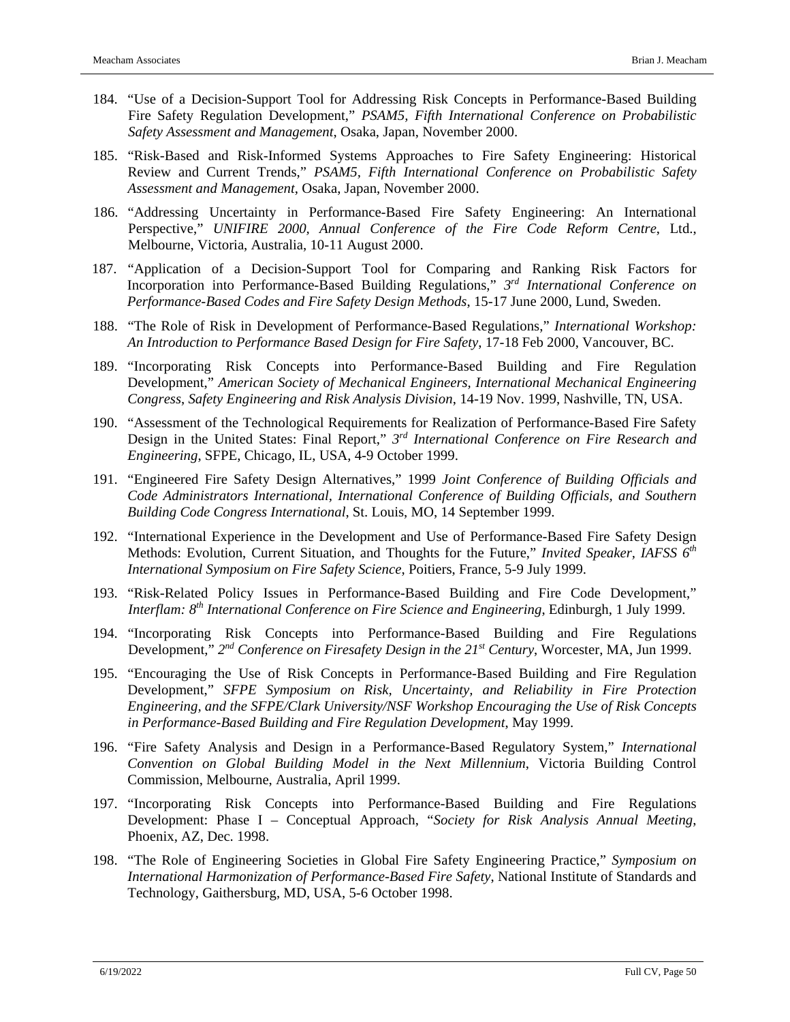- 184. "Use of a Decision-Support Tool for Addressing Risk Concepts in Performance-Based Building Fire Safety Regulation Development," *PSAM5, Fifth International Conference on Probabilistic Safety Assessment and Management*, Osaka, Japan, November 2000.
- 185. "Risk-Based and Risk-Informed Systems Approaches to Fire Safety Engineering: Historical Review and Current Trends," *PSAM5, Fifth International Conference on Probabilistic Safety Assessment and Management*, Osaka, Japan, November 2000.
- 186. "Addressing Uncertainty in Performance-Based Fire Safety Engineering: An International Perspective," *UNIFIRE 2000, Annual Conference of the Fire Code Reform Centre*, Ltd., Melbourne, Victoria, Australia, 10-11 August 2000.
- 187. "Application of a Decision-Support Tool for Comparing and Ranking Risk Factors for Incorporation into Performance-Based Building Regulations," *3rd International Conference on Performance-Based Codes and Fire Safety Design Methods*, 15-17 June 2000, Lund, Sweden.
- 188. "The Role of Risk in Development of Performance-Based Regulations," *International Workshop: An Introduction to Performance Based Design for Fire Safety*, 17-18 Feb 2000, Vancouver, BC.
- 189. "Incorporating Risk Concepts into Performance-Based Building and Fire Regulation Development," *American Society of Mechanical Engineers, International Mechanical Engineering Congress*, *Safety Engineering and Risk Analysis Division*, 14-19 Nov. 1999, Nashville, TN, USA.
- 190. "Assessment of the Technological Requirements for Realization of Performance-Based Fire Safety Design in the United States: Final Report," *3rd International Conference on Fire Research and Engineering*, SFPE, Chicago, IL, USA, 4-9 October 1999.
- 191. "Engineered Fire Safety Design Alternatives," 1999 *Joint Conference of Building Officials and Code Administrators International, International Conference of Building Officials, and Southern Building Code Congress International*, St. Louis, MO, 14 September 1999.
- 192. "International Experience in the Development and Use of Performance-Based Fire Safety Design Methods: Evolution, Current Situation, and Thoughts for the Future," *Invited Speaker, IAFSS 6th International Symposium on Fire Safety Science*, Poitiers, France, 5-9 July 1999.
- 193. "Risk-Related Policy Issues in Performance-Based Building and Fire Code Development," *Interflam: 8th International Conference on Fire Science and Engineering*, Edinburgh, 1 July 1999.
- 194. "Incorporating Risk Concepts into Performance-Based Building and Fire Regulations Development," *2nd Conference on Firesafety Design in the 21st Century*, Worcester, MA, Jun 1999.
- 195. "Encouraging the Use of Risk Concepts in Performance-Based Building and Fire Regulation Development," *SFPE Symposium on Risk, Uncertainty, and Reliability in Fire Protection Engineering, and the SFPE/Clark University/NSF Workshop Encouraging the Use of Risk Concepts in Performance-Based Building and Fire Regulation Development*, May 1999.
- 196. "Fire Safety Analysis and Design in a Performance-Based Regulatory System," *International Convention on Global Building Model in the Next Millennium*, Victoria Building Control Commission, Melbourne, Australia, April 1999.
- 197. "Incorporating Risk Concepts into Performance-Based Building and Fire Regulations Development: Phase I – Conceptual Approach, "*Society for Risk Analysis Annual Meeting*, Phoenix, AZ, Dec. 1998.
- 198. "The Role of Engineering Societies in Global Fire Safety Engineering Practice," *Symposium on International Harmonization of Performance-Based Fire Safety*, National Institute of Standards and Technology, Gaithersburg, MD, USA, 5-6 October 1998.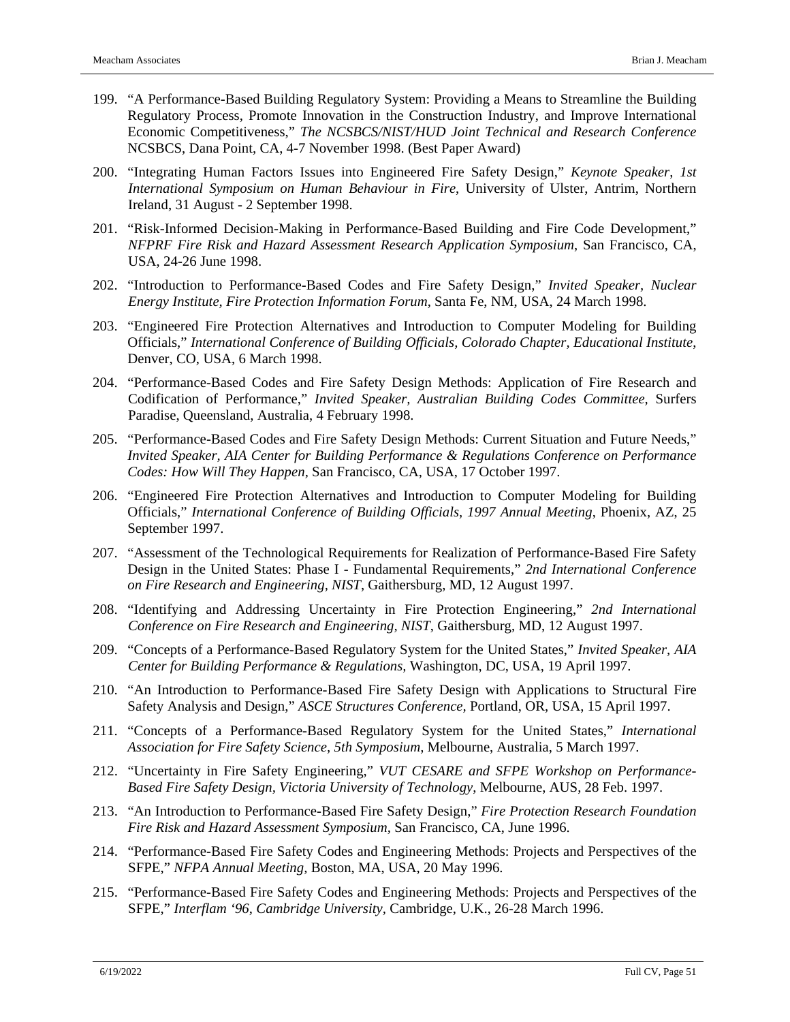- 199. "A Performance-Based Building Regulatory System: Providing a Means to Streamline the Building Regulatory Process, Promote Innovation in the Construction Industry, and Improve International Economic Competitiveness," *The NCSBCS/NIST/HUD Joint Technical and Research Conference*  NCSBCS, Dana Point, CA, 4-7 November 1998. (Best Paper Award)
- 200. "Integrating Human Factors Issues into Engineered Fire Safety Design," *Keynote Speaker*, *1st International Symposium on Human Behaviour in Fire*, University of Ulster, Antrim, Northern Ireland, 31 August - 2 September 1998.
- 201. "Risk-Informed Decision-Making in Performance-Based Building and Fire Code Development," *NFPRF Fire Risk and Hazard Assessment Research Application Symposium*, San Francisco, CA, USA, 24-26 June 1998.
- 202. "Introduction to Performance-Based Codes and Fire Safety Design," *Invited Speaker, Nuclear Energy Institute, Fire Protection Information Forum*, Santa Fe, NM, USA, 24 March 1998.
- 203. "Engineered Fire Protection Alternatives and Introduction to Computer Modeling for Building Officials," *International Conference of Building Officials, Colorado Chapter, Educational Institute*, Denver, CO, USA, 6 March 1998.
- 204. "Performance-Based Codes and Fire Safety Design Methods: Application of Fire Research and Codification of Performance," *Invited Speaker, Australian Building Codes Committee,* Surfers Paradise, Queensland, Australia, 4 February 1998.
- 205. "Performance-Based Codes and Fire Safety Design Methods: Current Situation and Future Needs," *Invited Speaker, AIA Center for Building Performance & Regulations Conference on Performance Codes: How Will They Happen,* San Francisco, CA, USA, 17 October 1997.
- 206. "Engineered Fire Protection Alternatives and Introduction to Computer Modeling for Building Officials," *International Conference of Building Officials, 1997 Annual Meeting*, Phoenix, AZ, 25 September 1997.
- 207. "Assessment of the Technological Requirements for Realization of Performance-Based Fire Safety Design in the United States: Phase I - Fundamental Requirements," *2nd International Conference on Fire Research and Engineering, NIST*, Gaithersburg, MD, 12 August 1997.
- 208. "Identifying and Addressing Uncertainty in Fire Protection Engineering," *2nd International Conference on Fire Research and Engineering, NIST*, Gaithersburg, MD, 12 August 1997.
- 209. "Concepts of a Performance-Based Regulatory System for the United States," *Invited Speaker, AIA Center for Building Performance & Regulations,* Washington, DC, USA, 19 April 1997.
- 210. "An Introduction to Performance-Based Fire Safety Design with Applications to Structural Fire Safety Analysis and Design," *ASCE Structures Conference,* Portland, OR, USA, 15 April 1997.
- 211. "Concepts of a Performance-Based Regulatory System for the United States," *International Association for Fire Safety Science, 5th Symposium,* Melbourne, Australia, 5 March 1997.
- 212. "Uncertainty in Fire Safety Engineering," *VUT CESARE and SFPE Workshop on Performance-Based Fire Safety Design, Victoria University of Technology*, Melbourne, AUS, 28 Feb. 1997.
- 213. "An Introduction to Performance-Based Fire Safety Design," *Fire Protection Research Foundation Fire Risk and Hazard Assessment Symposium,* San Francisco, CA, June 1996.
- 214. "Performance-Based Fire Safety Codes and Engineering Methods: Projects and Perspectives of the SFPE," *NFPA Annual Meeting,* Boston, MA, USA, 20 May 1996.
- 215. "Performance-Based Fire Safety Codes and Engineering Methods: Projects and Perspectives of the SFPE," *Interflam '96*, *Cambridge University,* Cambridge, U.K., 26-28 March 1996.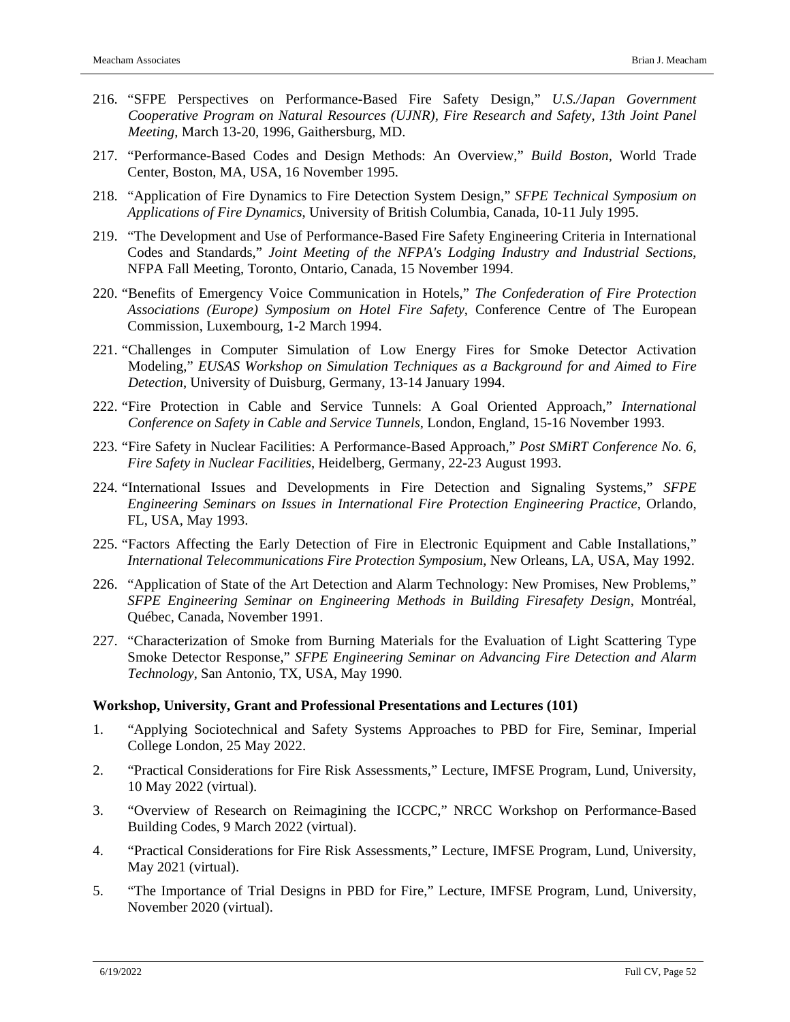- 216. "SFPE Perspectives on Performance-Based Fire Safety Design," *U.S./Japan Government Cooperative Program on Natural Resources (UJNR), Fire Research and Safety, 13th Joint Panel Meeting*, March 13-20, 1996, Gaithersburg, MD.
- 217. "Performance-Based Codes and Design Methods: An Overview," *Build Boston,* World Trade Center, Boston, MA, USA, 16 November 1995.
- 218. "Application of Fire Dynamics to Fire Detection System Design," *SFPE Technical Symposium on Applications of Fire Dynamics*, University of British Columbia, Canada, 10-11 July 1995.
- 219. "The Development and Use of Performance-Based Fire Safety Engineering Criteria in International Codes and Standards," *Joint Meeting of the NFPA's Lodging Industry and Industrial Sections*, NFPA Fall Meeting, Toronto, Ontario, Canada, 15 November 1994.
- 220. "Benefits of Emergency Voice Communication in Hotels," *The Confederation of Fire Protection Associations (Europe) Symposium on Hotel Fire Safety*, Conference Centre of The European Commission, Luxembourg, 1-2 March 1994.
- 221. "Challenges in Computer Simulation of Low Energy Fires for Smoke Detector Activation Modeling," *EUSAS Workshop on Simulation Techniques as a Background for and Aimed to Fire Detection*, University of Duisburg, Germany, 13-14 January 1994.
- 222. "Fire Protection in Cable and Service Tunnels: A Goal Oriented Approach," *International Conference on Safety in Cable and Service Tunnels*, London, England, 15-16 November 1993.
- 223. "Fire Safety in Nuclear Facilities: A Performance-Based Approach," *Post SMiRT Conference No. 6, Fire Safety in Nuclear Facilities*, Heidelberg, Germany, 22-23 August 1993.
- 224. "International Issues and Developments in Fire Detection and Signaling Systems," *SFPE Engineering Seminars on Issues in International Fire Protection Engineering Practice*, Orlando, FL, USA, May 1993.
- 225. "Factors Affecting the Early Detection of Fire in Electronic Equipment and Cable Installations," *International Telecommunications Fire Protection Symposium*, New Orleans, LA, USA, May 1992.
- 226. "Application of State of the Art Detection and Alarm Technology: New Promises, New Problems," *SFPE Engineering Seminar on Engineering Methods in Building Firesafety Design*, Montréal, Québec, Canada, November 1991.
- 227. "Characterization of Smoke from Burning Materials for the Evaluation of Light Scattering Type Smoke Detector Response," *SFPE Engineering Seminar on Advancing Fire Detection and Alarm Technology*, San Antonio, TX, USA, May 1990.

#### **Workshop, University, Grant and Professional Presentations and Lectures (101)**

- 1. "Applying Sociotechnical and Safety Systems Approaches to PBD for Fire, Seminar, Imperial College London, 25 May 2022.
- 2. "Practical Considerations for Fire Risk Assessments," Lecture, IMFSE Program, Lund, University, 10 May 2022 (virtual).
- 3. "Overview of Research on Reimagining the ICCPC," NRCC Workshop on Performance-Based Building Codes, 9 March 2022 (virtual).
- 4. "Practical Considerations for Fire Risk Assessments," Lecture, IMFSE Program, Lund, University, May 2021 (virtual).
- 5. "The Importance of Trial Designs in PBD for Fire," Lecture, IMFSE Program, Lund, University, November 2020 (virtual).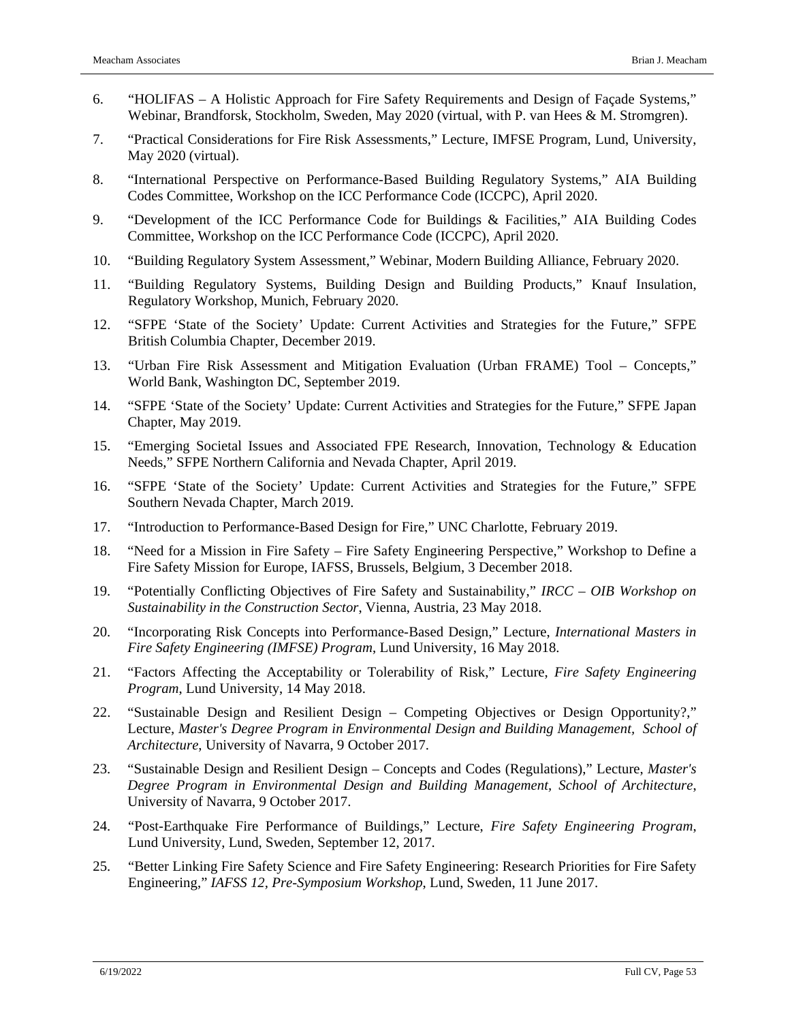- 6. "HOLIFAS A Holistic Approach for Fire Safety Requirements and Design of Façade Systems," Webinar, Brandforsk, Stockholm, Sweden, May 2020 (virtual, with P. van Hees & M. Stromgren).
- 7. "Practical Considerations for Fire Risk Assessments," Lecture, IMFSE Program, Lund, University, May 2020 (virtual).
- 8. "International Perspective on Performance-Based Building Regulatory Systems," AIA Building Codes Committee, Workshop on the ICC Performance Code (ICCPC), April 2020.
- 9. "Development of the ICC Performance Code for Buildings & Facilities," AIA Building Codes Committee, Workshop on the ICC Performance Code (ICCPC), April 2020.
- 10. "Building Regulatory System Assessment," Webinar, Modern Building Alliance, February 2020.
- 11. "Building Regulatory Systems, Building Design and Building Products," Knauf Insulation, Regulatory Workshop, Munich, February 2020.
- 12. "SFPE 'State of the Society' Update: Current Activities and Strategies for the Future," SFPE British Columbia Chapter, December 2019.
- 13. "Urban Fire Risk Assessment and Mitigation Evaluation (Urban FRAME) Tool Concepts," World Bank, Washington DC, September 2019.
- 14. "SFPE 'State of the Society' Update: Current Activities and Strategies for the Future," SFPE Japan Chapter, May 2019.
- 15. "Emerging Societal Issues and Associated FPE Research, Innovation, Technology & Education Needs," SFPE Northern California and Nevada Chapter, April 2019.
- 16. "SFPE 'State of the Society' Update: Current Activities and Strategies for the Future," SFPE Southern Nevada Chapter, March 2019.
- 17. "Introduction to Performance-Based Design for Fire," UNC Charlotte, February 2019.
- 18. "Need for a Mission in Fire Safety Fire Safety Engineering Perspective," Workshop to Define a Fire Safety Mission for Europe, IAFSS, Brussels, Belgium, 3 December 2018.
- 19. "Potentially Conflicting Objectives of Fire Safety and Sustainability," *IRCC – OIB Workshop on Sustainability in the Construction Sector*, Vienna, Austria, 23 May 2018.
- 20. "Incorporating Risk Concepts into Performance-Based Design," Lecture, *International Masters in Fire Safety Engineering (IMFSE) Program*, Lund University, 16 May 2018.
- 21. "Factors Affecting the Acceptability or Tolerability of Risk," Lecture, *Fire Safety Engineering Program*, Lund University, 14 May 2018.
- 22. "Sustainable Design and Resilient Design Competing Objectives or Design Opportunity?," Lecture, *Master's Degree Program in Environmental Design and Building Management, School of Architecture*, University of Navarra, 9 October 2017.
- 23. "Sustainable Design and Resilient Design Concepts and Codes (Regulations)," Lecture, *Master's Degree Program in Environmental Design and Building Management, School of Architecture*, University of Navarra, 9 October 2017.
- 24. "Post-Earthquake Fire Performance of Buildings," Lecture, *Fire Safety Engineering Program*, Lund University, Lund, Sweden, September 12, 2017.
- 25. "Better Linking Fire Safety Science and Fire Safety Engineering: Research Priorities for Fire Safety Engineering," *IAFSS 12, Pre-Symposium Workshop*, Lund, Sweden, 11 June 2017.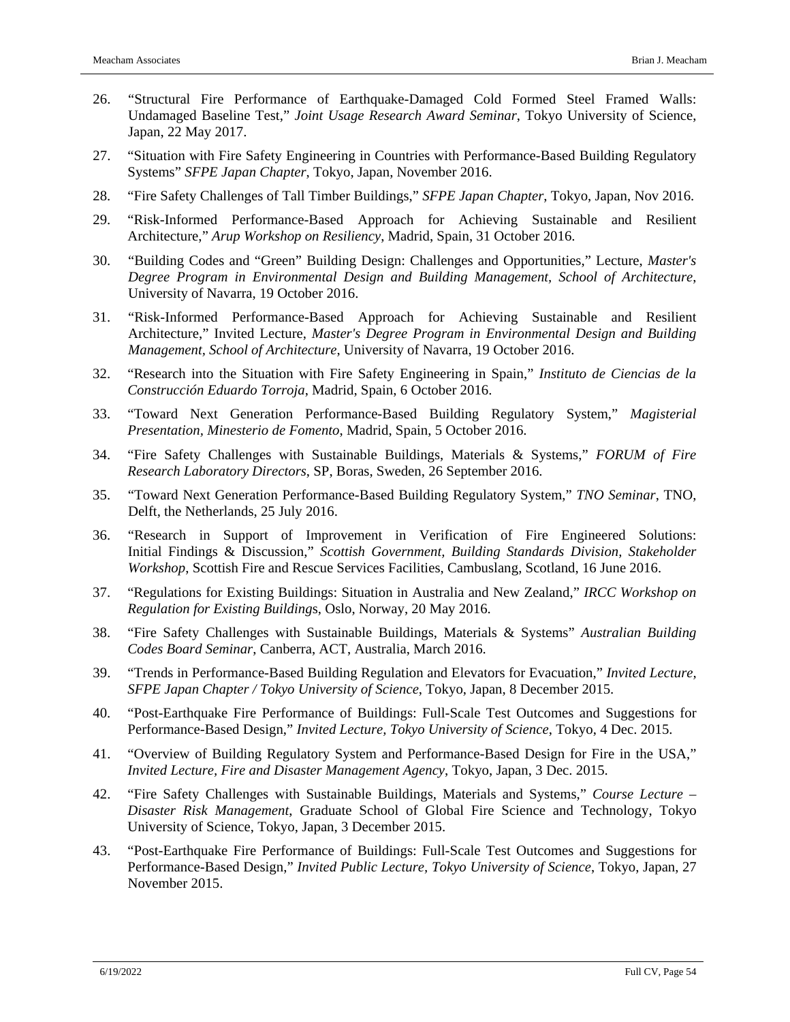- 26. "Structural Fire Performance of Earthquake-Damaged Cold Formed Steel Framed Walls: Undamaged Baseline Test," *Joint Usage Research Award Seminar*, Tokyo University of Science, Japan, 22 May 2017.
- 27. "Situation with Fire Safety Engineering in Countries with Performance-Based Building Regulatory Systems" *SFPE Japan Chapter*, Tokyo, Japan, November 2016.
- 28. "Fire Safety Challenges of Tall Timber Buildings," *SFPE Japan Chapter*, Tokyo, Japan, Nov 2016.
- 29. "Risk-Informed Performance-Based Approach for Achieving Sustainable and Resilient Architecture," *Arup Workshop on Resiliency*, Madrid, Spain, 31 October 2016.
- 30. "Building Codes and "Green" Building Design: Challenges and Opportunities," Lecture, *Master's Degree Program in Environmental Design and Building Management, School of Architecture*, University of Navarra, 19 October 2016.
- 31. "Risk-Informed Performance-Based Approach for Achieving Sustainable and Resilient Architecture," Invited Lecture, *Master's Degree Program in Environmental Design and Building Management, School of Architecture*, University of Navarra, 19 October 2016.
- 32. "Research into the Situation with Fire Safety Engineering in Spain," *Instituto de Ciencias de la Construcción Eduardo Torroja*, Madrid, Spain, 6 October 2016.
- 33. "Toward Next Generation Performance-Based Building Regulatory System," *Magisterial Presentation, Minesterio de Fomento*, Madrid, Spain, 5 October 2016.
- 34. "Fire Safety Challenges with Sustainable Buildings, Materials & Systems," *FORUM of Fire Research Laboratory Directors*, SP, Boras, Sweden, 26 September 2016.
- 35. "Toward Next Generation Performance-Based Building Regulatory System," *TNO Seminar*, TNO, Delft, the Netherlands, 25 July 2016.
- 36. "Research in Support of Improvement in Verification of Fire Engineered Solutions: Initial Findings & Discussion," *Scottish Government, Building Standards Division, Stakeholder Workshop*, Scottish Fire and Rescue Services Facilities, Cambuslang, Scotland, 16 June 2016.
- 37. "Regulations for Existing Buildings: Situation in Australia and New Zealand," *IRCC Workshop on Regulation for Existing Building*s, Oslo, Norway, 20 May 2016.
- 38. "Fire Safety Challenges with Sustainable Buildings, Materials & Systems" *Australian Building Codes Board Seminar*, Canberra, ACT, Australia, March 2016.
- 39. "Trends in Performance-Based Building Regulation and Elevators for Evacuation," *Invited Lecture, SFPE Japan Chapter / Tokyo University of Science*, Tokyo, Japan, 8 December 2015.
- 40. "Post-Earthquake Fire Performance of Buildings: Full-Scale Test Outcomes and Suggestions for Performance-Based Design," *Invited Lecture, Tokyo University of Science*, Tokyo, 4 Dec. 2015.
- 41. "Overview of Building Regulatory System and Performance-Based Design for Fire in the USA," *Invited Lecture, Fire and Disaster Management Agency*, Tokyo, Japan, 3 Dec. 2015.
- 42. "Fire Safety Challenges with Sustainable Buildings, Materials and Systems," *Course Lecture – Disaster Risk Management*, Graduate School of Global Fire Science and Technology, Tokyo University of Science, Tokyo, Japan, 3 December 2015.
- 43. "Post-Earthquake Fire Performance of Buildings: Full-Scale Test Outcomes and Suggestions for Performance-Based Design," *Invited Public Lecture, Tokyo University of Science*, Tokyo, Japan, 27 November 2015.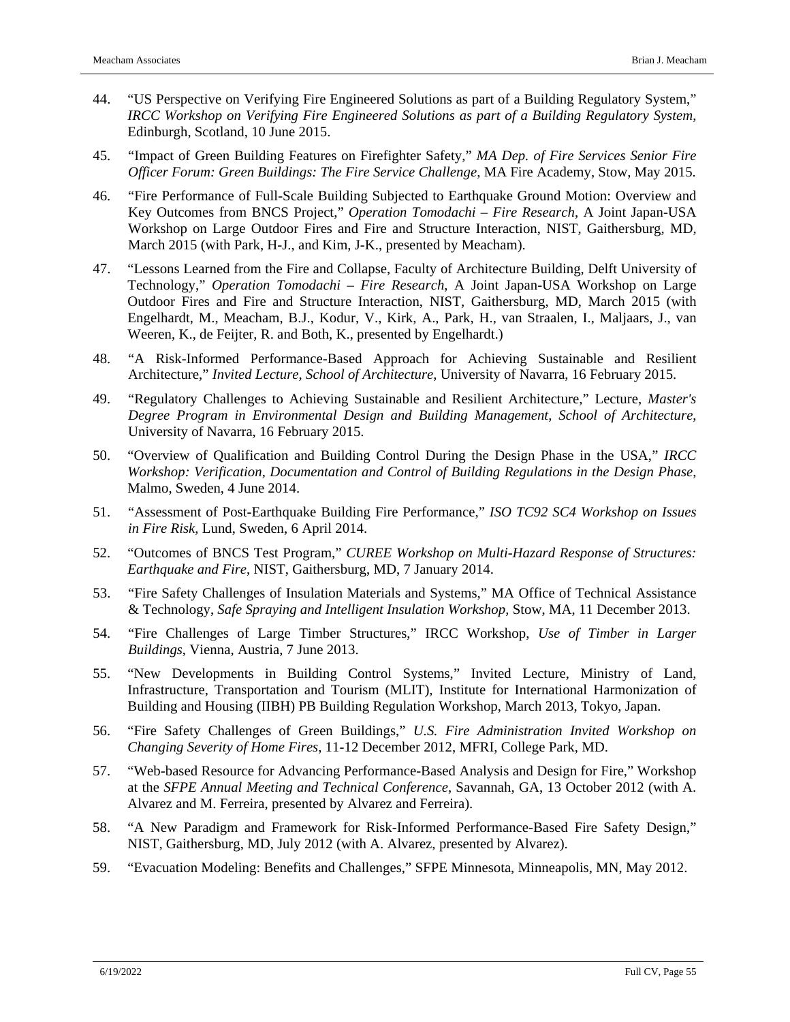- 44. "US Perspective on Verifying Fire Engineered Solutions as part of a Building Regulatory System," *IRCC Workshop on Verifying Fire Engineered Solutions as part of a Building Regulatory System*, Edinburgh, Scotland, 10 June 2015.
- 45. "Impact of Green Building Features on Firefighter Safety," *MA Dep. of Fire Services Senior Fire Officer Forum: Green Buildings: The Fire Service Challenge*, MA Fire Academy, Stow, May 2015.
- 46. "Fire Performance of Full-Scale Building Subjected to Earthquake Ground Motion: Overview and Key Outcomes from BNCS Project," *Operation Tomodachi – Fire Research*, A Joint Japan-USA Workshop on Large Outdoor Fires and Fire and Structure Interaction, NIST, Gaithersburg, MD, March 2015 (with Park, H-J., and Kim, J-K., presented by Meacham).
- 47. "Lessons Learned from the Fire and Collapse, Faculty of Architecture Building, Delft University of Technology," *Operation Tomodachi – Fire Research*, A Joint Japan-USA Workshop on Large Outdoor Fires and Fire and Structure Interaction, NIST, Gaithersburg, MD, March 2015 (with Engelhardt, M., Meacham, B.J., Kodur, V., Kirk, A., Park, H., van Straalen, I., Maljaars, J., van Weeren, K., de Feijter, R. and Both, K., presented by Engelhardt.)
- 48. "A Risk-Informed Performance-Based Approach for Achieving Sustainable and Resilient Architecture," *Invited Lecture, School of Architecture*, University of Navarra, 16 February 2015.
- 49. "Regulatory Challenges to Achieving Sustainable and Resilient Architecture," Lecture, *Master's Degree Program in Environmental Design and Building Management, School of Architecture*, University of Navarra, 16 February 2015.
- 50. "Overview of Qualification and Building Control During the Design Phase in the USA," *IRCC Workshop: Verification, Documentation and Control of Building Regulations in the Design Phase*, Malmo, Sweden, 4 June 2014.
- 51. "Assessment of Post-Earthquake Building Fire Performance," *ISO TC92 SC4 Workshop on Issues in Fire Risk*, Lund, Sweden, 6 April 2014.
- 52. "Outcomes of BNCS Test Program," *CUREE Workshop on Multi-Hazard Response of Structures: Earthquake and Fire*, NIST, Gaithersburg, MD, 7 January 2014.
- 53. "Fire Safety Challenges of Insulation Materials and Systems," MA Office of Technical Assistance & Technology, *Safe Spraying and Intelligent Insulation Workshop*, Stow, MA, 11 December 2013.
- 54. "Fire Challenges of Large Timber Structures," IRCC Workshop, *Use of Timber in Larger Buildings*, Vienna, Austria, 7 June 2013.
- 55. "New Developments in Building Control Systems," Invited Lecture, Ministry of Land, Infrastructure, Transportation and Tourism (MLIT), Institute for International Harmonization of Building and Housing (IIBH) PB Building Regulation Workshop, March 2013, Tokyo, Japan.
- 56. "Fire Safety Challenges of Green Buildings," *U.S. Fire Administration Invited Workshop on Changing Severity of Home Fires*, 11-12 December 2012, MFRI, College Park, MD.
- 57. "Web-based Resource for Advancing Performance-Based Analysis and Design for Fire," Workshop at the *SFPE Annual Meeting and Technical Conference*, Savannah, GA, 13 October 2012 (with A. Alvarez and M. Ferreira, presented by Alvarez and Ferreira).
- 58. "A New Paradigm and Framework for Risk-Informed Performance-Based Fire Safety Design," NIST, Gaithersburg, MD, July 2012 (with A. Alvarez, presented by Alvarez).
- 59. "Evacuation Modeling: Benefits and Challenges," SFPE Minnesota, Minneapolis, MN, May 2012.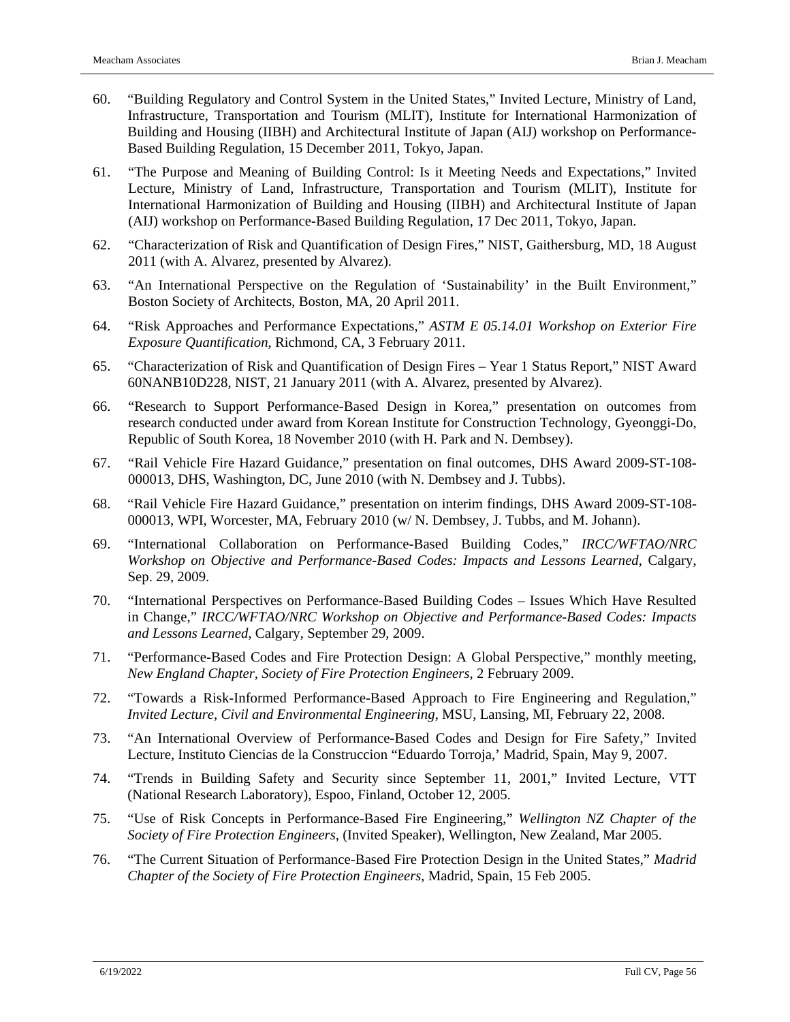- 60. "Building Regulatory and Control System in the United States," Invited Lecture, Ministry of Land, Infrastructure, Transportation and Tourism (MLIT), Institute for International Harmonization of Building and Housing (IIBH) and Architectural Institute of Japan (AIJ) workshop on Performance-Based Building Regulation, 15 December 2011, Tokyo, Japan.
- 61. "The Purpose and Meaning of Building Control: Is it Meeting Needs and Expectations," Invited Lecture, Ministry of Land, Infrastructure, Transportation and Tourism (MLIT), Institute for International Harmonization of Building and Housing (IIBH) and Architectural Institute of Japan (AIJ) workshop on Performance-Based Building Regulation, 17 Dec 2011, Tokyo, Japan.
- 62. "Characterization of Risk and Quantification of Design Fires," NIST, Gaithersburg, MD, 18 August 2011 (with A. Alvarez, presented by Alvarez).
- 63. "An International Perspective on the Regulation of 'Sustainability' in the Built Environment," Boston Society of Architects, Boston, MA, 20 April 2011.
- 64. "Risk Approaches and Performance Expectations," *ASTM E 05.14.01 Workshop on Exterior Fire Exposure Quantification*, Richmond, CA, 3 February 2011.
- 65. "Characterization of Risk and Quantification of Design Fires Year 1 Status Report," NIST Award 60NANB10D228, NIST, 21 January 2011 (with A. Alvarez, presented by Alvarez).
- 66. "Research to Support Performance-Based Design in Korea," presentation on outcomes from research conducted under award from Korean Institute for Construction Technology, Gyeonggi-Do, Republic of South Korea, 18 November 2010 (with H. Park and N. Dembsey).
- 67. "Rail Vehicle Fire Hazard Guidance," presentation on final outcomes, DHS Award 2009-ST-108- 000013, DHS, Washington, DC, June 2010 (with N. Dembsey and J. Tubbs).
- 68. "Rail Vehicle Fire Hazard Guidance," presentation on interim findings, DHS Award 2009-ST-108- 000013, WPI, Worcester, MA, February 2010 (w/ N. Dembsey, J. Tubbs, and M. Johann).
- 69. "International Collaboration on Performance-Based Building Codes," *IRCC/WFTAO/NRC Workshop on Objective and Performance-Based Codes: Impacts and Lessons Learned*, Calgary, Sep. 29, 2009.
- 70. "International Perspectives on Performance-Based Building Codes Issues Which Have Resulted in Change," *IRCC/WFTAO/NRC Workshop on Objective and Performance-Based Codes: Impacts and Lessons Learned*, Calgary, September 29, 2009.
- 71. "Performance-Based Codes and Fire Protection Design: A Global Perspective," monthly meeting, *New England Chapter, Society of Fire Protection Engineers*, 2 February 2009.
- 72. "Towards a Risk-Informed Performance-Based Approach to Fire Engineering and Regulation," *Invited Lecture, Civil and Environmental Engineering*, MSU, Lansing, MI, February 22, 2008.
- 73. "An International Overview of Performance-Based Codes and Design for Fire Safety," Invited Lecture, Instituto Ciencias de la Construccion "Eduardo Torroja,' Madrid, Spain, May 9, 2007.
- 74. "Trends in Building Safety and Security since September 11, 2001," Invited Lecture, VTT (National Research Laboratory), Espoo, Finland, October 12, 2005.
- 75. "Use of Risk Concepts in Performance-Based Fire Engineering," *Wellington NZ Chapter of the Society of Fire Protection Engineers*, (Invited Speaker), Wellington, New Zealand, Mar 2005.
- 76. "The Current Situation of Performance-Based Fire Protection Design in the United States," *Madrid Chapter of the Society of Fire Protection Engineers*, Madrid, Spain, 15 Feb 2005.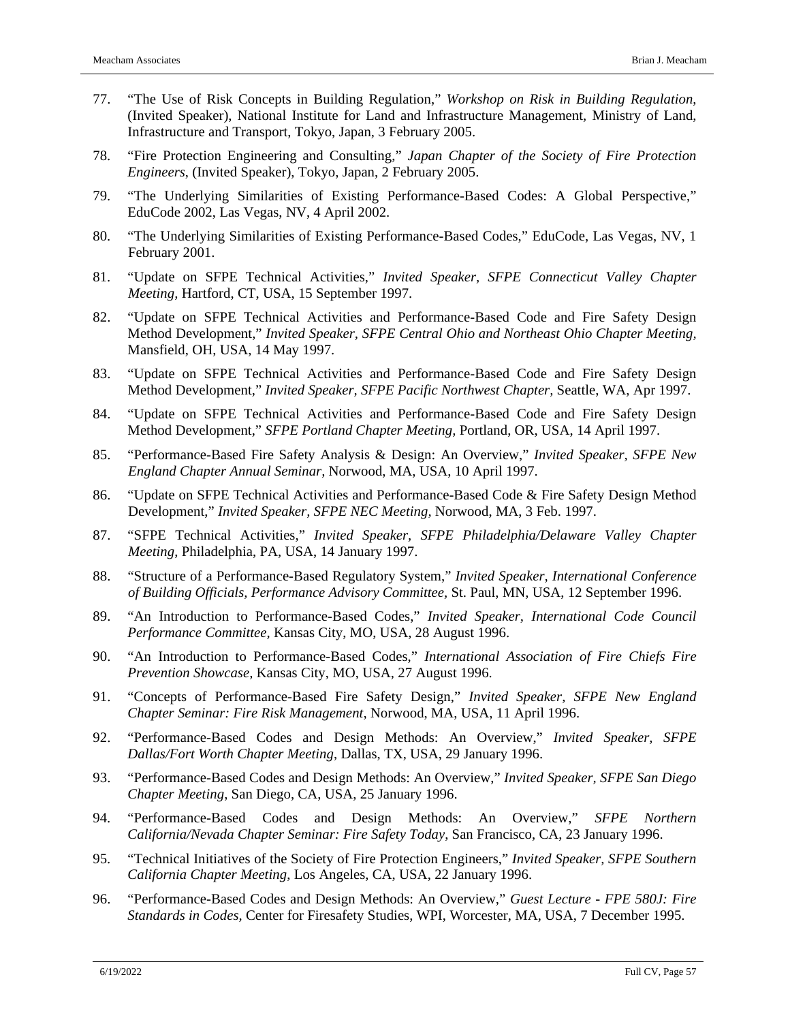- 77. "The Use of Risk Concepts in Building Regulation," *Workshop on Risk in Building Regulation*, (Invited Speaker), National Institute for Land and Infrastructure Management, Ministry of Land, Infrastructure and Transport, Tokyo, Japan, 3 February 2005.
- 78. "Fire Protection Engineering and Consulting," *Japan Chapter of the Society of Fire Protection Engineers*, (Invited Speaker), Tokyo, Japan, 2 February 2005.
- 79. "The Underlying Similarities of Existing Performance-Based Codes: A Global Perspective," EduCode 2002, Las Vegas, NV, 4 April 2002.
- 80. "The Underlying Similarities of Existing Performance-Based Codes," EduCode, Las Vegas, NV, 1 February 2001.
- 81. "Update on SFPE Technical Activities," *Invited Speaker, SFPE Connecticut Valley Chapter Meeting,* Hartford, CT, USA, 15 September 1997.
- 82. "Update on SFPE Technical Activities and Performance-Based Code and Fire Safety Design Method Development," *Invited Speaker, SFPE Central Ohio and Northeast Ohio Chapter Meeting,* Mansfield, OH, USA, 14 May 1997.
- 83. "Update on SFPE Technical Activities and Performance-Based Code and Fire Safety Design Method Development," *Invited Speaker, SFPE Pacific Northwest Chapter,* Seattle, WA, Apr 1997.
- 84. "Update on SFPE Technical Activities and Performance-Based Code and Fire Safety Design Method Development," *SFPE Portland Chapter Meeting,* Portland, OR, USA, 14 April 1997.
- 85. "Performance-Based Fire Safety Analysis & Design: An Overview," *Invited Speaker, SFPE New England Chapter Annual Seminar,* Norwood, MA, USA, 10 April 1997.
- 86. "Update on SFPE Technical Activities and Performance-Based Code & Fire Safety Design Method Development," *Invited Speaker, SFPE NEC Meeting,* Norwood, MA, 3 Feb. 1997.
- 87. "SFPE Technical Activities," *Invited Speaker, SFPE Philadelphia/Delaware Valley Chapter Meeting*, Philadelphia, PA, USA, 14 January 1997.
- 88. "Structure of a Performance-Based Regulatory System," *Invited Speaker, International Conference of Building Officials, Performance Advisory Committee,* St. Paul, MN*,* USA, 12 September 1996.
- 89. "An Introduction to Performance-Based Codes," *Invited Speaker, International Code Council Performance Committee,* Kansas City, MO, USA, 28 August 1996.
- 90. "An Introduction to Performance-Based Codes," *International Association of Fire Chiefs Fire Prevention Showcase,* Kansas City, MO, USA, 27 August 1996.
- 91. "Concepts of Performance-Based Fire Safety Design," *Invited Speaker, SFPE New England Chapter Seminar: Fire Risk Management*, Norwood, MA, USA, 11 April 1996.
- 92. "Performance-Based Codes and Design Methods: An Overview," *Invited Speaker, SFPE Dallas/Fort Worth Chapter Meeting*, Dallas, TX, USA, 29 January 1996.
- 93. "Performance-Based Codes and Design Methods: An Overview," *Invited Speaker, SFPE San Diego Chapter Meeting*, San Diego, CA, USA, 25 January 1996.
- 94. "Performance-Based Codes and Design Methods: An Overview," *SFPE Northern California/Nevada Chapter Seminar: Fire Safety Today*, San Francisco, CA, 23 January 1996.
- 95. "Technical Initiatives of the Society of Fire Protection Engineers," *Invited Speaker, SFPE Southern California Chapter Meeting*, Los Angeles, CA, USA, 22 January 1996.
- 96. "Performance-Based Codes and Design Methods: An Overview," *Guest Lecture - FPE 580J: Fire Standards in Codes,* Center for Firesafety Studies, WPI, Worcester, MA, USA, 7 December 1995.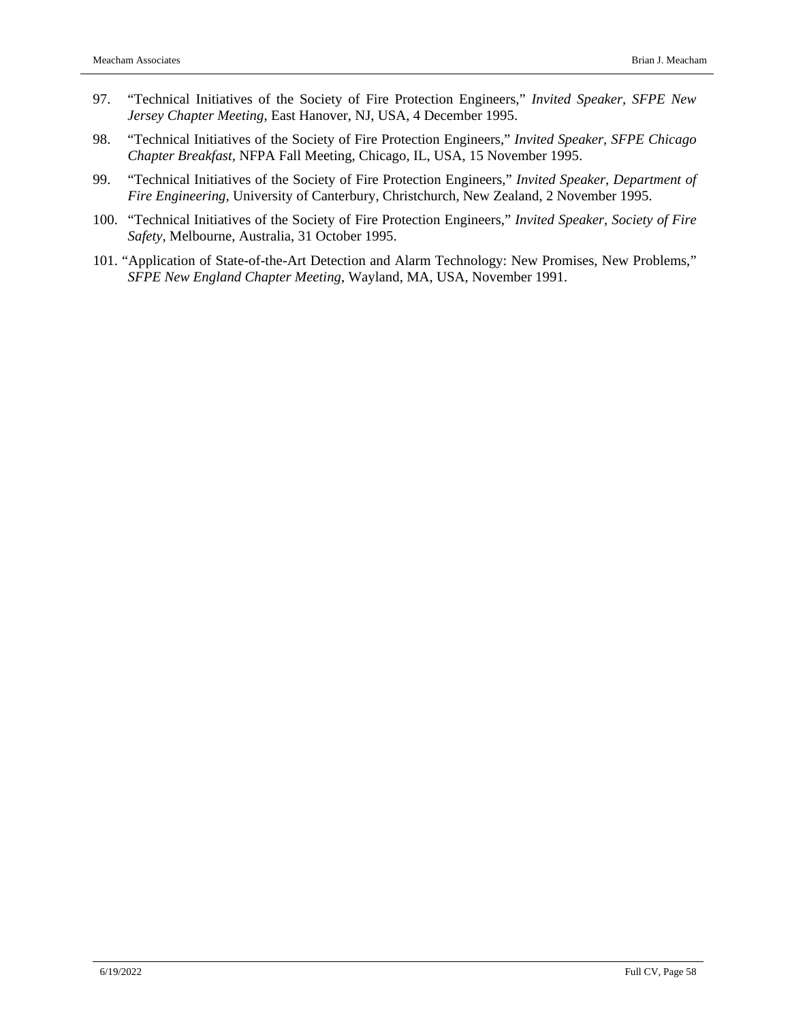- 97. "Technical Initiatives of the Society of Fire Protection Engineers," *Invited Speaker, SFPE New Jersey Chapter Meeting*, East Hanover, NJ, USA, 4 December 1995.
- 98. "Technical Initiatives of the Society of Fire Protection Engineers," *Invited Speaker, SFPE Chicago Chapter Breakfast,* NFPA Fall Meeting, Chicago, IL, USA, 15 November 1995.
- 99. "Technical Initiatives of the Society of Fire Protection Engineers," *Invited Speaker, Department of Fire Engineering,* University of Canterbury, Christchurch, New Zealand, 2 November 1995.
- 100. "Technical Initiatives of the Society of Fire Protection Engineers," *Invited Speaker, Society of Fire Safety*, Melbourne, Australia, 31 October 1995.
- 101. "Application of State-of-the-Art Detection and Alarm Technology: New Promises, New Problems," *SFPE New England Chapter Meeting*, Wayland, MA, USA, November 1991.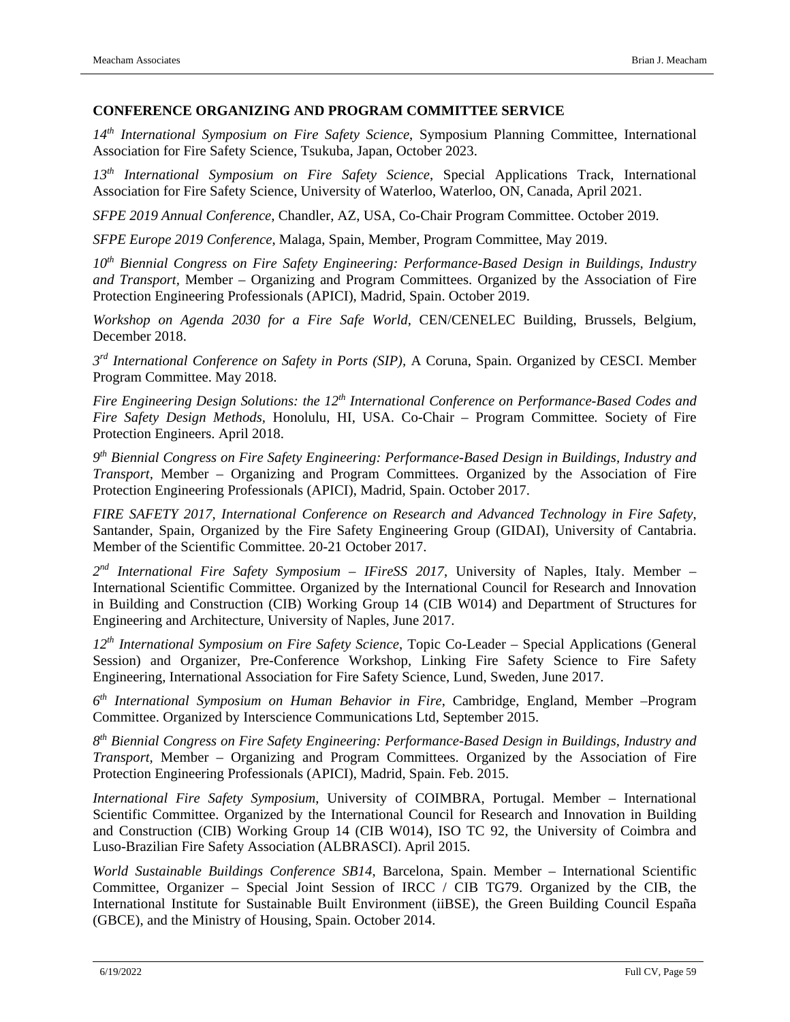### **CONFERENCE ORGANIZING AND PROGRAM COMMITTEE SERVICE**

*14th International Symposium on Fire Safety Science*, Symposium Planning Committee, International Association for Fire Safety Science, Tsukuba, Japan, October 2023.

*13th International Symposium on Fire Safety Science*, Special Applications Track, International Association for Fire Safety Science, University of Waterloo, Waterloo, ON, Canada, April 2021.

*SFPE 2019 Annual Conference*, Chandler, AZ, USA, Co-Chair Program Committee. October 2019.

*SFPE Europe 2019 Conference*, Malaga, Spain, Member, Program Committee, May 2019.

*10th Biennial Congress on Fire Safety Engineering: Performance-Based Design in Buildings, Industry and Transport,* Member – Organizing and Program Committees. Organized by the Association of Fire Protection Engineering Professionals (APICI), Madrid, Spain. October 2019.

*Workshop on Agenda 2030 for a Fire Safe World,* CEN/CENELEC Building, Brussels, Belgium, December 2018.

*3rd International Conference on Safety in Ports (SIP),* A Coruna, Spain. Organized by CESCI. Member Program Committee. May 2018.

*Fire Engineering Design Solutions: the 12th International Conference on Performance-Based Codes and Fire Safety Design Methods,* Honolulu, HI, USA. Co-Chair – Program Committee*.* Society of Fire Protection Engineers. April 2018.

*9th Biennial Congress on Fire Safety Engineering: Performance-Based Design in Buildings, Industry and Transport,* Member – Organizing and Program Committees. Organized by the Association of Fire Protection Engineering Professionals (APICI), Madrid, Spain. October 2017.

*FIRE SAFETY 2017, International Conference on Research and Advanced Technology in Fire Safety*, Santander, Spain, Organized by the Fire Safety Engineering Group (GIDAI), University of Cantabria. Member of the Scientific Committee. 20-21 October 2017.

*2nd International Fire Safety Symposium – IFireSS 2017*, University of Naples, Italy. Member – International Scientific Committee. Organized by the International Council for Research and Innovation in Building and Construction (CIB) Working Group 14 (CIB W014) and Department of Structures for Engineering and Architecture, University of Naples, June 2017.

*12th International Symposium on Fire Safety Science*, Topic Co-Leader – Special Applications (General Session) and Organizer, Pre-Conference Workshop, Linking Fire Safety Science to Fire Safety Engineering, International Association for Fire Safety Science, Lund, Sweden, June 2017.

*6th International Symposium on Human Behavior in Fire*, Cambridge, England, Member –Program Committee. Organized by Interscience Communications Ltd, September 2015.

*8th Biennial Congress on Fire Safety Engineering: Performance-Based Design in Buildings, Industry and Transport,* Member – Organizing and Program Committees. Organized by the Association of Fire Protection Engineering Professionals (APICI), Madrid, Spain. Feb. 2015.

*International Fire Safety Symposium*, University of COIMBRA, Portugal. Member – International Scientific Committee. Organized by the International Council for Research and Innovation in Building and Construction (CIB) Working Group 14 (CIB W014), ISO TC 92, the University of Coimbra and Luso-Brazilian Fire Safety Association (ALBRASCI). April 2015.

*World Sustainable Buildings Conference SB14*, Barcelona, Spain. Member – International Scientific Committee, Organizer – Special Joint Session of IRCC / CIB TG79. Organized by the CIB, the International Institute for Sustainable Built Environment (iiBSE), the Green Building Council España (GBCE), and the Ministry of Housing, Spain. October 2014.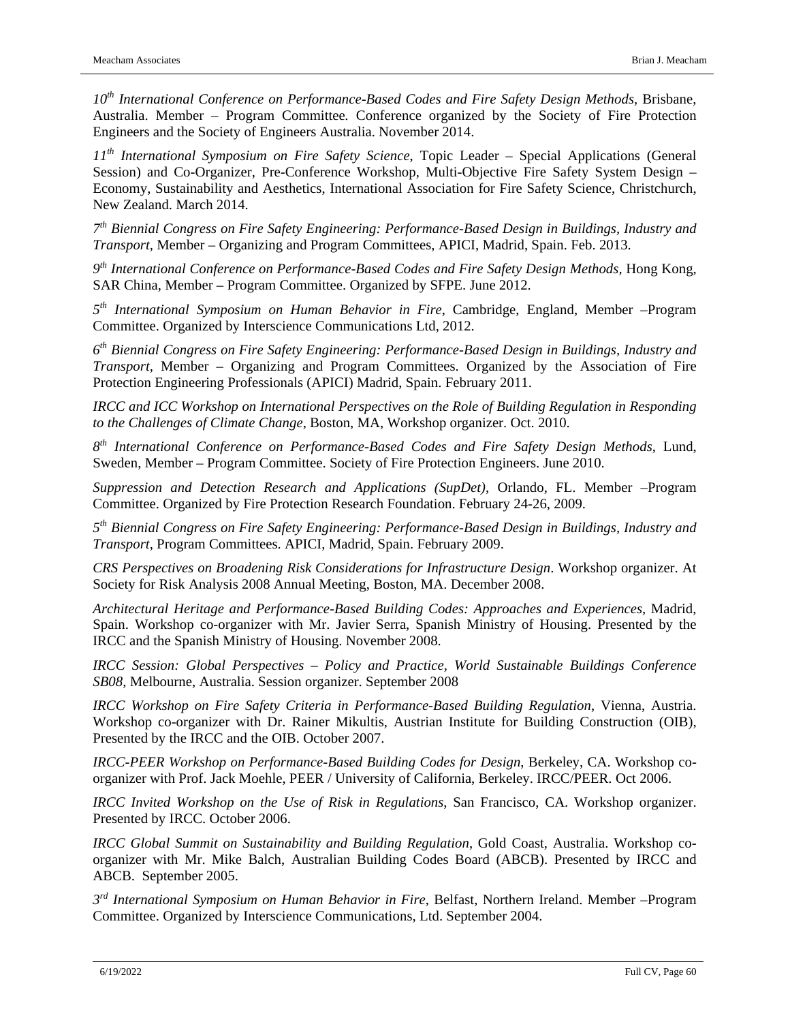*10th International Conference on Performance-Based Codes and Fire Safety Design Methods,* Brisbane, Australia. Member – Program Committee*.* Conference organized by the Society of Fire Protection Engineers and the Society of Engineers Australia. November 2014.

*11th International Symposium on Fire Safety Science*, Topic Leader – Special Applications (General Session) and Co-Organizer, Pre-Conference Workshop, Multi-Objective Fire Safety System Design – Economy, Sustainability and Aesthetics, International Association for Fire Safety Science, Christchurch, New Zealand. March 2014.

*7th Biennial Congress on Fire Safety Engineering: Performance-Based Design in Buildings, Industry and Transport,* Member – Organizing and Program Committees, APICI, Madrid, Spain. Feb. 2013.

*9th International Conference on Performance-Based Codes and Fire Safety Design Methods,* Hong Kong, SAR China, Member – Program Committee. Organized by SFPE. June 2012.

*5th International Symposium on Human Behavior in Fire*, Cambridge, England, Member –Program Committee. Organized by Interscience Communications Ltd, 2012.

*6th Biennial Congress on Fire Safety Engineering: Performance-Based Design in Buildings, Industry and Transport,* Member – Organizing and Program Committees. Organized by the Association of Fire Protection Engineering Professionals (APICI) Madrid, Spain. February 2011.

*IRCC and ICC Workshop on International Perspectives on the Role of Building Regulation in Responding to the Challenges of Climate Change*, Boston, MA, Workshop organizer. Oct. 2010.

*8th International Conference on Performance-Based Codes and Fire Safety Design Methods*, Lund, Sweden, Member – Program Committee. Society of Fire Protection Engineers. June 2010.

*Suppression and Detection Research and Applications (SupDet)*, Orlando, FL. Member –Program Committee. Organized by Fire Protection Research Foundation. February 24-26, 2009.

*5th Biennial Congress on Fire Safety Engineering: Performance-Based Design in Buildings, Industry and Transport,* Program Committees. APICI, Madrid, Spain. February 2009.

*CRS Perspectives on Broadening Risk Considerations for Infrastructure Design*. Workshop organizer. At Society for Risk Analysis 2008 Annual Meeting, Boston, MA. December 2008.

*Architectural Heritage and Performance-Based Building Codes: Approaches and Experiences,* Madrid, Spain. Workshop co-organizer with Mr. Javier Serra, Spanish Ministry of Housing. Presented by the IRCC and the Spanish Ministry of Housing. November 2008.

*IRCC Session: Global Perspectives – Policy and Practice, World Sustainable Buildings Conference SB08,* Melbourne, Australia. Session organizer. September 2008

*IRCC Workshop on Fire Safety Criteria in Performance-Based Building Regulation*, Vienna, Austria. Workshop co-organizer with Dr. Rainer Mikultis, Austrian Institute for Building Construction (OIB), Presented by the IRCC and the OIB. October 2007.

*IRCC-PEER Workshop on Performance-Based Building Codes for Design*, Berkeley, CA. Workshop coorganizer with Prof. Jack Moehle, PEER / University of California, Berkeley. IRCC/PEER. Oct 2006.

*IRCC Invited Workshop on the Use of Risk in Regulations*, San Francisco, CA. Workshop organizer. Presented by IRCC. October 2006.

*IRCC Global Summit on Sustainability and Building Regulation*, Gold Coast, Australia. Workshop coorganizer with Mr. Mike Balch, Australian Building Codes Board (ABCB). Presented by IRCC and ABCB. September 2005.

*3rd International Symposium on Human Behavior in Fire*, Belfast, Northern Ireland. Member –Program Committee. Organized by Interscience Communications, Ltd. September 2004.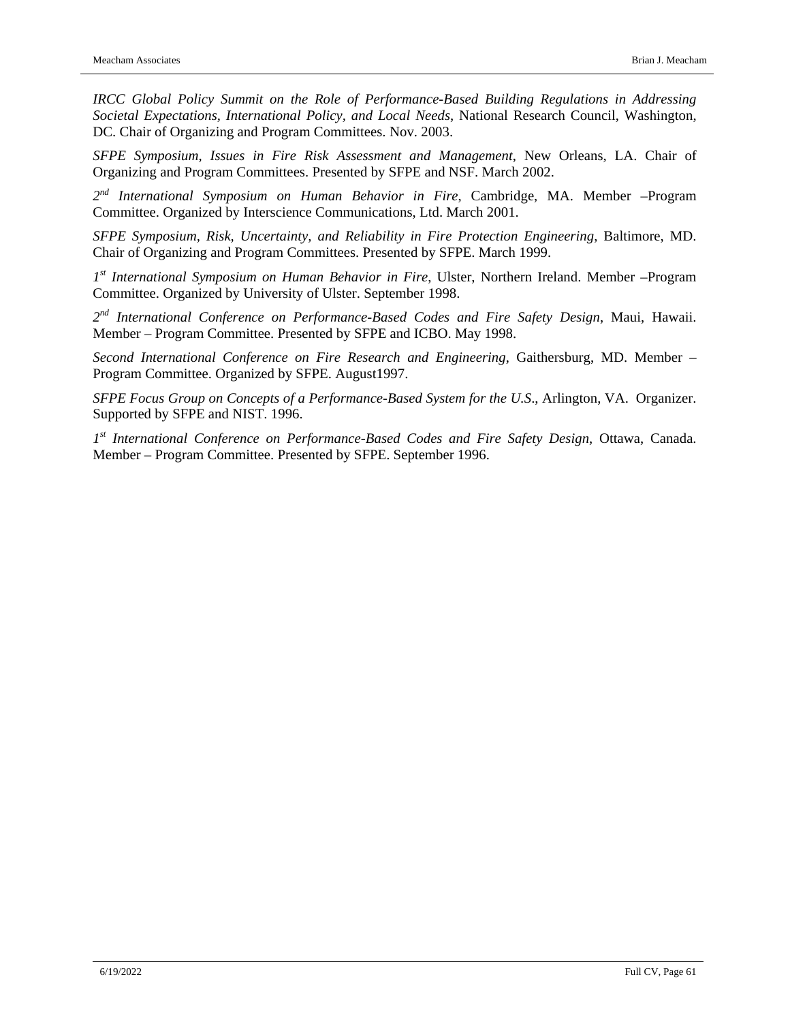*IRCC Global Policy Summit on the Role of Performance-Based Building Regulations in Addressing Societal Expectations, International Policy, and Local Needs*, National Research Council, Washington, DC. Chair of Organizing and Program Committees. Nov. 2003.

*SFPE Symposium, Issues in Fire Risk Assessment and Management*, New Orleans, LA. Chair of Organizing and Program Committees. Presented by SFPE and NSF. March 2002.

*2nd International Symposium on Human Behavior in Fire*, Cambridge, MA. Member –Program Committee. Organized by Interscience Communications, Ltd. March 2001.

*SFPE Symposium, Risk, Uncertainty, and Reliability in Fire Protection Engineering*, Baltimore, MD. Chair of Organizing and Program Committees. Presented by SFPE. March 1999.

*1st International Symposium on Human Behavior in Fire*, Ulster, Northern Ireland. Member –Program Committee. Organized by University of Ulster. September 1998.

*2nd International Conference on Performance-Based Codes and Fire Safety Design*, Maui, Hawaii. Member – Program Committee. Presented by SFPE and ICBO. May 1998.

*Second International Conference on Fire Research and Engineering*, Gaithersburg, MD. Member – Program Committee. Organized by SFPE. August1997.

*SFPE Focus Group on Concepts of a Performance-Based System for the U.S*., Arlington, VA. Organizer. Supported by SFPE and NIST. 1996.

*1st International Conference on Performance-Based Codes and Fire Safety Design*, Ottawa, Canada. Member – Program Committee. Presented by SFPE. September 1996.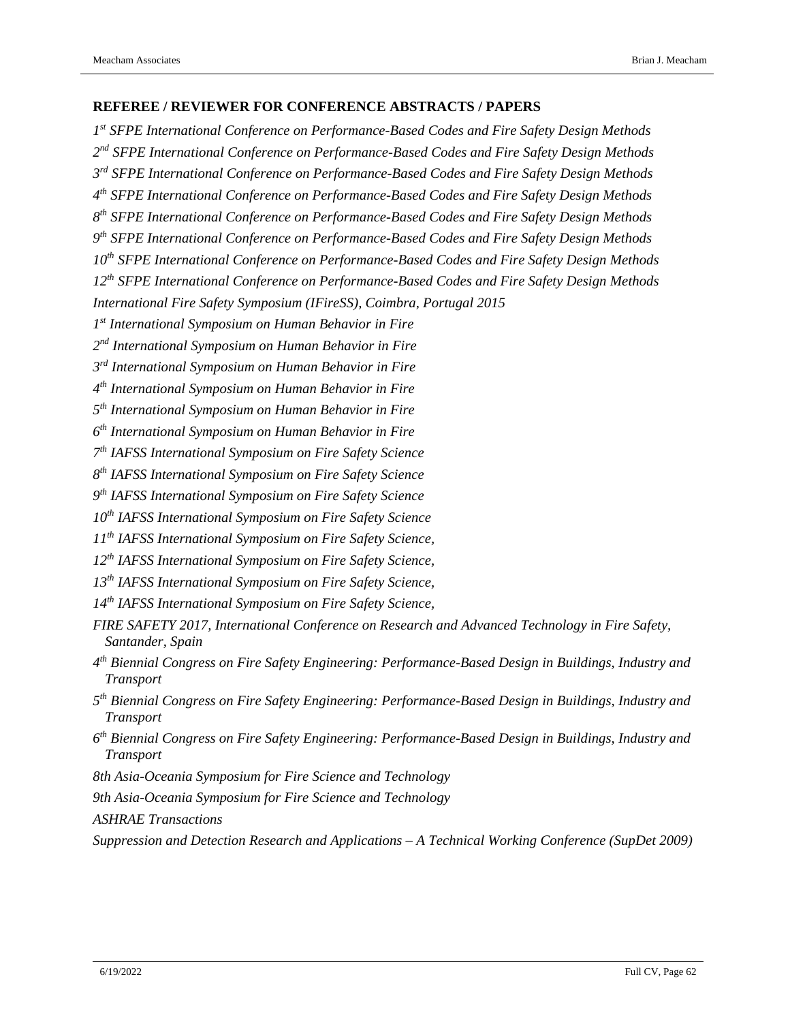### **REFEREE / REVIEWER FOR CONFERENCE ABSTRACTS / PAPERS**

*st SFPE International Conference on Performance-Based Codes and Fire Safety Design Methods nd SFPE International Conference on Performance-Based Codes and Fire Safety Design Methods rd SFPE International Conference on Performance-Based Codes and Fire Safety Design Methods th SFPE International Conference on Performance-Based Codes and Fire Safety Design Methods th SFPE International Conference on Performance-Based Codes and Fire Safety Design Methods th SFPE International Conference on Performance-Based Codes and Fire Safety Design Methods th SFPE International Conference on Performance-Based Codes and Fire Safety Design Methods th SFPE International Conference on Performance-Based Codes and Fire Safety Design Methods International Fire Safety Symposium (IFireSS), Coimbra, Portugal 2015 st International Symposium on Human Behavior in Fire* 

*nd International Symposium on Human Behavior in Fire*

*rd International Symposium on Human Behavior in Fire*

*th International Symposium on Human Behavior in Fire*

*th International Symposium on Human Behavior in Fire*

*th International Symposium on Human Behavior in Fire*

*th IAFSS International Symposium on Fire Safety Science*

*th IAFSS International Symposium on Fire Safety Science*

*th IAFSS International Symposium on Fire Safety Science*

*th IAFSS International Symposium on Fire Safety Science*

*th IAFSS International Symposium on Fire Safety Science,* 

*th IAFSS International Symposium on Fire Safety Science,* 

*th IAFSS International Symposium on Fire Safety Science,* 

*th IAFSS International Symposium on Fire Safety Science,* 

- *FIRE SAFETY 2017, International Conference on Research and Advanced Technology in Fire Safety, Santander, Spain*
- *th Biennial Congress on Fire Safety Engineering: Performance-Based Design in Buildings, Industry and Transport*
- *th Biennial Congress on Fire Safety Engineering: Performance-Based Design in Buildings, Industry and Transport*
- *th Biennial Congress on Fire Safety Engineering: Performance-Based Design in Buildings, Industry and Transport*

*8th Asia-Oceania Symposium for Fire Science and Technology* 

*9th Asia-Oceania Symposium for Fire Science and Technology* 

*ASHRAE Transactions*

*Suppression and Detection Research and Applications – A Technical Working Conference (SupDet 2009)*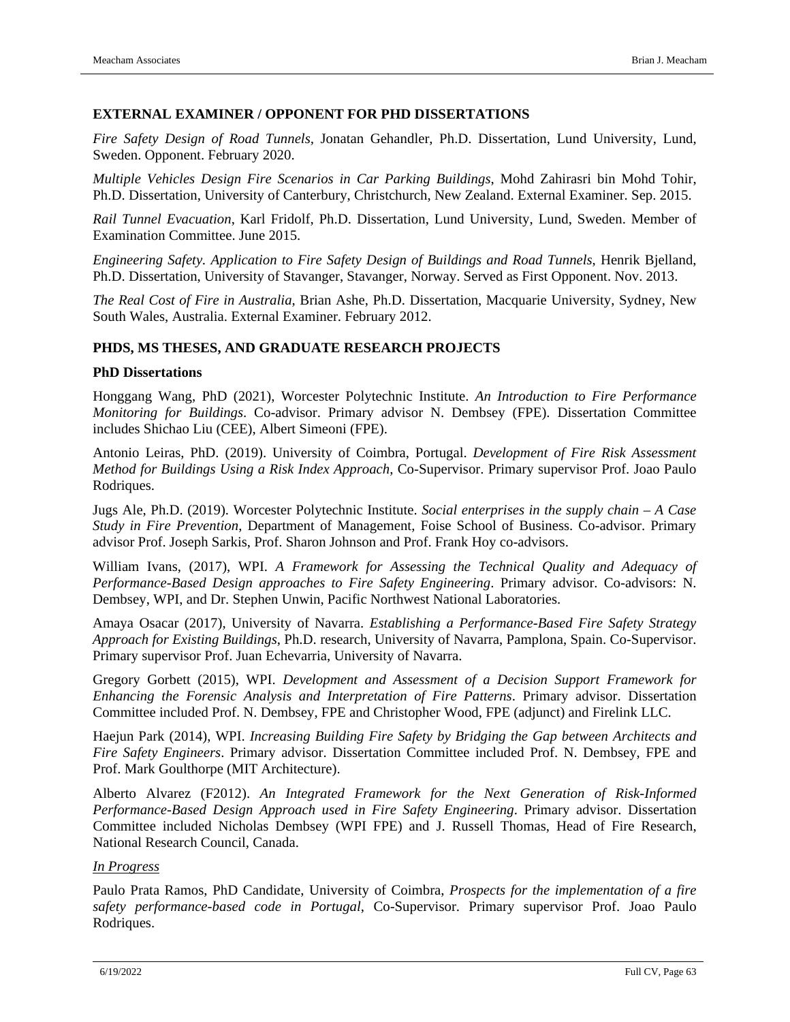#### **EXTERNAL EXAMINER / OPPONENT FOR PHD DISSERTATIONS**

*Fire Safety Design of Road Tunnels,* Jonatan Gehandler, Ph.D. Dissertation, Lund University, Lund, Sweden. Opponent. February 2020.

*Multiple Vehicles Design Fire Scenarios in Car Parking Buildings*, Mohd Zahirasri bin Mohd Tohir, Ph.D. Dissertation, University of Canterbury, Christchurch, New Zealand. External Examiner. Sep. 2015.

*Rail Tunnel Evacuation*, Karl Fridolf, Ph.D. Dissertation, Lund University, Lund, Sweden. Member of Examination Committee. June 2015.

*Engineering Safety. Application to Fire Safety Design of Buildings and Road Tunnels*, Henrik Bjelland, Ph.D. Dissertation, University of Stavanger, Stavanger, Norway. Served as First Opponent. Nov. 2013.

*The Real Cost of Fire in Australia*, Brian Ashe, Ph.D. Dissertation, Macquarie University, Sydney, New South Wales, Australia. External Examiner. February 2012.

### **PHDS, MS THESES, AND GRADUATE RESEARCH PROJECTS**

#### **PhD Dissertations**

Honggang Wang, PhD (2021), Worcester Polytechnic Institute. *An Introduction to Fire Performance Monitoring for Buildings*. Co-advisor. Primary advisor N. Dembsey (FPE). Dissertation Committee includes Shichao Liu (CEE), Albert Simeoni (FPE).

Antonio Leiras, PhD. (2019). University of Coimbra, Portugal. *Development of Fire Risk Assessment Method for Buildings Using a Risk Index Approach*, Co-Supervisor. Primary supervisor Prof. Joao Paulo Rodriques.

Jugs Ale, Ph.D. (2019). Worcester Polytechnic Institute. *Social enterprises in the supply chain – A Case Study in Fire Prevention*, Department of Management, Foise School of Business. Co-advisor. Primary advisor Prof. Joseph Sarkis, Prof. Sharon Johnson and Prof. Frank Hoy co-advisors.

William Ivans, (2017), WPI. *A Framework for Assessing the Technical Quality and Adequacy of Performance-Based Design approaches to Fire Safety Engineering*. Primary advisor. Co-advisors: N. Dembsey, WPI, and Dr. Stephen Unwin, Pacific Northwest National Laboratories.

Amaya Osacar (2017), University of Navarra. *Establishing a Performance-Based Fire Safety Strategy Approach for Existing Buildings*, Ph.D. research, University of Navarra, Pamplona, Spain. Co-Supervisor. Primary supervisor Prof. Juan Echevarria, University of Navarra.

Gregory Gorbett (2015), WPI. *Development and Assessment of a Decision Support Framework for Enhancing the Forensic Analysis and Interpretation of Fire Patterns*. Primary advisor. Dissertation Committee included Prof. N. Dembsey, FPE and Christopher Wood, FPE (adjunct) and Firelink LLC.

Haejun Park (2014), WPI. *Increasing Building Fire Safety by Bridging the Gap between Architects and Fire Safety Engineers*. Primary advisor. Dissertation Committee included Prof. N. Dembsey, FPE and Prof. Mark Goulthorpe (MIT Architecture).

Alberto Alvarez (F2012). *An Integrated Framework for the Next Generation of Risk-Informed Performance-Based Design Approach used in Fire Safety Engineering*. Primary advisor. Dissertation Committee included Nicholas Dembsey (WPI FPE) and J. Russell Thomas, Head of Fire Research, National Research Council, Canada.

#### *In Progress*

Paulo Prata Ramos, PhD Candidate, University of Coimbra, *Prospects for the implementation of a fire safety performance-based code in Portugal*, Co-Supervisor. Primary supervisor Prof. Joao Paulo Rodriques.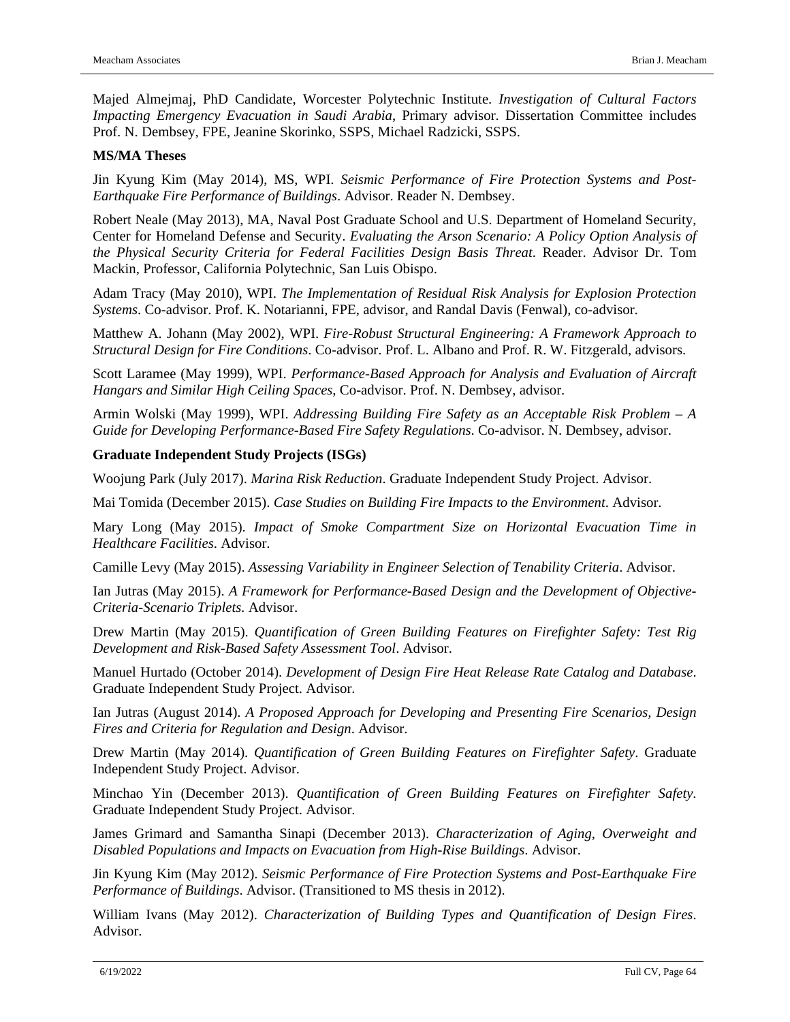Majed Almejmaj, PhD Candidate, Worcester Polytechnic Institute. *Investigation of Cultural Factors Impacting Emergency Evacuation in Saudi Arabia*, Primary advisor. Dissertation Committee includes Prof. N. Dembsey, FPE, Jeanine Skorinko, SSPS, Michael Radzicki, SSPS.

#### **MS/MA Theses**

Jin Kyung Kim (May 2014), MS, WPI. *Seismic Performance of Fire Protection Systems and Post-Earthquake Fire Performance of Buildings*. Advisor. Reader N. Dembsey.

Robert Neale (May 2013), MA, Naval Post Graduate School and U.S. Department of Homeland Security, Center for Homeland Defense and Security. *Evaluating the Arson Scenario: A Policy Option Analysis of the Physical Security Criteria for Federal Facilities Design Basis Threat*. Reader. Advisor Dr. Tom Mackin, Professor, California Polytechnic, San Luis Obispo.

Adam Tracy (May 2010), WPI. *The Implementation of Residual Risk Analysis for Explosion Protection Systems*. Co-advisor. Prof. K. Notarianni, FPE, advisor, and Randal Davis (Fenwal), co-advisor.

Matthew A. Johann (May 2002), WPI. *Fire-Robust Structural Engineering: A Framework Approach to Structural Design for Fire Conditions*. Co-advisor. Prof. L. Albano and Prof. R. W. Fitzgerald, advisors.

Scott Laramee (May 1999), WPI. *Performance-Based Approach for Analysis and Evaluation of Aircraft Hangars and Similar High Ceiling Spaces*, Co-advisor. Prof. N. Dembsey, advisor.

Armin Wolski (May 1999), WPI. *Addressing Building Fire Safety as an Acceptable Risk Problem – A Guide for Developing Performance-Based Fire Safety Regulations*. Co-advisor. N. Dembsey, advisor.

#### **Graduate Independent Study Projects (ISGs)**

Woojung Park (July 2017). *Marina Risk Reduction*. Graduate Independent Study Project. Advisor.

Mai Tomida (December 2015). *Case Studies on Building Fire Impacts to the Environment*. Advisor.

Mary Long (May 2015). *Impact of Smoke Compartment Size on Horizontal Evacuation Time in Healthcare Facilities*. Advisor.

Camille Levy (May 2015). *Assessing Variability in Engineer Selection of Tenability Criteria*. Advisor.

Ian Jutras (May 2015). *A Framework for Performance-Based Design and the Development of Objective-Criteria-Scenario Triplets.* Advisor.

Drew Martin (May 2015). *Quantification of Green Building Features on Firefighter Safety: Test Rig Development and Risk-Based Safety Assessment Tool*. Advisor.

Manuel Hurtado (October 2014). *Development of Design Fire Heat Release Rate Catalog and Database*. Graduate Independent Study Project. Advisor.

Ian Jutras (August 2014). *A Proposed Approach for Developing and Presenting Fire Scenarios, Design Fires and Criteria for Regulation and Design*. Advisor.

Drew Martin (May 2014). *Quantification of Green Building Features on Firefighter Safety*. Graduate Independent Study Project. Advisor.

Minchao Yin (December 2013). *Quantification of Green Building Features on Firefighter Safety*. Graduate Independent Study Project. Advisor.

James Grimard and Samantha Sinapi (December 2013). *Characterization of Aging, Overweight and Disabled Populations and Impacts on Evacuation from High-Rise Buildings*. Advisor.

Jin Kyung Kim (May 2012). *Seismic Performance of Fire Protection Systems and Post-Earthquake Fire Performance of Buildings*. Advisor. (Transitioned to MS thesis in 2012).

William Ivans (May 2012). *Characterization of Building Types and Quantification of Design Fires*. Advisor.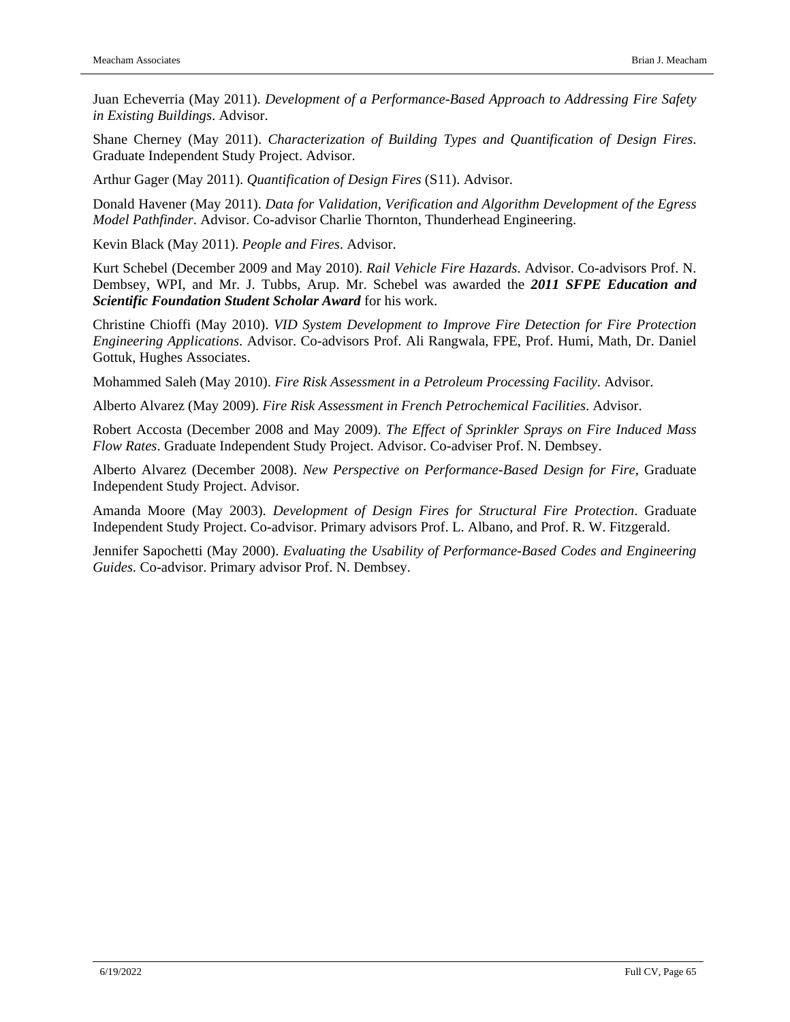Juan Echeverria (May 2011). *Development of a Performance-Based Approach to Addressing Fire Safety in Existing Buildings*. Advisor.

Shane Cherney (May 2011). *Characterization of Building Types and Quantification of Design Fires*. Graduate Independent Study Project. Advisor.

Arthur Gager (May 2011). *Quantification of Design Fires* (S11). Advisor.

Donald Havener (May 2011). *Data for Validation, Verification and Algorithm Development of the Egress Model Pathfinder*. Advisor. Co-advisor Charlie Thornton, Thunderhead Engineering.

Kevin Black (May 2011). *People and Fires*. Advisor.

Kurt Schebel (December 2009 and May 2010). *Rail Vehicle Fire Hazards*. Advisor. Co-advisors Prof. N. Dembsey, WPI, and Mr. J. Tubbs, Arup. Mr. Schebel was awarded the *2011 SFPE Education and Scientific Foundation Student Scholar Award* for his work.

Christine Chioffi (May 2010). *VID System Development to Improve Fire Detection for Fire Protection Engineering Applications*. Advisor. Co-advisors Prof. Ali Rangwala, FPE, Prof. Humi, Math, Dr. Daniel Gottuk, Hughes Associates.

Mohammed Saleh (May 2010). *Fire Risk Assessment in a Petroleum Processing Facility*. Advisor.

Alberto Alvarez (May 2009). *Fire Risk Assessment in French Petrochemical Facilities*. Advisor.

Robert Accosta (December 2008 and May 2009). *The Effect of Sprinkler Sprays on Fire Induced Mass Flow Rates*. Graduate Independent Study Project. Advisor. Co-adviser Prof. N. Dembsey.

Alberto Alvarez (December 2008). *New Perspective on Performance-Based Design for Fire*, Graduate Independent Study Project. Advisor.

Amanda Moore (May 2003). *Development of Design Fires for Structural Fire Protection*. Graduate Independent Study Project. Co-advisor. Primary advisors Prof. L. Albano, and Prof. R. W. Fitzgerald.

Jennifer Sapochetti (May 2000). *Evaluating the Usability of Performance-Based Codes and Engineering Guides.* Co-advisor. Primary advisor Prof. N. Dembsey.